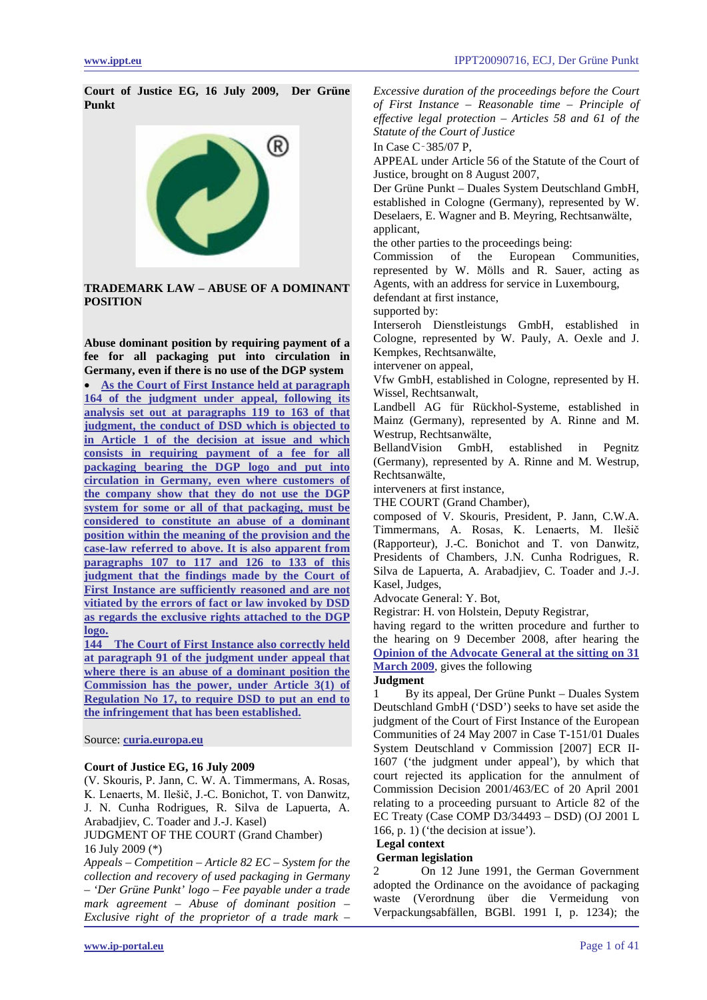**Court of Justice EG, 16 July 2009, Der Grüne Punkt**



**TRADEMARK LAW – ABUSE OF A DOMINANT POSITION**

**Abuse dominant position by requiring payment of a fee for all packaging put into circulation in Germany, even if there is no use of the DGP system**  • **[As the Court of First Instance held at paragraph](#page-12-0)  [164 of the judgment under appeal, following its](#page-12-0)  [analysis set out at paragraphs 119 to 163 of that](#page-12-0)  [judgment, the conduct of DSD which is objected to](#page-12-0)  [in Article 1 of the decision at issue and which](#page-12-0)  [consists in requiring payment of a fee for all](#page-12-0)  [packaging bearing the DGP logo and put into](#page-12-0)  [circulation in Germany, even where customers of](#page-12-0)  the company [show that they do not use the DGP](#page-12-0)  [system for some or all of that packaging, must be](#page-12-0)  [considered to constitute an abuse of a dominant](#page-12-0)  [position within the meaning of the provision and the](#page-12-0)  [case-law referred to above. It is also apparent from](#page-12-0)  paragraphs 107 to [117 and 126 to 133 of this](#page-12-0)  [judgment that the findings made by the Court of](#page-12-0)  [First Instance are sufficiently reasoned and are not](#page-12-0)  [vitiated by the errors of fact or law invoked by DSD](#page-12-0)  [as regards the exclusive rights attached to the DGP](#page-12-0)  [logo.](#page-12-0)** 

**[144 The Court of First Instance also correctly held](#page-12-0)  [at paragraph 91 of the judgment under appeal that](#page-12-0)  [where there is an abuse of](#page-12-0) a dominant position the [Commission has the power, under Article 3\(1\) of](#page-12-0)  [Regulation No 17, to require DSD to put an end to](#page-12-0)  the infringement [that has been established.](#page-12-0)**

### Source: **[curia.europa.eu](http://curia.europa.eu/juris/document/document.jsf?docid=77826&pageIndex=0&doclang=en&mode=lst&dir=&occ=first&cid=66176)**

### **Court of Justice EG, 16 July 2009**

(V. Skouris, P. Jann, C. W. A. Timmermans, A. Rosas, K. Lenaerts, M. Ilešič, J.-C. Bonichot, T. von Danwitz, J. N. Cunha Rodrigues, R. Silva de Lapuerta, A. Arabadjiev, C. Toader and J.-J. Kasel)

JUDGMENT OF THE COURT (Grand Chamber) 16 July 2009 (\*)

*Appeals – Competition – Article 82 EC – System for the collection and recovery of used packaging in Germany – 'Der Grüne Punkt' logo – Fee payable under a trade mark agreement – Abuse of dominant position – Exclusive right of the proprietor of a trade mark –*

*Excessive duration of the proceedings before the Court of First Instance – Reasonable time – Principle of effective legal protection – Articles 58 and 61 of the Statute of the Court of Justice* 

In Case C‑385/07 P,

APPEAL under Article 56 of the Statute of the Court of Justice, brought on 8 August 2007,

Der Grüne Punkt – Duales System Deutschland GmbH, established in Cologne (Germany), represented by W. Deselaers, E. Wagner and B. Meyring, Rechtsanwälte, applicant,

the other parties to the proceedings being:

Commission of the European Communities, represented by W. Mölls and R. Sauer, acting as Agents, with an address for service in Luxembourg, defendant at first instance,

supported by:

Interseroh Dienstleistungs GmbH, established in Cologne, represented by W. Pauly, A. Oexle and J. Kempkes, Rechtsanwälte,

intervener on appeal,

Vfw GmbH, established in Cologne, represented by H. Wissel, Rechtsanwalt,

Landbell AG für Rückhol-Systeme, established in Mainz (Germany), represented by A. Rinne and M. Westrup, Rechtsanwälte,

BellandVision GmbH, established in Pegnitz (Germany), represented by A. Rinne and M. Westrup, Rechtsanwälte,

interveners at first instance,

THE COURT (Grand Chamber),

composed of V. Skouris, President, P. Jann, C.W.A. Timmermans, A. Rosas, K. Lenaerts, M. Ilešič (Rapporteur), J.-C. Bonichot and T. von Danwitz, Presidents of Chambers, J.N. Cunha Rodrigues, R. Silva de Lapuerta, A. Arabadjiev, C. Toader and J.-J. Kasel, Judges,

Advocate General: Y. Bot,

Registrar: H. von Holstein, Deputy Registrar,

having regard to the written procedure and further to the hearing on 9 December 2008, after hearing the **[Opinion of the Advocate General at the sitting on 31](#page-16-0)  [March 2009](#page-16-0)**, gives the following

# **Judgment**

1 By its appeal, Der Grüne Punkt – Duales System Deutschland GmbH ('DSD') seeks to have set aside the judgment of the Court of First Instance of the European Communities of 24 May 2007 in Case T-151/01 Duales System Deutschland v Commission [2007] ECR II-1607 ('the judgment under appeal'), by which that court rejected its application for the annulment of Commission Decision 2001/463/EC of 20 April 2001 relating to a proceeding pursuant to Article 82 of the EC Treaty (Case COMP D3/34493 – DSD) (OJ 2001 L 166, p. 1) ('the decision at issue').

**Legal context** 

# **German legislation**

2 On 12 June 1991, the German Government adopted the Ordinance on the avoidance of packaging waste (Verordnung über die Vermeidung von Verpackungsabfällen, BGBl. 1991 I, p. 1234); the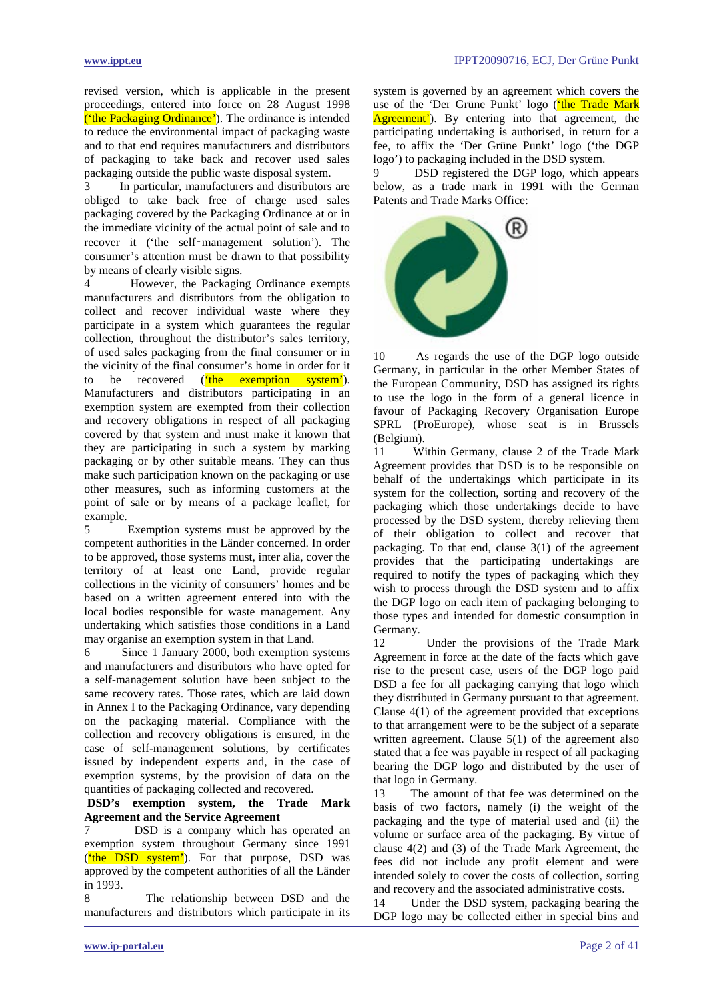revised version, which is applicable in the present proceedings, entered into force on 28 August 1998 ('the Packaging Ordinance'). The ordinance is intended to reduce the environmental impact of packaging waste and to that end requires manufacturers and distributors of packaging to take back and recover used sales packaging outside the public waste disposal system.

In particular, manufacturers and distributors are obliged to take back free of charge used sales packaging covered by the Packaging Ordinance at or in the immediate vicinity of the actual point of sale and to recover it ('the self‑management solution'). The consumer's attention must be drawn to that possibility by means of clearly visible signs.

4 However, the Packaging Ordinance exempts manufacturers and distributors from the obligation to collect and recover individual waste where they participate in a system which guarantees the regular collection, throughout the distributor's sales territory, of used sales packaging from the final consumer or in the vicinity of the final consumer's home in order for it to be recovered (the exemption system'). Manufacturers and distributors participating in an exemption system are exempted from their collection and recovery obligations in respect of all packaging covered by that system and must make it known that they are participating in such a system by marking packaging or by other suitable means. They can thus make such participation known on the packaging or use other measures, such as informing customers at the point of sale or by means of a package leaflet, for example.

5 Exemption systems must be approved by the competent authorities in the Länder concerned. In order to be approved, those systems must, inter alia, cover the territory of at least one Land, provide regular collections in the vicinity of consumers' homes and be based on a written agreement entered into with the local bodies responsible for waste management. Any undertaking which satisfies those conditions in a Land may organise an exemption system in that Land.

6 Since 1 January 2000, both exemption systems and manufacturers and distributors who have opted for a self-management solution have been subject to the same recovery rates. Those rates, which are laid down in Annex I to the Packaging Ordinance, vary depending on the packaging material. Compliance with the collection and recovery obligations is ensured, in the case of self-management solutions, by certificates issued by independent experts and, in the case of exemption systems, by the provision of data on the quantities of packaging collected and recovered.

# **DSD's exemption system, the Trade Mark Agreement and the Service Agreement**

7 DSD is a company which has operated an exemption system throughout Germany since 1991 (*'the DSD system'*). For that purpose, DSD was approved by the competent authorities of all the Länder in 1993.

8 The relationship between DSD and the manufacturers and distributors which participate in its system is governed by an agreement which covers the use of the 'Der Grüne Punkt' logo ('the Trade Mark Agreement'). By entering into that agreement, the participating undertaking is authorised, in return for a fee, to affix the 'Der Grüne Punkt' logo ('the DGP logo') to packaging included in the DSD system.

DSD registered the DGP logo, which appears below, as a trade mark in 1991 with the German Patents and Trade Marks Office:



10 As regards the use of the DGP logo outside Germany, in particular in the other Member States of the European Community, DSD has assigned its rights to use the logo in the form of a general licence in favour of Packaging Recovery Organisation Europe SPRL (ProEurope), whose seat is in Brussels (Belgium).

11 Within Germany, clause 2 of the Trade Mark Agreement provides that DSD is to be responsible on behalf of the undertakings which participate in its system for the collection, sorting and recovery of the packaging which those undertakings decide to have processed by the DSD system, thereby relieving them of their obligation to collect and recover that packaging. To that end, clause 3(1) of the agreement provides that the participating undertakings are required to notify the types of packaging which they wish to process through the DSD system and to affix the DGP logo on each item of packaging belonging to those types and intended for domestic consumption in Germany.

12 Under the provisions of the Trade Mark Agreement in force at the date of the facts which gave rise to the present case, users of the DGP logo paid DSD a fee for all packaging carrying that logo which they distributed in Germany pursuant to that agreement. Clause 4(1) of the agreement provided that exceptions to that arrangement were to be the subject of a separate written agreement. Clause 5(1) of the agreement also stated that a fee was payable in respect of all packaging bearing the DGP logo and distributed by the user of that logo in Germany.

13 The amount of that fee was determined on the basis of two factors, namely (i) the weight of the packaging and the type of material used and (ii) the volume or surface area of the packaging. By virtue of clause 4(2) and (3) of the Trade Mark Agreement, the fees did not include any profit element and were intended solely to cover the costs of collection, sorting and recovery and the associated administrative costs.

14 Under the DSD system, packaging bearing the DGP logo may be collected either in special bins and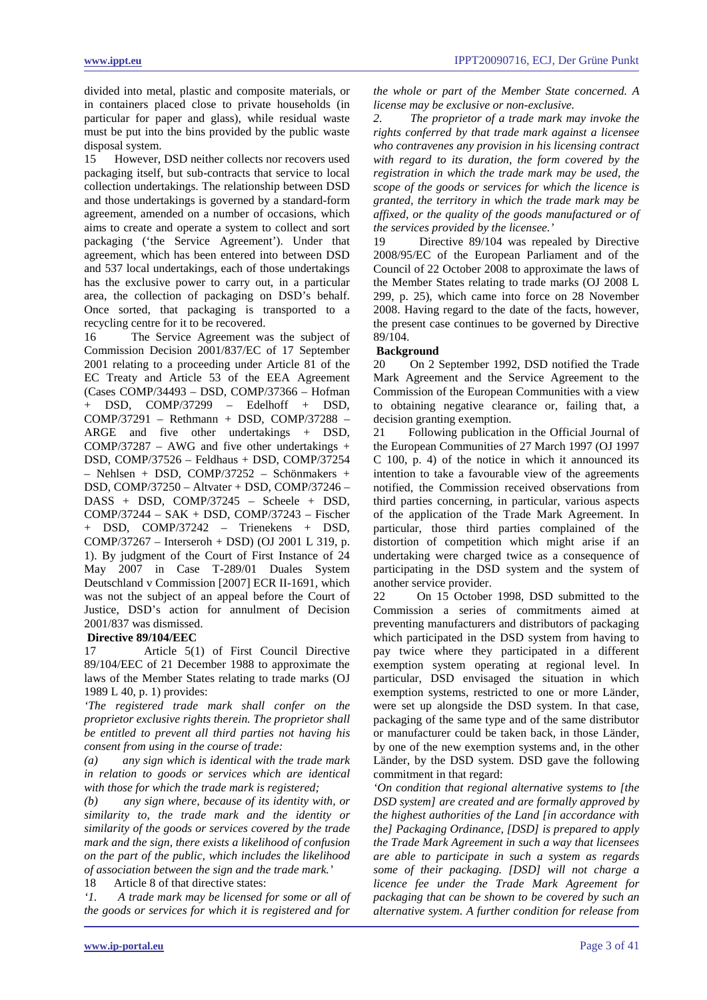divided into metal, plastic and composite materials, or in containers placed close to private households (in particular for paper and glass), while residual waste must be put into the bins provided by the public waste disposal system.

15 However, DSD neither collects nor recovers used packaging itself, but sub-contracts that service to local collection undertakings. The relationship between DSD and those undertakings is governed by a standard-form agreement, amended on a number of occasions, which aims to create and operate a system to collect and sort packaging ('the Service Agreement'). Under that agreement, which has been entered into between DSD and 537 local undertakings, each of those undertakings has the exclusive power to carry out, in a particular area, the collection of packaging on DSD's behalf. Once sorted, that packaging is transported to a recycling centre for it to be recovered.

16 The Service Agreement was the subject of Commission Decision 2001/837/EC of 17 September 2001 relating to a proceeding under Article 81 of the EC Treaty and Article 53 of the EEA Agreement (Cases COMP/34493 – DSD, COMP/37366 – Hofman + DSD, COMP/37299 – Edelhoff + DSD, COMP/37291 – Rethmann + DSD, COMP/37288 – ARGE and five other undertakings + DSD,  $COMP/37287 - AWG$  and five other undertakings + DSD, COMP/37526 – Feldhaus + DSD, COMP/37254 – Nehlsen + DSD, COMP/37252 – Schönmakers + DSD, COMP/37250 – Altvater + DSD, COMP/37246 – DASS + DSD, COMP/37245 – Scheele + DSD, COMP/37244 – SAK + DSD, COMP/37243 – Fischer + DSD, COMP/37242 – Trienekens + DSD, COMP/37267 – Interseroh + DSD) (OJ 2001 L 319, p. 1). By judgment of the Court of First Instance of 24 May 2007 in Case T-289/01 Duales System Deutschland v Commission [2007] ECR II-1691, which was not the subject of an appeal before the Court of Justice, DSD's action for annulment of Decision 2001/837 was dismissed.

### **Directive 89/104/EEC**

17 Article 5(1) of First Council Directive 89/104/EEC of 21 December 1988 to approximate the laws of the Member States relating to trade marks (OJ 1989 L 40, p. 1) provides:

*'The registered trade mark shall confer on the proprietor exclusive rights therein. The proprietor shall be entitled to prevent all third parties not having his consent from using in the course of trade:*

*(a) any sign which is identical with the trade mark in relation to goods or services which are identical with those for which the trade mark is registered;*

*(b) any sign where, because of its identity with, or similarity to, the trade mark and the identity or similarity of the goods or services covered by the trade mark and the sign, there exists a likelihood of confusion on the part of the public, which includes the likelihood of association between the sign and the trade mark.'* 

18 Article 8 of that directive states:

*'1. A trade mark may be licensed for some or all of the goods or services for which it is registered and for* 

*the whole or part of the Member State concerned. A license may be exclusive or non-exclusive.*

*2. The proprietor of a trade mark may invoke the rights conferred by that trade mark against a licensee who contravenes any provision in his licensing contract with regard to its duration, the form covered by the registration in which the trade mark may be used, the scope of the goods or services for which the licence is granted, the territory in which the trade mark may be affixed, or the quality of the goods manufactured or of the services provided by the licensee.'*

19 Directive 89/104 was repealed by Directive 2008/95/EC of the European Parliament and of the Council of 22 October 2008 to approximate the laws of the Member States relating to trade marks (OJ 2008 L 299, p. 25), which came into force on 28 November 2008. Having regard to the date of the facts, however, the present case continues to be governed by Directive 89/104.

#### **Background**

20 On 2 September 1992, DSD notified the Trade Mark Agreement and the Service Agreement to the Commission of the European Communities with a view to obtaining negative clearance or, failing that, a decision granting exemption.

21 Following publication in the Official Journal of the European Communities of 27 March 1997 (OJ 1997 C 100, p. 4) of the notice in which it announced its intention to take a favourable view of the agreements notified, the Commission received observations from third parties concerning, in particular, various aspects of the application of the Trade Mark Agreement. In particular, those third parties complained of the distortion of competition which might arise if an undertaking were charged twice as a consequence of participating in the DSD system and the system of another service provider.

22 On 15 October 1998, DSD submitted to the Commission a series of commitments aimed at preventing manufacturers and distributors of packaging which participated in the DSD system from having to pay twice where they participated in a different exemption system operating at regional level. In particular, DSD envisaged the situation in which exemption systems, restricted to one or more Länder, were set up alongside the DSD system. In that case, packaging of the same type and of the same distributor or manufacturer could be taken back, in those Länder, by one of the new exemption systems and, in the other Länder, by the DSD system. DSD gave the following commitment in that regard:

*'On condition that regional alternative systems to [the DSD system] are created and are formally approved by the highest authorities of the Land [in accordance with the] Packaging Ordinance, [DSD] is prepared to apply the Trade Mark Agreement in such a way that licensees are able to participate in such a system as regards some of their packaging. [DSD] will not charge a licence fee under the Trade Mark Agreement for packaging that can be shown to be covered by such an alternative system. A further condition for release from*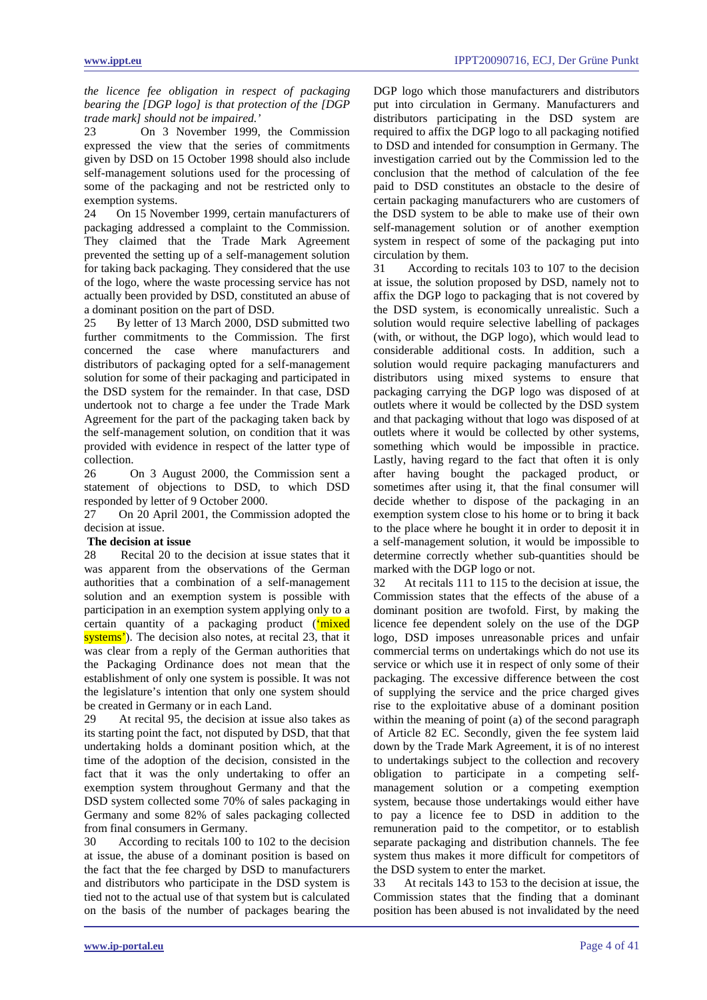*the licence fee obligation in respect of packaging bearing the [DGP logo] is that protection of the [DGP trade mark] should not be impaired.'*

23 On 3 November 1999, the Commission expressed the view that the series of commitments given by DSD on 15 October 1998 should also include self-management solutions used for the processing of some of the packaging and not be restricted only to exemption systems.

24 On 15 November 1999, certain manufacturers of packaging addressed a complaint to the Commission. They claimed that the Trade Mark Agreement prevented the setting up of a self-management solution for taking back packaging. They considered that the use of the logo, where the waste processing service has not actually been provided by DSD, constituted an abuse of a dominant position on the part of DSD.

25 By letter of 13 March 2000, DSD submitted two further commitments to the Commission. The first concerned the case where manufacturers and distributors of packaging opted for a self-management solution for some of their packaging and participated in the DSD system for the remainder. In that case, DSD undertook not to charge a fee under the Trade Mark Agreement for the part of the packaging taken back by the self-management solution, on condition that it was provided with evidence in respect of the latter type of collection.

26 On 3 August 2000, the Commission sent a statement of objections to DSD, to which DSD responded by letter of 9 October 2000.

27 On 20 April 2001, the Commission adopted the decision at issue.

#### **The decision at issue**

28 Recital 20 to the decision at issue states that it was apparent from the observations of the German authorities that a combination of a self-management solution and an exemption system is possible with participation in an exemption system applying only to a certain quantity of a packaging product ('mixed systems'). The decision also notes, at recital 23, that it was clear from a reply of the German authorities that the Packaging Ordinance does not mean that the establishment of only one system is possible. It was not the legislature's intention that only one system should be created in Germany or in each Land.

29 At recital 95, the decision at issue also takes as its starting point the fact, not disputed by DSD, that that undertaking holds a dominant position which, at the time of the adoption of the decision, consisted in the fact that it was the only undertaking to offer an exemption system throughout Germany and that the DSD system collected some 70% of sales packaging in Germany and some 82% of sales packaging collected from final consumers in Germany.

30 According to recitals 100 to 102 to the decision at issue, the abuse of a dominant position is based on the fact that the fee charged by DSD to manufacturers and distributors who participate in the DSD system is tied not to the actual use of that system but is calculated on the basis of the number of packages bearing the DGP logo which those manufacturers and distributors put into circulation in Germany. Manufacturers and distributors participating in the DSD system are required to affix the DGP logo to all packaging notified to DSD and intended for consumption in Germany. The investigation carried out by the Commission led to the conclusion that the method of calculation of the fee paid to DSD constitutes an obstacle to the desire of certain packaging manufacturers who are customers of the DSD system to be able to make use of their own self-management solution or of another exemption system in respect of some of the packaging put into circulation by them.

31 According to recitals 103 to 107 to the decision at issue, the solution proposed by DSD, namely not to affix the DGP logo to packaging that is not covered by the DSD system, is economically unrealistic. Such a solution would require selective labelling of packages (with, or without, the DGP logo), which would lead to considerable additional costs. In addition, such a solution would require packaging manufacturers and distributors using mixed systems to ensure that packaging carrying the DGP logo was disposed of at outlets where it would be collected by the DSD system and that packaging without that logo was disposed of at outlets where it would be collected by other systems, something which would be impossible in practice. Lastly, having regard to the fact that often it is only after having bought the packaged product, or sometimes after using it, that the final consumer will decide whether to dispose of the packaging in an exemption system close to his home or to bring it back to the place where he bought it in order to deposit it in a self-management solution, it would be impossible to determine correctly whether sub-quantities should be marked with the DGP logo or not.

32 At recitals 111 to 115 to the decision at issue, the Commission states that the effects of the abuse of a dominant position are twofold. First, by making the licence fee dependent solely on the use of the DGP logo, DSD imposes unreasonable prices and unfair commercial terms on undertakings which do not use its service or which use it in respect of only some of their packaging. The excessive difference between the cost of supplying the service and the price charged gives rise to the exploitative abuse of a dominant position within the meaning of point (a) of the second paragraph of Article 82 EC. Secondly, given the fee system laid down by the Trade Mark Agreement, it is of no interest to undertakings subject to the collection and recovery obligation to participate in a competing selfmanagement solution or a competing exemption system, because those undertakings would either have to pay a licence fee to DSD in addition to the remuneration paid to the competitor, or to establish separate packaging and distribution channels. The fee system thus makes it more difficult for competitors of the DSD system to enter the market.

33 At recitals 143 to 153 to the decision at issue, the Commission states that the finding that a dominant position has been abused is not invalidated by the need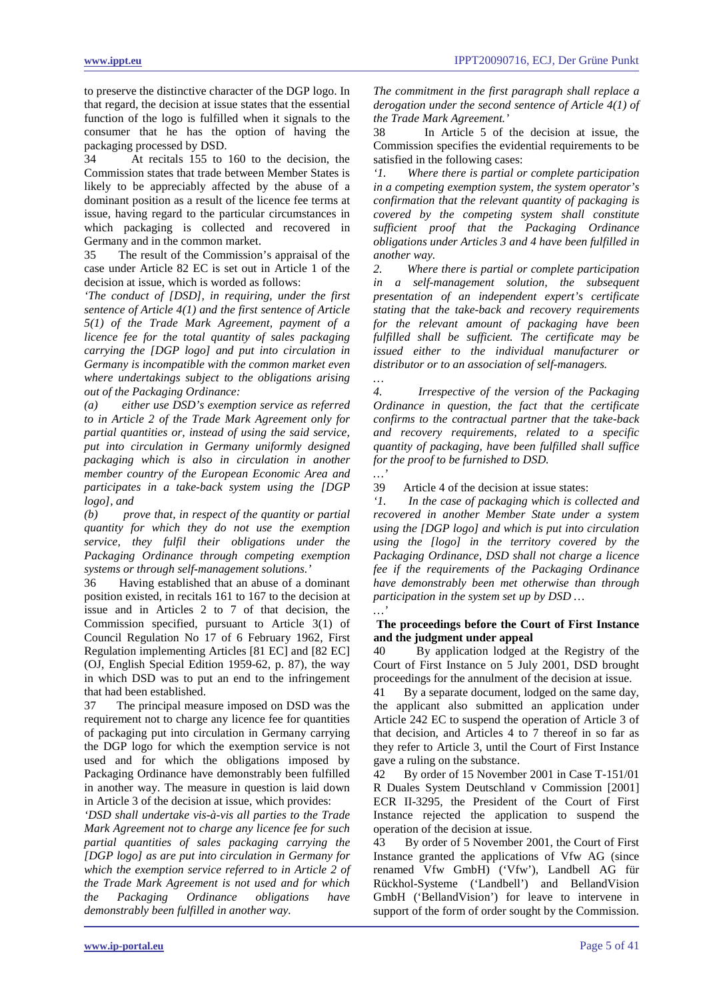to preserve the distinctive character of the DGP logo. In that regard, the decision at issue states that the essential function of the logo is fulfilled when it signals to the consumer that he has the option of having the packaging processed by DSD.

34 At recitals 155 to 160 to the decision, the Commission states that trade between Member States is likely to be appreciably affected by the abuse of a dominant position as a result of the licence fee terms at issue, having regard to the particular circumstances in which packaging is collected and recovered in Germany and in the common market.

35 The result of the Commission's appraisal of the case under Article 82 EC is set out in Article 1 of the decision at issue, which is worded as follows:

*'The conduct of [DSD], in requiring, under the first sentence of Article 4(1) and the first sentence of Article 5(1) of the Trade Mark Agreement, payment of a licence fee for the total quantity of sales packaging carrying the [DGP logo] and put into circulation in Germany is incompatible with the common market even where undertakings subject to the obligations arising out of the Packaging Ordinance:*

*(a) either use DSD's exemption service as referred to in Article 2 of the Trade Mark Agreement only for partial quantities or, instead of using the said service, put into circulation in Germany uniformly designed packaging which is also in circulation in another member country of the European Economic Area and participates in a take-back system using the [DGP logo], and* 

*(b) prove that, in respect of the quantity or partial quantity for which they do not use the exemption service, they fulfil their obligations under the Packaging Ordinance through competing exemption systems or through self-management solutions.'*

36 Having established that an abuse of a dominant position existed, in recitals 161 to 167 to the decision at issue and in Articles 2 to 7 of that decision, the Commission specified, pursuant to Article 3(1) of Council Regulation No 17 of 6 February 1962, First Regulation implementing Articles [81 EC] and [82 EC] (OJ, English Special Edition 1959-62, p. 87), the way in which DSD was to put an end to the infringement that had been established.

37 The principal measure imposed on DSD was the requirement not to charge any licence fee for quantities of packaging put into circulation in Germany carrying the DGP logo for which the exemption service is not used and for which the obligations imposed by Packaging Ordinance have demonstrably been fulfilled in another way. The measure in question is laid down in Article 3 of the decision at issue, which provides:

*'DSD shall undertake vis-à-vis all parties to the Trade Mark Agreement not to charge any licence fee for such partial quantities of sales packaging carrying the [DGP logo] as are put into circulation in Germany for which the exemption service referred to in Article 2 of the Trade Mark Agreement is not used and for which the Packaging Ordinance obligations have demonstrably been fulfilled in another way.* 

*The commitment in the first paragraph shall replace a derogation under the second sentence of Article 4(1) of the Trade Mark Agreement.'*

38 In Article 5 of the decision at issue, the Commission specifies the evidential requirements to be satisfied in the following cases:

*'1. Where there is partial or complete participation in a competing exemption system, the system operator's confirmation that the relevant quantity of packaging is covered by the competing system shall constitute sufficient proof that the Packaging Ordinance obligations under Articles 3 and 4 have been fulfilled in another way.*

*2. Where there is partial or complete participation in a self-management solution, the subsequent presentation of an independent expert's certificate stating that the take-back and recovery requirements for the relevant amount of packaging have been fulfilled shall be sufficient. The certificate may be issued either to the individual manufacturer or distributor or to an association of self-managers.*

*… 4. Irrespective of the version of the Packaging Ordinance in question, the fact that the certificate confirms to the contractual partner that the take-back and recovery requirements, related to a specific quantity of packaging, have been fulfilled shall suffice for the proof to be furnished to DSD.*

*…'* 39 Article 4 of the decision at issue states:<br> $\therefore$  *In the case of packaging which is coll* 

In the case of packaging which is collected and *recovered in another Member State under a system using the [DGP logo] and which is put into circulation using the [logo] in the territory covered by the Packaging Ordinance, DSD shall not charge a licence fee if the requirements of the Packaging Ordinance have demonstrably been met otherwise than through participation in the system set up by DSD … …'*

# **The proceedings before the Court of First Instance and the judgment under appeal**

40 By application lodged at the Registry of the Court of First Instance on 5 July 2001, DSD brought proceedings for the annulment of the decision at issue.

41 By a separate document, lodged on the same day, the applicant also submitted an application under Article 242 EC to suspend the operation of Article 3 of that decision, and Articles 4 to 7 thereof in so far as they refer to Article 3, until the Court of First Instance gave a ruling on the substance.

42 By order of 15 November 2001 in Case T-151/01 R Duales System Deutschland v Commission [2001] ECR II-3295, the President of the Court of First Instance rejected the application to suspend the operation of the decision at issue.

43 By order of 5 November 2001, the Court of First Instance granted the applications of Vfw AG (since renamed Vfw GmbH) ('Vfw'), Landbell AG für Rückhol-Systeme ('Landbell') and BellandVision GmbH ('BellandVision') for leave to intervene in support of the form of order sought by the Commission.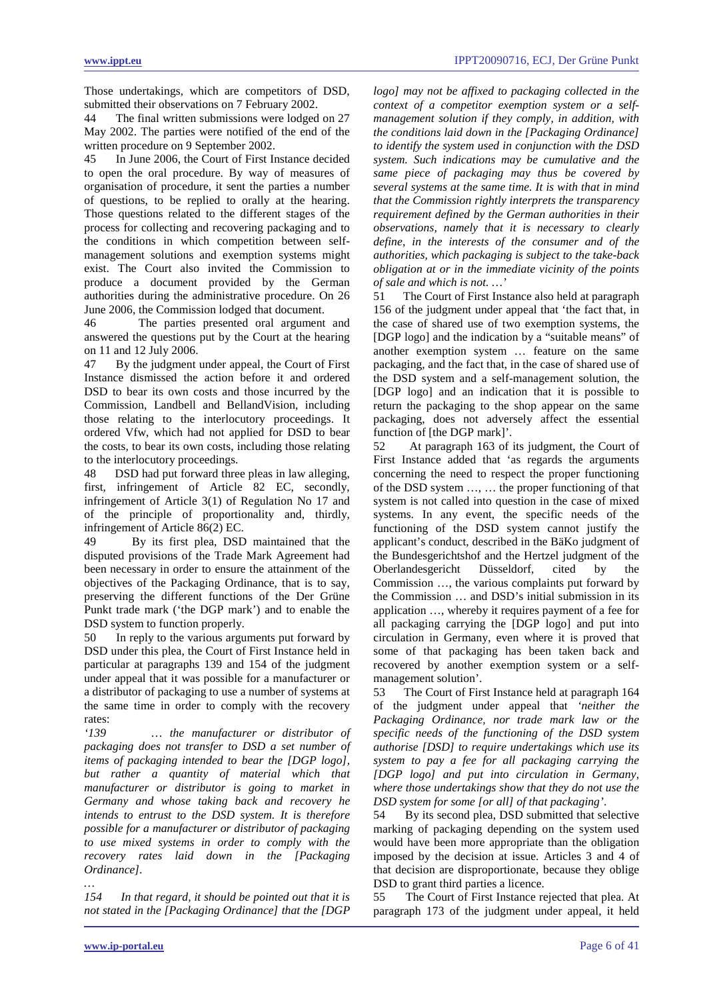Those undertakings, which are competitors of DSD, submitted their observations on 7 February 2002.

44 The final written submissions were lodged on 27 May 2002. The parties were notified of the end of the written procedure on 9 September 2002.

45 In June 2006, the Court of First Instance decided to open the oral procedure. By way of measures of organisation of procedure, it sent the parties a number of questions, to be replied to orally at the hearing. Those questions related to the different stages of the process for collecting and recovering packaging and to the conditions in which competition between selfmanagement solutions and exemption systems might exist. The Court also invited the Commission to produce a document provided by the German authorities during the administrative procedure. On 26 June 2006, the Commission lodged that document.

46 The parties presented oral argument and answered the questions put by the Court at the hearing on 11 and 12 July 2006.

47 By the judgment under appeal, the Court of First Instance dismissed the action before it and ordered DSD to bear its own costs and those incurred by the Commission, Landbell and BellandVision, including those relating to the interlocutory proceedings. It ordered Vfw, which had not applied for DSD to bear the costs, to bear its own costs, including those relating to the interlocutory proceedings.

48 DSD had put forward three pleas in law alleging, first, infringement of Article 82 EC, secondly, infringement of Article 3(1) of Regulation No 17 and of the principle of proportionality and, thirdly, infringement of Article 86(2) EC.

49 By its first plea, DSD maintained that the disputed provisions of the Trade Mark Agreement had been necessary in order to ensure the attainment of the objectives of the Packaging Ordinance, that is to say, preserving the different functions of the Der Grüne Punkt trade mark ('the DGP mark') and to enable the DSD system to function properly.

50 In reply to the various arguments put forward by DSD under this plea, the Court of First Instance held in particular at paragraphs 139 and 154 of the judgment under appeal that it was possible for a manufacturer or a distributor of packaging to use a number of systems at the same time in order to comply with the recovery rates:

*'139 … the manufacturer or distributor of packaging does not transfer to DSD a set number of items of packaging intended to bear the [DGP logo], but rather a quantity of material which that manufacturer or distributor is going to market in Germany and whose taking back and recovery he intends to entrust to the DSD system. It is therefore possible for a manufacturer or distributor of packaging to use mixed systems in order to comply with the recovery rates laid down in the [Packaging Ordinance].*

*154 In that regard, it should be pointed out that it is not stated in the [Packaging Ordinance] that the [DGP*  *logo] may not be affixed to packaging collected in the context of a competitor exemption system or a selfmanagement solution if they comply, in addition, with the conditions laid down in the [Packaging Ordinance] to identify the system used in conjunction with the DSD system. Such indications may be cumulative and the same piece of packaging may thus be covered by several systems at the same time. It is with that in mind that the Commission rightly interprets the transparency requirement defined by the German authorities in their observations, namely that it is necessary to clearly define, in the interests of the consumer and of the authorities, which packaging is subject to the take-back obligation at or in the immediate vicinity of the points of sale and which is not. …'*

51 The Court of First Instance also held at paragraph 156 of the judgment under appeal that 'the fact that, in the case of shared use of two exemption systems, the [DGP logo] and the indication by a "suitable means" of another exemption system … feature on the same packaging, and the fact that, in the case of shared use of the DSD system and a self-management solution, the [DGP logo] and an indication that it is possible to return the packaging to the shop appear on the same packaging, does not adversely affect the essential function of [the DGP mark]'.

52 At paragraph 163 of its judgment, the Court of First Instance added that 'as regards the arguments concerning the need to respect the proper functioning of the DSD system …, … the proper functioning of that system is not called into question in the case of mixed systems. In any event, the specific needs of the functioning of the DSD system cannot justify the applicant's conduct, described in the BäKo judgment of the Bundesgerichtshof and the Hertzel judgment of the Oberlandesgericht Düsseldorf, cited by the Commission …, the various complaints put forward by the Commission … and DSD's initial submission in its application …, whereby it requires payment of a fee for all packaging carrying the [DGP logo] and put into circulation in Germany, even where it is proved that some of that packaging has been taken back and recovered by another exemption system or a selfmanagement solution'.

53 The Court of First Instance held at paragraph 164 of the judgment under appeal that *'neither the Packaging Ordinance, nor trade mark law or the specific needs of the functioning of the DSD system authorise [DSD] to require undertakings which use its system to pay a fee for all packaging carrying the [DGP logo] and put into circulation in Germany, where those undertakings show that they do not use the DSD system for some [or all] of that packaging'*.

54 By its second plea, DSD submitted that selective marking of packaging depending on the system used would have been more appropriate than the obligation imposed by the decision at issue. Articles 3 and 4 of that decision are disproportionate, because they oblige DSD to grant third parties a licence.

55 The Court of First Instance rejected that plea. At paragraph 173 of the judgment under appeal, it held

*…*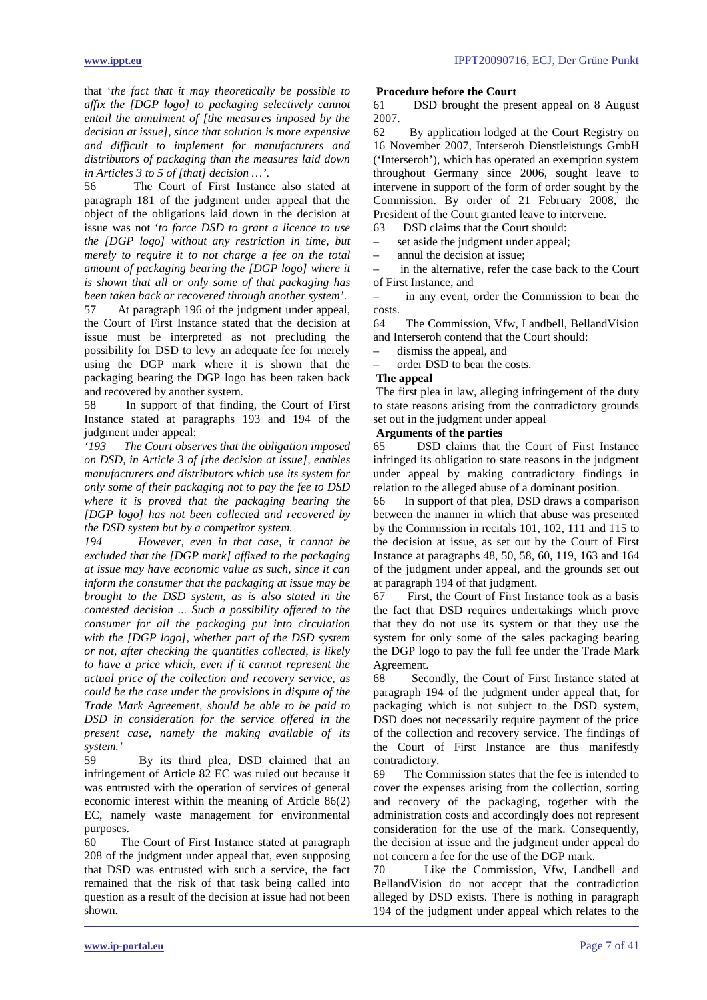that '*the fact that it may theoretically be possible to affix the [DGP logo] to packaging selectively cannot entail the annulment of [the measures imposed by the decision at issue], since that solution is more expensive and difficult to implement for manufacturers and distributors of packaging than the measures laid down in Articles 3 to 5 of [that] decision …'*.

56 The Court of First Instance also stated at paragraph 181 of the judgment under appeal that the object of the obligations laid down in the decision at issue was not '*to force DSD to grant a licence to use the [DGP logo] without any restriction in time, but merely to require it to not charge a fee on the total amount of packaging bearing the [DGP logo] where it is shown that all or only some of that packaging has been taken back or recovered through another system'*.

57 At paragraph 196 of the judgment under appeal, the Court of First Instance stated that the decision at issue must be interpreted as not precluding the possibility for DSD to levy an adequate fee for merely using the DGP mark where it is shown that the packaging bearing the DGP logo has been taken back and recovered by another system.

58 In support of that finding, the Court of First Instance stated at paragraphs 193 and 194 of the judgment under appeal:

*'193 The Court observes that the obligation imposed on DSD, in Article 3 of [the decision at issue], enables manufacturers and distributors which use its system for only some of their packaging not to pay the fee to DSD where it is proved that the packaging bearing the [DGP logo] has not been collected and recovered by* 

*the DSD system but by a competitor system. 194 However, even in that case, it cannot be excluded that the [DGP mark] affixed to the packaging at issue may have economic value as such, since it can inform the consumer that the packaging at issue may be brought to the DSD system, as is also stated in the contested decision ... Such a possibility offered to the consumer for all the packaging put into circulation with the [DGP logo], whether part of the DSD system or not, after checking the quantities collected, is likely to have a price which, even if it cannot represent the actual price of the collection and recovery service, as could be the case under the provisions in dispute of the Trade Mark Agreement, should be able to be paid to DSD in consideration for the service offered in the present case, namely the making available of its system.'*

59 By its third plea, DSD claimed that an infringement of Article 82 EC was ruled out because it was entrusted with the operation of services of general economic interest within the meaning of Article 86(2) EC, namely waste management for environmental purposes.

60 The Court of First Instance stated at paragraph 208 of the judgment under appeal that, even supposing that DSD was entrusted with such a service, the fact remained that the risk of that task being called into question as a result of the decision at issue had not been shown.

### **Procedure before the Court**

61 DSD brought the present appeal on 8 August 2007.

62 By application lodged at the Court Registry on 16 November 2007, Interseroh Dienstleistungs GmbH ('Interseroh'), which has operated an exemption system throughout Germany since 2006, sought leave to intervene in support of the form of order sought by the Commission. By order of 21 February 2008, the President of the Court granted leave to intervene.

63 DSD claims that the Court should:

set aside the judgment under appeal;

– annul the decision at issue;

– in the alternative, refer the case back to the Court of First Instance, and

– in any event, order the Commission to bear the costs.

64 The Commission, Vfw, Landbell, BellandVision and Interseroh contend that the Court should:

dismiss the appeal, and

– order DSD to bear the costs.

### **The appeal**

The first plea in law, alleging infringement of the duty to state reasons arising from the contradictory grounds set out in the judgment under appeal

### **Arguments of the parties**

65 DSD claims that the Court of First Instance infringed its obligation to state reasons in the judgment under appeal by making contradictory findings in relation to the alleged abuse of a dominant position.

66 In support of that plea, DSD draws a comparison between the manner in which that abuse was presented by the Commission in recitals 101, 102, 111 and 115 to the decision at issue, as set out by the Court of First Instance at paragraphs 48, 50, 58, 60, 119, 163 and 164 of the judgment under appeal, and the grounds set out at paragraph 194 of that judgment.

67 First, the Court of First Instance took as a basis the fact that DSD requires undertakings which prove that they do not use its system or that they use the system for only some of the sales packaging bearing the DGP logo to pay the full fee under the Trade Mark Agreement.

68 Secondly, the Court of First Instance stated at paragraph 194 of the judgment under appeal that, for packaging which is not subject to the DSD system, DSD does not necessarily require payment of the price of the collection and recovery service. The findings of the Court of First Instance are thus manifestly contradictory.

69 The Commission states that the fee is intended to cover the expenses arising from the collection, sorting and recovery of the packaging, together with the administration costs and accordingly does not represent consideration for the use of the mark. Consequently, the decision at issue and the judgment under appeal do not concern a fee for the use of the DGP mark.

Like the Commission, Vfw, Landbell and BellandVision do not accept that the contradiction alleged by DSD exists. There is nothing in paragraph 194 of the judgment under appeal which relates to the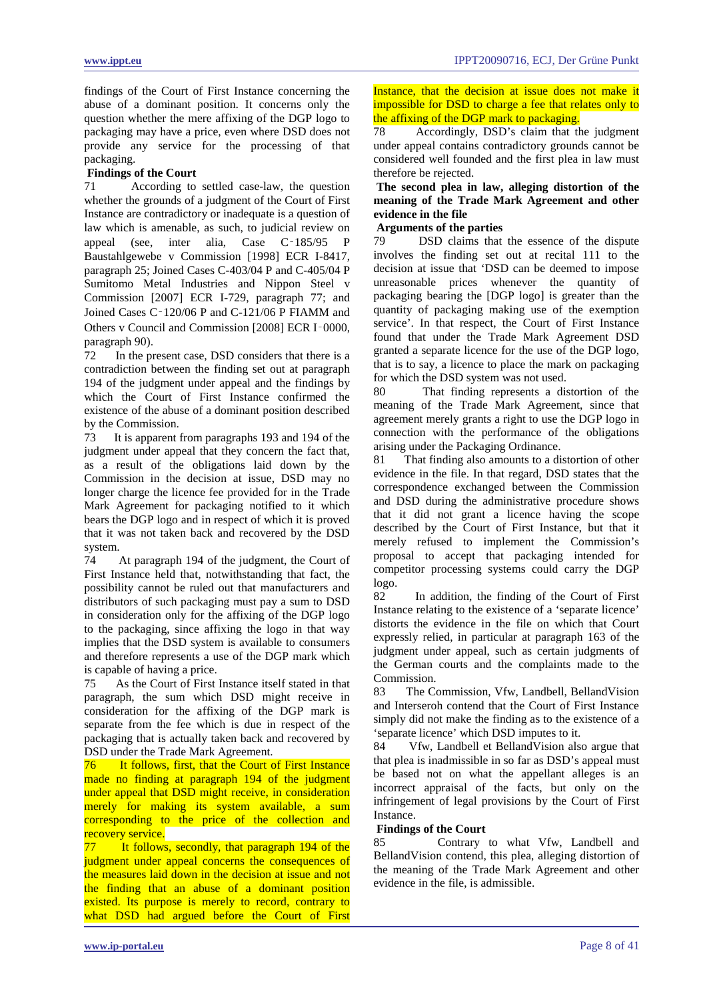findings of the Court of First Instance concerning the abuse of a dominant position. It concerns only the question whether the mere affixing of the DGP logo to packaging may have a price, even where DSD does not provide any service for the processing of that packaging.

# **Findings of the Court**<br>71 According to

According to settled case-law, the question whether the grounds of a judgment of the Court of First Instance are contradictory or inadequate is a question of law which is amenable, as such, to judicial review on appeal (see, inter alia, Case C‑185/95 P Baustahlgewebe v Commission [1998] ECR I-8417, paragraph 25; Joined Cases C-403/04 P and C-405/04 P Sumitomo Metal Industries and Nippon Steel v Commission [2007] ECR I-729, paragraph 77; and Joined Cases C‑120/06 P and C-121/06 P FIAMM and Others v Council and Commission [2008] ECR I‑0000, paragraph 90).<br>72 In the pr

In the present case, DSD considers that there is a contradiction between the finding set out at paragraph 194 of the judgment under appeal and the findings by which the Court of First Instance confirmed the existence of the abuse of a dominant position described by the Commission.<br>73 It is apparent

It is apparent from paragraphs 193 and 194 of the judgment under appeal that they concern the fact that, as a result of the obligations laid down by the Commission in the decision at issue, DSD may no longer charge the licence fee provided for in the Trade Mark Agreement for packaging notified to it which bears the DGP logo and in respect of which it is proved that it was not taken back and recovered by the DSD system.

74 At paragraph 194 of the judgment, the Court of First Instance held that, notwithstanding that fact, the possibility cannot be ruled out that manufacturers and distributors of such packaging must pay a sum to DSD in consideration only for the affixing of the DGP logo to the packaging, since affixing the logo in that way implies that the DSD system is available to consumers and therefore represents a use of the DGP mark which is capable of having a price.

75 As the Court of First Instance itself stated in that paragraph, the sum which DSD might receive in consideration for the affixing of the DGP mark is separate from the fee which is due in respect of the packaging that is actually taken back and recovered by DSD under the Trade Mark Agreement.

76 It follows, first, that the Court of First Instance made no finding at paragraph 194 of the judgment under appeal that DSD might receive, in consideration merely for making its system available, a sum corresponding to the price of the collection and recovery service.

77 It follows, secondly, that paragraph 194 of the judgment under appeal concerns the consequences of the measures laid down in the decision at issue and not the finding that an abuse of a dominant position existed. Its purpose is merely to record, contrary to what DSD had argued before the Court of First Instance, that the decision at issue does not make it impossible for DSD to charge a fee that relates only to the affixing of the DGP mark to packaging.

78 Accordingly, DSD's claim that the judgment under appeal contains contradictory grounds cannot be considered well founded and the first plea in law must therefore be rejected.

# **The second plea in law, alleging distortion of the meaning of the Trade Mark Agreement and other evidence in the file**

# **Arguments of the parties**<br>79 DSD claims that

DSD claims that the essence of the dispute involves the finding set out at recital 111 to the decision at issue that 'DSD can be deemed to impose unreasonable prices whenever the quantity of packaging bearing the [DGP logo] is greater than the quantity of packaging making use of the exemption service'. In that respect, the Court of First Instance found that under the Trade Mark Agreement DSD granted a separate licence for the use of the DGP logo, that is to say, a licence to place the mark on packaging for which the DSD system was not used.

80 That finding represents a distortion of the meaning of the Trade Mark Agreement, since that agreement merely grants a right to use the DGP logo in connection with the performance of the obligations arising under the Packaging Ordinance.

81 That finding also amounts to a distortion of other evidence in the file. In that regard, DSD states that the correspondence exchanged between the Commission and DSD during the administrative procedure shows that it did not grant a licence having the scope described by the Court of First Instance, but that it merely refused to implement the Commission's proposal to accept that packaging intended for competitor processing systems could carry the DGP logo.

82 In addition, the finding of the Court of First Instance relating to the existence of a 'separate licence' distorts the evidence in the file on which that Court expressly relied, in particular at paragraph 163 of the judgment under appeal, such as certain judgments of the German courts and the complaints made to the Commission.

83 The Commission, Vfw, Landbell, BellandVision and Interseroh contend that the Court of First Instance simply did not make the finding as to the existence of a 'separate licence' which DSD imputes to it.

84 Vfw, Landbell et BellandVision also argue that that plea is inadmissible in so far as DSD's appeal must be based not on what the appellant alleges is an incorrect appraisal of the facts, but only on the infringement of legal provisions by the Court of First Instance.

# **Findings of the Court**

85 Contrary to what Vfw, Landbell and BellandVision contend, this plea, alleging distortion of the meaning of the Trade Mark Agreement and other evidence in the file, is admissible.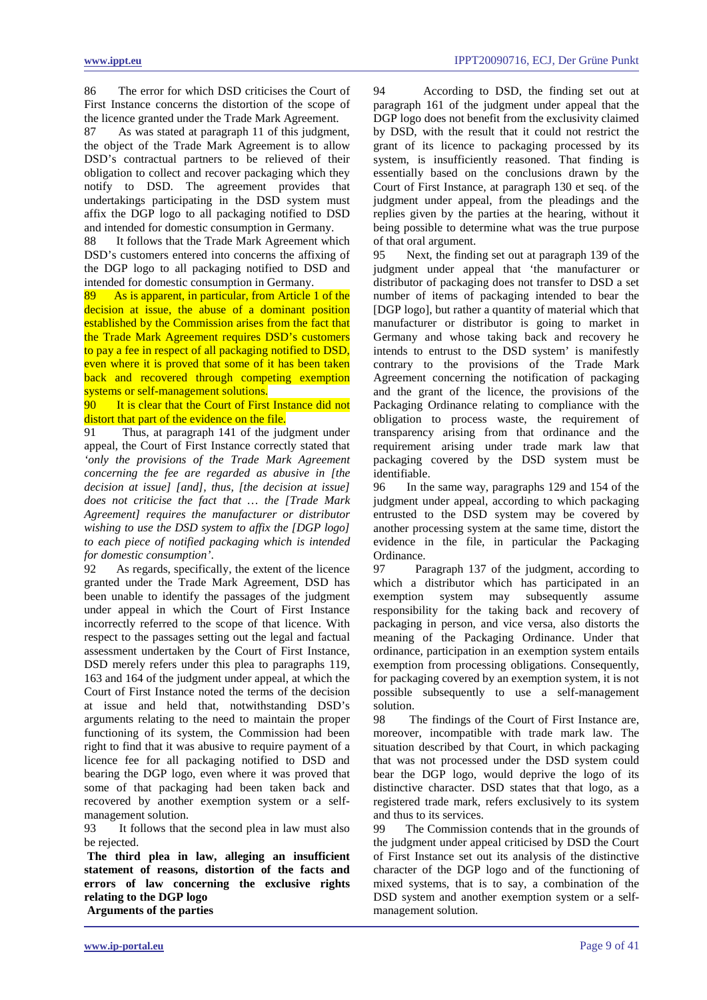86 The error for which DSD criticises the Court of First Instance concerns the distortion of the scope of the licence granted under the Trade Mark Agreement.

87 As was stated at paragraph 11 of this judgment, the object of the Trade Mark Agreement is to allow DSD's contractual partners to be relieved of their obligation to collect and recover packaging which they notify to DSD. The agreement provides that undertakings participating in the DSD system must affix the DGP logo to all packaging notified to DSD and intended for domestic consumption in Germany.<br>88 It follows that the Trade Mark Agreement wh

It follows that the Trade Mark Agreement which DSD's customers entered into concerns the affixing of the DGP logo to all packaging notified to DSD and intended for domestic consumption in Germany.

89 As is apparent, in particular, from Article 1 of the decision at issue, the abuse of a dominant position established by the Commission arises from the fact that the Trade Mark Agreement requires DSD's customers to pay a fee in respect of all packaging notified to DSD, even where it is proved that some of it has been taken back and recovered through competing exemption systems or self-management solutions.

90 It is clear that the Court of First Instance did not distort that part of the evidence on the file.

91 Thus, at paragraph 141 of the judgment under appeal, the Court of First Instance correctly stated that *'only the provisions of the Trade Mark Agreement concerning the fee are regarded as abusive in [the decision at issue] [and], thus, [the decision at issue] does not criticise the fact that … the [Trade Mark Agreement] requires the manufacturer or distributor wishing to use the DSD system to affix the [DGP logo] to each piece of notified packaging which is intended for domestic consumption'*.

92 As regards, specifically, the extent of the licence granted under the Trade Mark Agreement, DSD has been unable to identify the passages of the judgment under appeal in which the Court of First Instance incorrectly referred to the scope of that licence. With respect to the passages setting out the legal and factual assessment undertaken by the Court of First Instance, DSD merely refers under this plea to paragraphs 119, 163 and 164 of the judgment under appeal, at which the Court of First Instance noted the terms of the decision at issue and held that, notwithstanding DSD's arguments relating to the need to maintain the proper functioning of its system, the Commission had been right to find that it was abusive to require payment of a licence fee for all packaging notified to DSD and bearing the DGP logo, even where it was proved that some of that packaging had been taken back and recovered by another exemption system or a selfmanagement solution.

93 It follows that the second plea in law must also be rejected.

**The third plea in law, alleging an insufficient statement of reasons, distortion of the facts and errors of law concerning the exclusive rights relating to the DGP logo Arguments of the parties**

94 According to DSD, the finding set out at paragraph 161 of the judgment under appeal that the DGP logo does not benefit from the exclusivity claimed by DSD, with the result that it could not restrict the grant of its licence to packaging processed by its system, is insufficiently reasoned. That finding is essentially based on the conclusions drawn by the Court of First Instance, at paragraph 130 et seq. of the judgment under appeal, from the pleadings and the replies given by the parties at the hearing, without it being possible to determine what was the true purpose of that oral argument.

95 Next, the finding set out at paragraph 139 of the judgment under appeal that 'the manufacturer or distributor of packaging does not transfer to DSD a set number of items of packaging intended to bear the [DGP logo], but rather a quantity of material which that manufacturer or distributor is going to market in Germany and whose taking back and recovery he intends to entrust to the DSD system' is manifestly contrary to the provisions of the Trade Mark Agreement concerning the notification of packaging and the grant of the licence, the provisions of the Packaging Ordinance relating to compliance with the obligation to process waste, the requirement of transparency arising from that ordinance and the requirement arising under trade mark law that packaging covered by the DSD system must be identifiable.<br>96 In the

In the same way, paragraphs 129 and 154 of the judgment under appeal, according to which packaging entrusted to the DSD system may be covered by another processing system at the same time, distort the evidence in the file, in particular the Packaging Ordinance.

97 Paragraph 137 of the judgment, according to which a distributor which has participated in an exemption system may subsequently assume responsibility for the taking back and recovery of packaging in person, and vice versa, also distorts the meaning of the Packaging Ordinance. Under that ordinance, participation in an exemption system entails exemption from processing obligations. Consequently, for packaging covered by an exemption system, it is not possible subsequently to use a self-management solution.

98 The findings of the Court of First Instance are, moreover, incompatible with trade mark law. The situation described by that Court, in which packaging that was not processed under the DSD system could bear the DGP logo, would deprive the logo of its distinctive character. DSD states that that logo, as a registered trade mark, refers exclusively to its system and thus to its services.

99 The Commission contends that in the grounds of the judgment under appeal criticised by DSD the Court of First Instance set out its analysis of the distinctive character of the DGP logo and of the functioning of mixed systems, that is to say, a combination of the DSD system and another exemption system or a selfmanagement solution.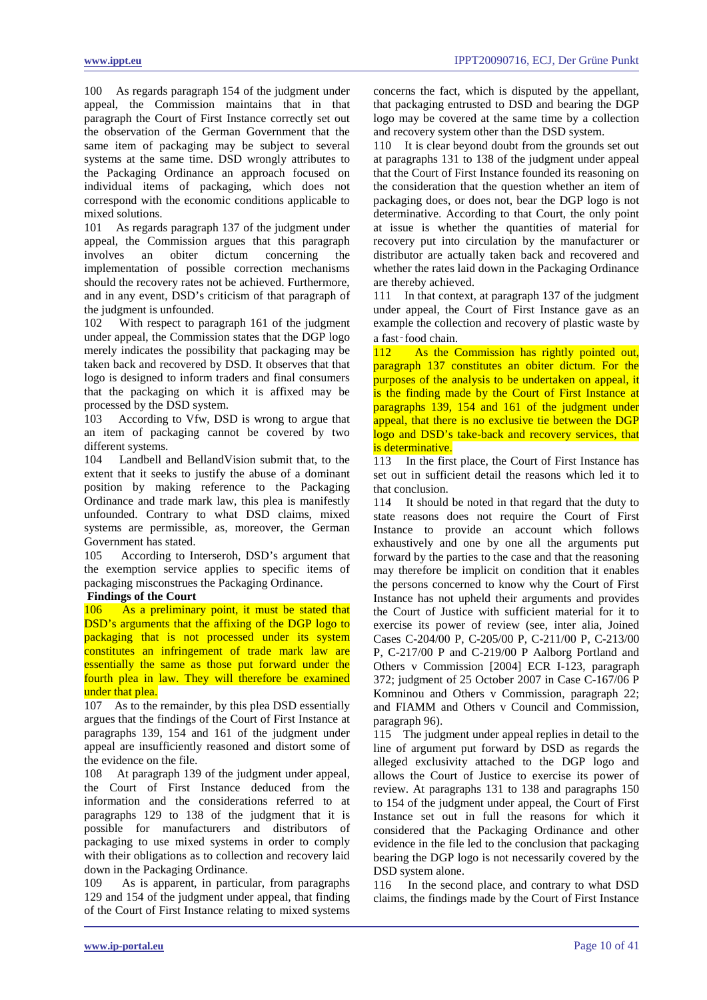100 As regards paragraph 154 of the judgment under appeal, the Commission maintains that in that paragraph the Court of First Instance correctly set out the observation of the German Government that the same item of packaging may be subject to several systems at the same time. DSD wrongly attributes to the Packaging Ordinance an approach focused on individual items of packaging, which does not correspond with the economic conditions applicable to mixed solutions.

101 As regards paragraph 137 of the judgment under appeal, the Commission argues that this paragraph<br>involves an obiter dictum concerning the involves an obiter dictum concerning the implementation of possible correction mechanisms should the recovery rates not be achieved. Furthermore, and in any event, DSD's criticism of that paragraph of the judgment is unfounded.

102 With respect to paragraph 161 of the judgment under appeal, the Commission states that the DGP logo merely indicates the possibility that packaging may be taken back and recovered by DSD. It observes that that logo is designed to inform traders and final consumers that the packaging on which it is affixed may be processed by the DSD system.

103 According to Vfw, DSD is wrong to argue that an item of packaging cannot be covered by two different systems.

104 Landbell and BellandVision submit that, to the extent that it seeks to justify the abuse of a dominant position by making reference to the Packaging Ordinance and trade mark law, this plea is manifestly unfounded. Contrary to what DSD claims, mixed systems are permissible, as, moreover, the German Government has stated.

105 According to Interseroh, DSD's argument that the exemption service applies to specific items of packaging misconstrues the Packaging Ordinance.

### **Findings of the Court**

106 As a preliminary point, it must be stated that DSD's arguments that the affixing of the DGP logo to packaging that is not processed under its system constitutes an infringement of trade mark law are essentially the same as those put forward under the fourth plea in law. They will therefore be examined under that plea.

107 As to the remainder, by this plea DSD essentially argues that the findings of the Court of First Instance at paragraphs 139, 154 and 161 of the judgment under appeal are insufficiently reasoned and distort some of the evidence on the file.

108 At paragraph 139 of the judgment under appeal, the Court of First Instance deduced from the information and the considerations referred to at paragraphs 129 to 138 of the judgment that it is possible for manufacturers and distributors of packaging to use mixed systems in order to comply with their obligations as to collection and recovery laid down in the Packaging Ordinance.

109 As is apparent, in particular, from paragraphs 129 and 154 of the judgment under appeal, that finding of the Court of First Instance relating to mixed systems concerns the fact, which is disputed by the appellant, that packaging entrusted to DSD and bearing the DGP logo may be covered at the same time by a collection and recovery system other than the DSD system.

110 It is clear beyond doubt from the grounds set out at paragraphs 131 to 138 of the judgment under appeal that the Court of First Instance founded its reasoning on the consideration that the question whether an item of packaging does, or does not, bear the DGP logo is not determinative. According to that Court, the only point at issue is whether the quantities of material for recovery put into circulation by the manufacturer or distributor are actually taken back and recovered and whether the rates laid down in the Packaging Ordinance are thereby achieved.

111 In that context, at paragraph 137 of the judgment under appeal, the Court of First Instance gave as an example the collection and recovery of plastic waste by a fast‑food chain.

112 As the Commission has rightly pointed out, paragraph 137 constitutes an obiter dictum. For the purposes of the analysis to be undertaken on appeal, it is the finding made by the Court of First Instance at paragraphs 139, 154 and 161 of the judgment under appeal, that there is no exclusive tie between the DGP logo and DSD's take-back and recovery services, that is determinative.

113 In the first place, the Court of First Instance has set out in sufficient detail the reasons which led it to that conclusion.

114 It should be noted in that regard that the duty to state reasons does not require the Court of First Instance to provide an account which follows exhaustively and one by one all the arguments put forward by the parties to the case and that the reasoning may therefore be implicit on condition that it enables the persons concerned to know why the Court of First Instance has not upheld their arguments and provides the Court of Justice with sufficient material for it to exercise its power of review (see, inter alia, Joined Cases C-204/00 P, C-205/00 P, C-211/00 P, C-213/00 P, C-217/00 P and C-219/00 P Aalborg Portland and Others v Commission [2004] ECR I-123, paragraph 372; judgment of 25 October 2007 in Case C-167/06 P Komninou and Others v Commission, paragraph 22; and FIAMM and Others v Council and Commission, paragraph 96).

115 The judgment under appeal replies in detail to the line of argument put forward by DSD as regards the alleged exclusivity attached to the DGP logo and allows the Court of Justice to exercise its power of review. At paragraphs 131 to 138 and paragraphs 150 to 154 of the judgment under appeal, the Court of First Instance set out in full the reasons for which it considered that the Packaging Ordinance and other evidence in the file led to the conclusion that packaging bearing the DGP logo is not necessarily covered by the DSD system alone.

116 In the second place, and contrary to what DSD claims, the findings made by the Court of First Instance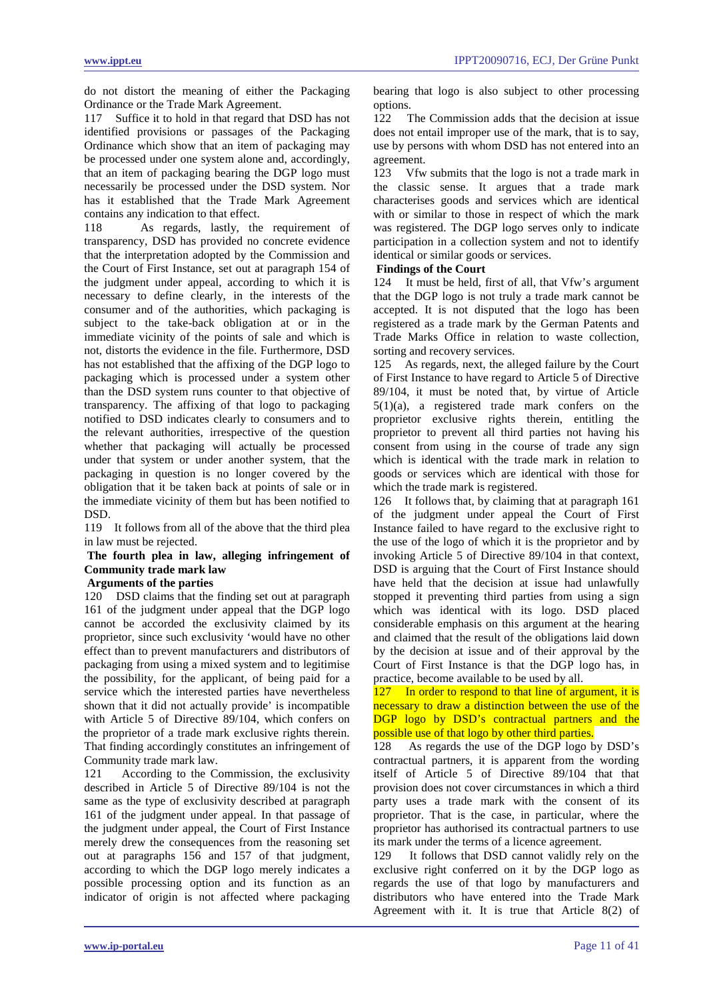do not distort the meaning of either the Packaging Ordinance or the Trade Mark Agreement.

117 Suffice it to hold in that regard that DSD has not identified provisions or passages of the Packaging Ordinance which show that an item of packaging may be processed under one system alone and, accordingly, that an item of packaging bearing the DGP logo must necessarily be processed under the DSD system. Nor has it established that the Trade Mark Agreement contains any indication to that effect.

118 As regards, lastly, the requirement of transparency, DSD has provided no concrete evidence that the interpretation adopted by the Commission and the Court of First Instance, set out at paragraph 154 of the judgment under appeal, according to which it is necessary to define clearly, in the interests of the consumer and of the authorities, which packaging is subject to the take-back obligation at or in the immediate vicinity of the points of sale and which is not, distorts the evidence in the file. Furthermore, DSD has not established that the affixing of the DGP logo to packaging which is processed under a system other than the DSD system runs counter to that objective of transparency. The affixing of that logo to packaging notified to DSD indicates clearly to consumers and to the relevant authorities, irrespective of the question whether that packaging will actually be processed under that system or under another system, that the packaging in question is no longer covered by the obligation that it be taken back at points of sale or in the immediate vicinity of them but has been notified to DSD.

119 It follows from all of the above that the third plea in law must be rejected.

**The fourth plea in law, alleging infringement of Community trade mark law** 

### **Arguments of the parties**

120 DSD claims that the finding set out at paragraph 161 of the judgment under appeal that the DGP logo cannot be accorded the exclusivity claimed by its proprietor, since such exclusivity 'would have no other effect than to prevent manufacturers and distributors of packaging from using a mixed system and to legitimise the possibility, for the applicant, of being paid for a service which the interested parties have nevertheless shown that it did not actually provide' is incompatible with Article 5 of Directive 89/104, which confers on the proprietor of a trade mark exclusive rights therein. That finding accordingly constitutes an infringement of Community trade mark law.

121 According to the Commission, the exclusivity described in Article 5 of Directive 89/104 is not the same as the type of exclusivity described at paragraph 161 of the judgment under appeal. In that passage of the judgment under appeal, the Court of First Instance merely drew the consequences from the reasoning set out at paragraphs 156 and 157 of that judgment, according to which the DGP logo merely indicates a possible processing option and its function as an indicator of origin is not affected where packaging bearing that logo is also subject to other processing options.<br>122 T

The Commission adds that the decision at issue does not entail improper use of the mark, that is to say, use by persons with whom DSD has not entered into an agreement.

123 Vfw submits that the logo is not a trade mark in the classic sense. It argues that a trade mark characterises goods and services which are identical with or similar to those in respect of which the mark was registered. The DGP logo serves only to indicate participation in a collection system and not to identify identical or similar goods or services.

### **Findings of the Court**

124 It must be held, first of all, that Vfw's argument that the DGP logo is not truly a trade mark cannot be accepted. It is not disputed that the logo has been registered as a trade mark by the German Patents and Trade Marks Office in relation to waste collection, sorting and recovery services.

125 As regards, next, the alleged failure by the Court of First Instance to have regard to Article 5 of Directive 89/104, it must be noted that, by virtue of Article 5(1)(a), a registered trade mark confers on the proprietor exclusive rights therein, entitling the proprietor to prevent all third parties not having his consent from using in the course of trade any sign which is identical with the trade mark in relation to goods or services which are identical with those for which the trade mark is registered.

126 It follows that, by claiming that at paragraph 161 of the judgment under appeal the Court of First Instance failed to have regard to the exclusive right to the use of the logo of which it is the proprietor and by invoking Article 5 of Directive 89/104 in that context, DSD is arguing that the Court of First Instance should have held that the decision at issue had unlawfully stopped it preventing third parties from using a sign which was identical with its logo. DSD placed considerable emphasis on this argument at the hearing and claimed that the result of the obligations laid down by the decision at issue and of their approval by the Court of First Instance is that the DGP logo has, in practice, become available to be used by all.

127 In order to respond to that line of argument, it is necessary to draw a distinction between the use of the DGP logo by DSD's contractual partners and the possible use of that logo by other third parties.

128 As regards the use of the DGP logo by DSD's contractual partners, it is apparent from the wording itself of Article 5 of Directive 89/104 that that provision does not cover circumstances in which a third party uses a trade mark with the consent of its proprietor. That is the case, in particular, where the proprietor has authorised its contractual partners to use its mark under the terms of a licence agreement.

129 It follows that DSD cannot validly rely on the exclusive right conferred on it by the DGP logo as regards the use of that logo by manufacturers and distributors who have entered into the Trade Mark Agreement with it. It is true that Article 8(2) of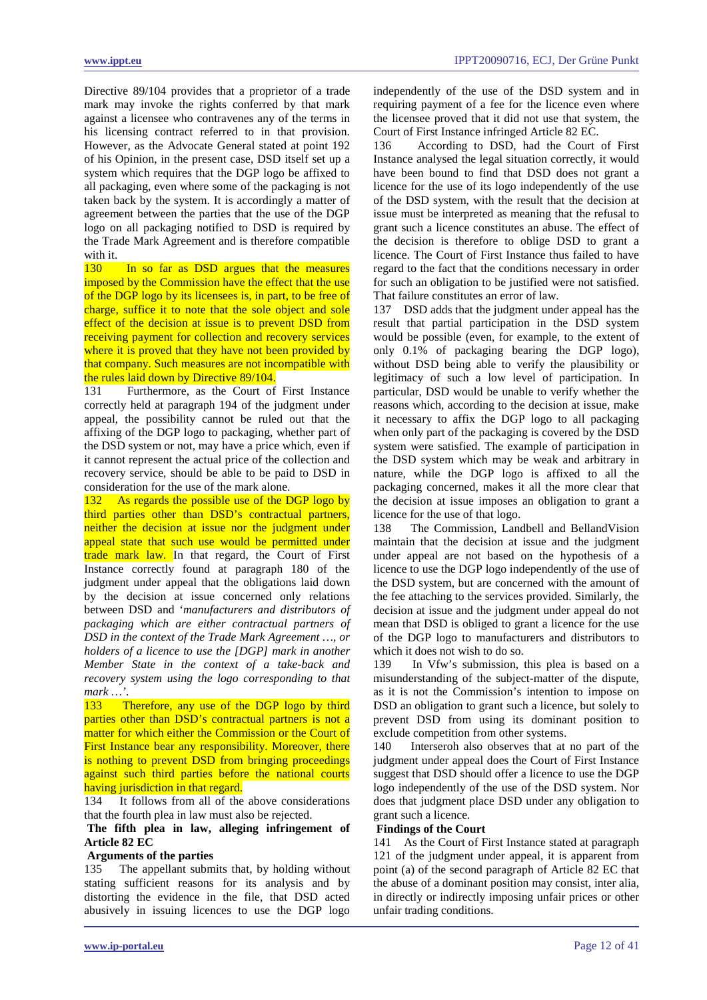Directive 89/104 provides that a proprietor of a trade mark may invoke the rights conferred by that mark against a licensee who contravenes any of the terms in his licensing contract referred to in that provision. However, as the Advocate General stated at point 192 of his Opinion, in the present case, DSD itself set up a system which requires that the DGP logo be affixed to all packaging, even where some of the packaging is not taken back by the system. It is accordingly a matter of agreement between the parties that the use of the DGP logo on all packaging notified to DSD is required by the Trade Mark Agreement and is therefore compatible with it.

130 In so far as DSD argues that the measures imposed by the Commission have the effect that the use of the DGP logo by its licensees is, in part, to be free of charge, suffice it to note that the sole object and sole effect of the decision at issue is to prevent DSD from receiving payment for collection and recovery services where it is proved that they have not been provided by that company. Such measures are not incompatible with the rules laid down by Directive 89/104.

131 Furthermore, as the Court of First Instance correctly held at paragraph 194 of the judgment under appeal, the possibility cannot be ruled out that the affixing of the DGP logo to packaging, whether part of the DSD system or not, may have a price which, even if it cannot represent the actual price of the collection and recovery service, should be able to be paid to DSD in consideration for the use of the mark alone.

132 As regards the possible use of the DGP logo by third parties other than DSD's contractual partners, neither the decision at issue nor the judgment under appeal state that such use would be permitted under trade mark law. In that regard, the Court of First Instance correctly found at paragraph 180 of the judgment under appeal that the obligations laid down by the decision at issue concerned only relations between DSD and '*manufacturers and distributors of packaging which are either contractual partners of DSD in the context of the Trade Mark Agreement …, or holders of a licence to use the [DGP] mark in another Member State in the context of a take-back and recovery system using the logo corresponding to that mark …'*.

133 Therefore, any use of the DGP logo by third parties other than DSD's contractual partners is not a matter for which either the Commission or the Court of First Instance bear any responsibility. Moreover, there is nothing to prevent DSD from bringing proceedings against such third parties before the national courts having jurisdiction in that regard.

134 It follows from all of the above considerations that the fourth plea in law must also be rejected.

# **The fifth plea in law, alleging infringement of Article 82 EC**

### **Arguments of the parties**

135 The appellant submits that, by holding without stating sufficient reasons for its analysis and by distorting the evidence in the file, that DSD acted abusively in issuing licences to use the DGP logo independently of the use of the DSD system and in requiring payment of a fee for the licence even where the licensee proved that it did not use that system, the Court of First Instance infringed Article 82 EC.

136 According to DSD, had the Court of First Instance analysed the legal situation correctly, it would have been bound to find that DSD does not grant a licence for the use of its logo independently of the use of the DSD system, with the result that the decision at issue must be interpreted as meaning that the refusal to grant such a licence constitutes an abuse. The effect of the decision is therefore to oblige DSD to grant a licence. The Court of First Instance thus failed to have regard to the fact that the conditions necessary in order for such an obligation to be justified were not satisfied. That failure constitutes an error of law.

137 DSD adds that the judgment under appeal has the result that partial participation in the DSD system would be possible (even, for example, to the extent of only 0.1% of packaging bearing the DGP logo), without DSD being able to verify the plausibility or legitimacy of such a low level of participation. In particular, DSD would be unable to verify whether the reasons which, according to the decision at issue, make it necessary to affix the DGP logo to all packaging when only part of the packaging is covered by the DSD system were satisfied. The example of participation in the DSD system which may be weak and arbitrary in nature, while the DGP logo is affixed to all the packaging concerned, makes it all the more clear that the decision at issue imposes an obligation to grant a licence for the use of that logo.

138 The Commission, Landbell and BellandVision maintain that the decision at issue and the judgment under appeal are not based on the hypothesis of a licence to use the DGP logo independently of the use of the DSD system, but are concerned with the amount of the fee attaching to the services provided. Similarly, the decision at issue and the judgment under appeal do not mean that DSD is obliged to grant a licence for the use of the DGP logo to manufacturers and distributors to which it does not wish to do so.

139 In Vfw's submission, this plea is based on a misunderstanding of the subject-matter of the dispute, as it is not the Commission's intention to impose on DSD an obligation to grant such a licence, but solely to prevent DSD from using its dominant position to exclude competition from other systems.

140 Interseroh also observes that at no part of the judgment under appeal does the Court of First Instance suggest that DSD should offer a licence to use the DGP logo independently of the use of the DSD system. Nor does that judgment place DSD under any obligation to grant such a licence.

#### **Findings of the Court**

141 As the Court of First Instance stated at paragraph 121 of the judgment under appeal, it is apparent from point (a) of the second paragraph of Article 82 EC that the abuse of a dominant position may consist, inter alia, in directly or indirectly imposing unfair prices or other unfair trading conditions.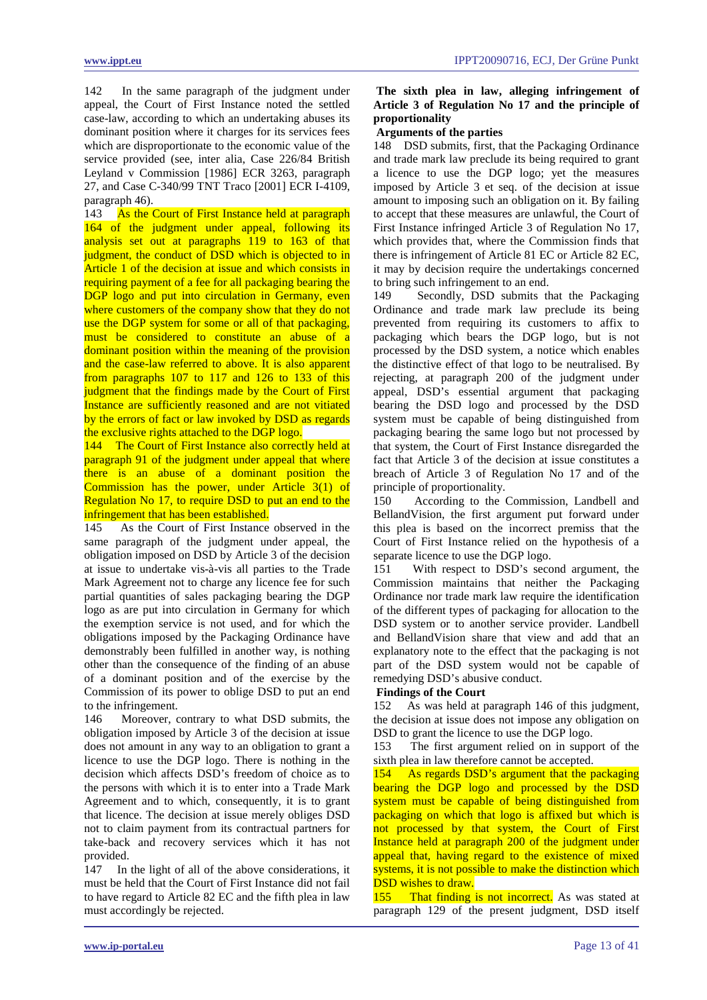142 In the same paragraph of the judgment under appeal, the Court of First Instance noted the settled case-law, according to which an undertaking abuses its dominant position where it charges for its services fees which are disproportionate to the economic value of the service provided (see, inter alia, Case 226/84 British Leyland v Commission [1986] ECR 3263, paragraph 27, and Case C-340/99 TNT Traco [2001] ECR I-4109, paragraph 46).

<span id="page-12-0"></span>143 As the Court of First Instance held at paragraph 164 of the judgment under appeal, following its analysis set out at paragraphs 119 to 163 of that judgment, the conduct of DSD which is objected to in Article 1 of the decision at issue and which consists in requiring payment of a fee for all packaging bearing the DGP logo and put into circulation in Germany, even where customers of the company show that they do not use the DGP system for some or all of that packaging, must be considered to constitute an abuse of a dominant position within the meaning of the provision and the case-law referred to above. It is also apparent from paragraphs 107 to 117 and 126 to 133 of this judgment that the findings made by the Court of First Instance are sufficiently reasoned and are not vitiated by the errors of fact or law invoked by DSD as regards the exclusive rights attached to the DGP logo.

144 The Court of First Instance also correctly held at paragraph 91 of the judgment under appeal that where there is an abuse of a dominant position the Commission has the power, under Article 3(1) of Regulation No 17, to require DSD to put an end to the infringement that has been established.

145 As the Court of First Instance observed in the same paragraph of the judgment under appeal, the obligation imposed on DSD by Article 3 of the decision at issue to undertake vis-à-vis all parties to the Trade Mark Agreement not to charge any licence fee for such partial quantities of sales packaging bearing the DGP logo as are put into circulation in Germany for which the exemption service is not used, and for which the obligations imposed by the Packaging Ordinance have demonstrably been fulfilled in another way, is nothing other than the consequence of the finding of an abuse of a dominant position and of the exercise by the Commission of its power to oblige DSD to put an end to the infringement.

146 Moreover, contrary to what DSD submits, the obligation imposed by Article 3 of the decision at issue does not amount in any way to an obligation to grant a licence to use the DGP logo. There is nothing in the decision which affects DSD's freedom of choice as to the persons with which it is to enter into a Trade Mark Agreement and to which, consequently, it is to grant that licence. The decision at issue merely obliges DSD not to claim payment from its contractual partners for take-back and recovery services which it has not provided.

147 In the light of all of the above considerations, it must be held that the Court of First Instance did not fail to have regard to Article 82 EC and the fifth plea in law must accordingly be rejected.

# **The sixth plea in law, alleging infringement of Article 3 of Regulation No 17 and the principle of proportionality**

### **Arguments of the parties**

148 DSD submits, first, that the Packaging Ordinance and trade mark law preclude its being required to grant a licence to use the DGP logo; yet the measures imposed by Article 3 et seq. of the decision at issue amount to imposing such an obligation on it. By failing to accept that these measures are unlawful, the Court of First Instance infringed Article 3 of Regulation No 17, which provides that, where the Commission finds that there is infringement of Article 81 EC or Article 82 EC, it may by decision require the undertakings concerned to bring such infringement to an end.

149 Secondly, DSD submits that the Packaging Ordinance and trade mark law preclude its being prevented from requiring its customers to affix to packaging which bears the DGP logo, but is not processed by the DSD system, a notice which enables the distinctive effect of that logo to be neutralised. By rejecting, at paragraph 200 of the judgment under appeal, DSD's essential argument that packaging bearing the DSD logo and processed by the DSD system must be capable of being distinguished from packaging bearing the same logo but not processed by that system, the Court of First Instance disregarded the fact that Article 3 of the decision at issue constitutes a breach of Article 3 of Regulation No 17 and of the principle of proportionality.

150 According to the Commission, Landbell and BellandVision, the first argument put forward under this plea is based on the incorrect premiss that the Court of First Instance relied on the hypothesis of a separate licence to use the DGP logo.

151 With respect to DSD's second argument, the Commission maintains that neither the Packaging Ordinance nor trade mark law require the identification of the different types of packaging for allocation to the DSD system or to another service provider. Landbell and BellandVision share that view and add that an explanatory note to the effect that the packaging is not part of the DSD system would not be capable of remedying DSD's abusive conduct.

### **Findings of the Court**

152 As was held at paragraph 146 of this judgment, the decision at issue does not impose any obligation on DSD to grant the licence to use the DGP logo.

153 The first argument relied on in support of the sixth plea in law therefore cannot be accepted.

154 As regards DSD's argument that the packaging bearing the DGP logo and processed by the DSD system must be capable of being distinguished from packaging on which that logo is affixed but which is not processed by that system, the Court of First Instance held at paragraph 200 of the judgment under appeal that, having regard to the existence of mixed systems, it is not possible to make the distinction which DSD wishes to draw.

155 That finding is not incorrect. As was stated at paragraph 129 of the present judgment, DSD itself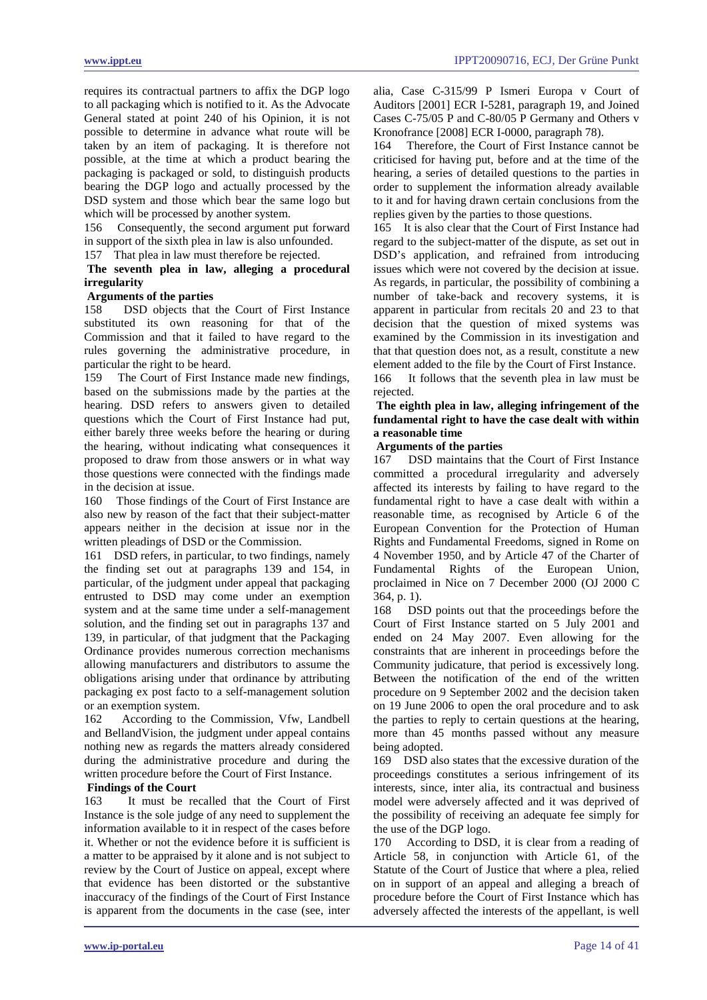requires its contractual partners to affix the DGP logo to all packaging which is notified to it. As the Advocate General stated at point 240 of his Opinion, it is not possible to determine in advance what route will be taken by an item of packaging. It is therefore not possible, at the time at which a product bearing the packaging is packaged or sold, to distinguish products bearing the DGP logo and actually processed by the DSD system and those which bear the same logo but which will be processed by another system.

156 Consequently, the second argument put forward in support of the sixth plea in law is also unfounded.

157 That plea in law must therefore be rejected.

# **The seventh plea in law, alleging a procedural irregularity**

### **Arguments of the parties**

158 DSD objects that the Court of First Instance substituted its own reasoning for that of the Commission and that it failed to have regard to the rules governing the administrative procedure, in particular the right to be heard.

159 The Court of First Instance made new findings, based on the submissions made by the parties at the hearing. DSD refers to answers given to detailed questions which the Court of First Instance had put, either barely three weeks before the hearing or during the hearing, without indicating what consequences it proposed to draw from those answers or in what way those questions were connected with the findings made in the decision at issue.

160 Those findings of the Court of First Instance are also new by reason of the fact that their subject-matter appears neither in the decision at issue nor in the written pleadings of DSD or the Commission.

161 DSD refers, in particular, to two findings, namely the finding set out at paragraphs 139 and 154, in particular, of the judgment under appeal that packaging entrusted to DSD may come under an exemption system and at the same time under a self-management solution, and the finding set out in paragraphs 137 and 139, in particular, of that judgment that the Packaging Ordinance provides numerous correction mechanisms allowing manufacturers and distributors to assume the obligations arising under that ordinance by attributing packaging ex post facto to a self-management solution or an exemption system.

162 According to the Commission, Vfw, Landbell and BellandVision, the judgment under appeal contains nothing new as regards the matters already considered during the administrative procedure and during the written procedure before the Court of First Instance.

# **Findings of the Court**

163 It must be recalled that the Court of First Instance is the sole judge of any need to supplement the information available to it in respect of the cases before it. Whether or not the evidence before it is sufficient is a matter to be appraised by it alone and is not subject to review by the Court of Justice on appeal, except where that evidence has been distorted or the substantive inaccuracy of the findings of the Court of First Instance is apparent from the documents in the case (see, inter alia, Case C-315/99 P Ismeri Europa v Court of Auditors [2001] ECR I-5281, paragraph 19, and Joined Cases C-75/05 P and C-80/05 P Germany and Others v Kronofrance [2008] ECR I-0000, paragraph 78).

164 Therefore, the Court of First Instance cannot be criticised for having put, before and at the time of the hearing, a series of detailed questions to the parties in order to supplement the information already available to it and for having drawn certain conclusions from the replies given by the parties to those questions.

165 It is also clear that the Court of First Instance had regard to the subject-matter of the dispute, as set out in DSD's application, and refrained from introducing issues which were not covered by the decision at issue. As regards, in particular, the possibility of combining a number of take-back and recovery systems, it is apparent in particular from recitals 20 and 23 to that decision that the question of mixed systems was examined by the Commission in its investigation and that that question does not, as a result, constitute a new element added to the file by the Court of First Instance.

166 It follows that the seventh plea in law must be rejected.

# **The eighth plea in law, alleging infringement of the fundamental right to have the case dealt with within a reasonable time**

### **Arguments of the parties**

167 DSD maintains that the Court of First Instance committed a procedural irregularity and adversely affected its interests by failing to have regard to the fundamental right to have a case dealt with within a reasonable time, as recognised by Article 6 of the European Convention for the Protection of Human Rights and Fundamental Freedoms, signed in Rome on 4 November 1950, and by Article 47 of the Charter of Fundamental Rights of the European Union, proclaimed in Nice on 7 December 2000 (OJ 2000 C 364, p. 1).

168 DSD points out that the proceedings before the Court of First Instance started on 5 July 2001 and ended on 24 May 2007. Even allowing for the constraints that are inherent in proceedings before the Community judicature, that period is excessively long. Between the notification of the end of the written procedure on 9 September 2002 and the decision taken on 19 June 2006 to open the oral procedure and to ask the parties to reply to certain questions at the hearing, more than 45 months passed without any measure being adopted.

169 DSD also states that the excessive duration of the proceedings constitutes a serious infringement of its interests, since, inter alia, its contractual and business model were adversely affected and it was deprived of the possibility of receiving an adequate fee simply for the use of the DGP logo.

170 According to DSD, it is clear from a reading of Article 58, in conjunction with Article 61, of the Statute of the Court of Justice that where a plea, relied on in support of an appeal and alleging a breach of procedure before the Court of First Instance which has adversely affected the interests of the appellant, is well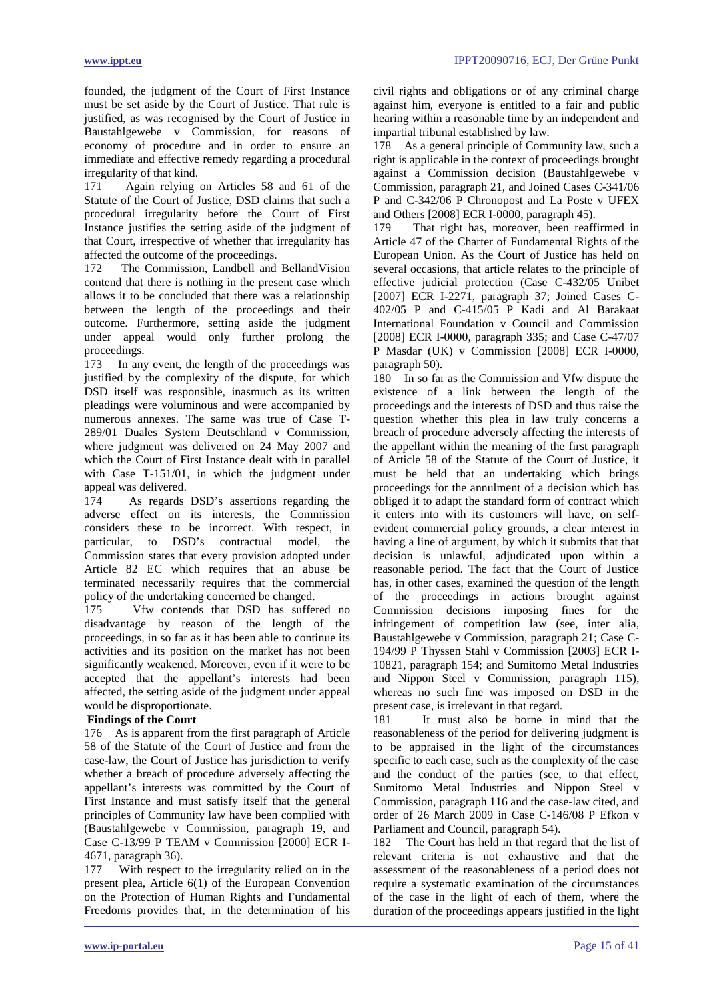founded, the judgment of the Court of First Instance must be set aside by the Court of Justice. That rule is justified, as was recognised by the Court of Justice in Baustahlgewebe v Commission, for reasons of economy of procedure and in order to ensure an immediate and effective remedy regarding a procedural irregularity of that kind.

171 Again relying on Articles 58 and 61 of the Statute of the Court of Justice, DSD claims that such a procedural irregularity before the Court of First Instance justifies the setting aside of the judgment of that Court, irrespective of whether that irregularity has affected the outcome of the proceedings.

172 The Commission, Landbell and BellandVision contend that there is nothing in the present case which allows it to be concluded that there was a relationship between the length of the proceedings and their outcome. Furthermore, setting aside the judgment under appeal would only further prolong the proceedings.<br>173 In any

In any event, the length of the proceedings was justified by the complexity of the dispute, for which DSD itself was responsible, inasmuch as its written pleadings were voluminous and were accompanied by numerous annexes. The same was true of Case T-289/01 Duales System Deutschland v Commission, where judgment was delivered on 24 May 2007 and which the Court of First Instance dealt with in parallel with Case T-151/01, in which the judgment under appeal was delivered.<br>174 As regards

As regards DSD's assertions regarding the adverse effect on its interests, the Commission considers these to be incorrect. With respect, in particular, to DSD's contractual model, the Commission states that every provision adopted under Article 82 EC which requires that an abuse be terminated necessarily requires that the commercial policy of the undertaking concerned be changed.

175 Vfw contends that DSD has suffered no disadvantage by reason of the length of the proceedings, in so far as it has been able to continue its activities and its position on the market has not been significantly weakened. Moreover, even if it were to be accepted that the appellant's interests had been affected, the setting aside of the judgment under appeal would be disproportionate.

# **Findings of the Court**

176 As is apparent from the first paragraph of Article 58 of the Statute of the Court of Justice and from the case-law, the Court of Justice has jurisdiction to verify whether a breach of procedure adversely affecting the appellant's interests was committed by the Court of First Instance and must satisfy itself that the general principles of Community law have been complied with (Baustahlgewebe v Commission, paragraph 19, and Case C-13/99 P TEAM v Commission [2000] ECR I-4671, paragraph 36).

177 With respect to the irregularity relied on in the present plea, Article 6(1) of the European Convention on the Protection of Human Rights and Fundamental Freedoms provides that, in the determination of his civil rights and obligations or of any criminal charge against him, everyone is entitled to a fair and public hearing within a reasonable time by an independent and impartial tribunal established by law.

178 As a general principle of Community law, such a right is applicable in the context of proceedings brought against a Commission decision (Baustahlgewebe v Commission, paragraph 21, and Joined Cases C-341/06 P and C-342/06 P Chronopost and La Poste v UFEX and Others [2008] ECR I-0000, paragraph 45).

179 That right has, moreover, been reaffirmed in Article 47 of the Charter of Fundamental Rights of the European Union. As the Court of Justice has held on several occasions, that article relates to the principle of effective judicial protection (Case C-432/05 Unibet [2007] ECR I-2271, paragraph 37; Joined Cases C-402/05 P and C-415/05 P Kadi and Al Barakaat International Foundation v Council and Commission [2008] ECR I-0000, paragraph 335; and Case C-47/07 P Masdar (UK) v Commission [2008] ECR I-0000, paragraph 50).

180 In so far as the Commission and Vfw dispute the existence of a link between the length of the proceedings and the interests of DSD and thus raise the question whether this plea in law truly concerns a breach of procedure adversely affecting the interests of the appellant within the meaning of the first paragraph of Article 58 of the Statute of the Court of Justice, it must be held that an undertaking which brings proceedings for the annulment of a decision which has obliged it to adapt the standard form of contract which it enters into with its customers will have, on selfevident commercial policy grounds, a clear interest in having a line of argument, by which it submits that that decision is unlawful, adjudicated upon within a reasonable period. The fact that the Court of Justice has, in other cases, examined the question of the length of the proceedings in actions brought against Commission decisions imposing fines for the infringement of competition law (see, inter alia, Baustahlgewebe v Commission, paragraph 21; Case C-194/99 P Thyssen Stahl v Commission [2003] ECR I-10821, paragraph 154; and Sumitomo Metal Industries and Nippon Steel v Commission, paragraph 115), whereas no such fine was imposed on DSD in the present case, is irrelevant in that regard.

181 It must also be borne in mind that the reasonableness of the period for delivering judgment is to be appraised in the light of the circumstances specific to each case, such as the complexity of the case and the conduct of the parties (see, to that effect, Sumitomo Metal Industries and Nippon Steel v Commission, paragraph 116 and the case-law cited, and order of 26 March 2009 in Case C-146/08 P Efkon v Parliament and Council, paragraph 54).

182 The Court has held in that regard that the list of relevant criteria is not exhaustive and that the assessment of the reasonableness of a period does not require a systematic examination of the circumstances of the case in the light of each of them, where the duration of the proceedings appears justified in the light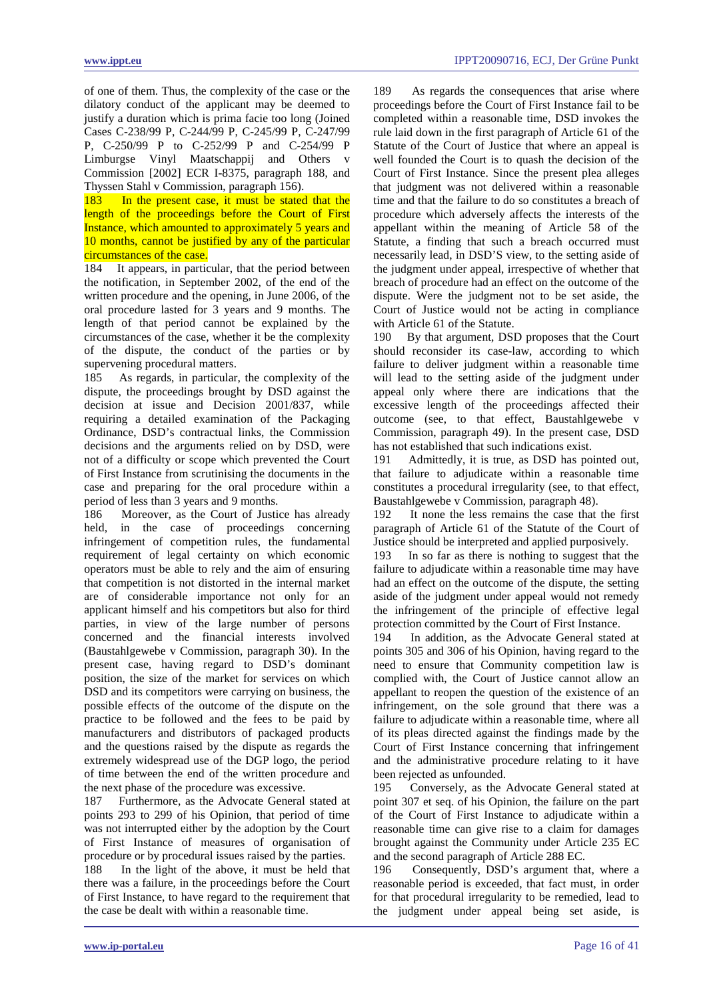of one of them. Thus, the complexity of the case or the dilatory conduct of the applicant may be deemed to justify a duration which is prima facie too long (Joined Cases C-238/99 P, C-244/99 P, C-245/99 P, C-247/99 P, C-250/99 P to C-252/99 P and C-254/99 P Limburgse Vinyl Maatschappij and Others Commission [2002] ECR I-8375, paragraph 188, and Thyssen Stahl v Commission, paragraph 156).

183 In the present case, it must be stated that the length of the proceedings before the Court of First Instance, which amounted to approximately 5 years and 10 months, cannot be justified by any of the particular circumstances of the case.

184 It appears, in particular, that the period between the notification, in September 2002, of the end of the written procedure and the opening, in June 2006, of the oral procedure lasted for 3 years and 9 months. The length of that period cannot be explained by the circumstances of the case, whether it be the complexity of the dispute, the conduct of the parties or by supervening procedural matters.

185 As regards, in particular, the complexity of the dispute, the proceedings brought by DSD against the decision at issue and Decision 2001/837, while requiring a detailed examination of the Packaging Ordinance, DSD's contractual links, the Commission decisions and the arguments relied on by DSD, were not of a difficulty or scope which prevented the Court of First Instance from scrutinising the documents in the case and preparing for the oral procedure within a period of less than 3 years and 9 months.<br>186 Moreover, as the Court of Justi

Moreover, as the Court of Justice has already held, in the case of proceedings concerning infringement of competition rules, the fundamental requirement of legal certainty on which economic operators must be able to rely and the aim of ensuring that competition is not distorted in the internal market are of considerable importance not only for an applicant himself and his competitors but also for third parties, in view of the large number of persons concerned and the financial interests involved (Baustahlgewebe v Commission, paragraph 30). In the present case, having regard to DSD's dominant position, the size of the market for services on which DSD and its competitors were carrying on business, the possible effects of the outcome of the dispute on the practice to be followed and the fees to be paid by manufacturers and distributors of packaged products and the questions raised by the dispute as regards the extremely widespread use of the DGP logo, the period of time between the end of the written procedure and the next phase of the procedure was excessive.

187 Furthermore, as the Advocate General stated at points 293 to 299 of his Opinion, that period of time was not interrupted either by the adoption by the Court of First Instance of measures of organisation of procedure or by procedural issues raised by the parties. 188 In the light of the above, it must be held that there was a failure, in the proceedings before the Court of First Instance, to have regard to the requirement that the case be dealt with within a reasonable time.

189 As regards the consequences that arise where proceedings before the Court of First Instance fail to be completed within a reasonable time, DSD invokes the rule laid down in the first paragraph of Article 61 of the Statute of the Court of Justice that where an appeal is well founded the Court is to quash the decision of the Court of First Instance. Since the present plea alleges that judgment was not delivered within a reasonable time and that the failure to do so constitutes a breach of procedure which adversely affects the interests of the appellant within the meaning of Article 58 of the Statute, a finding that such a breach occurred must necessarily lead, in DSD'S view, to the setting aside of the judgment under appeal, irrespective of whether that breach of procedure had an effect on the outcome of the dispute. Were the judgment not to be set aside, the Court of Justice would not be acting in compliance with Article 61 of the Statute.

190 By that argument, DSD proposes that the Court should reconsider its case-law, according to which failure to deliver judgment within a reasonable time will lead to the setting aside of the judgment under appeal only where there are indications that the excessive length of the proceedings affected their outcome (see, to that effect, Baustahlgewebe v Commission, paragraph 49). In the present case, DSD has not established that such indications exist.

191 Admittedly, it is true, as DSD has pointed out, that failure to adjudicate within a reasonable time constitutes a procedural irregularity (see, to that effect, Baustahlgewebe v Commission, paragraph 48).

192 It none the less remains the case that the first paragraph of Article 61 of the Statute of the Court of Justice should be interpreted and applied purposively.

193 In so far as there is nothing to suggest that the failure to adjudicate within a reasonable time may have had an effect on the outcome of the dispute, the setting aside of the judgment under appeal would not remedy the infringement of the principle of effective legal protection committed by the Court of First Instance.

194 In addition, as the Advocate General stated at points 305 and 306 of his Opinion, having regard to the need to ensure that Community competition law is complied with, the Court of Justice cannot allow an appellant to reopen the question of the existence of an infringement, on the sole ground that there was a failure to adjudicate within a reasonable time, where all of its pleas directed against the findings made by the Court of First Instance concerning that infringement and the administrative procedure relating to it have been rejected as unfounded.

195 Conversely, as the Advocate General stated at point 307 et seq. of his Opinion, the failure on the part of the Court of First Instance to adjudicate within a reasonable time can give rise to a claim for damages brought against the Community under Article 235 EC and the second paragraph of Article 288 EC.

196 Consequently, DSD's argument that, where a reasonable period is exceeded, that fact must, in order for that procedural irregularity to be remedied, lead to the judgment under appeal being set aside, is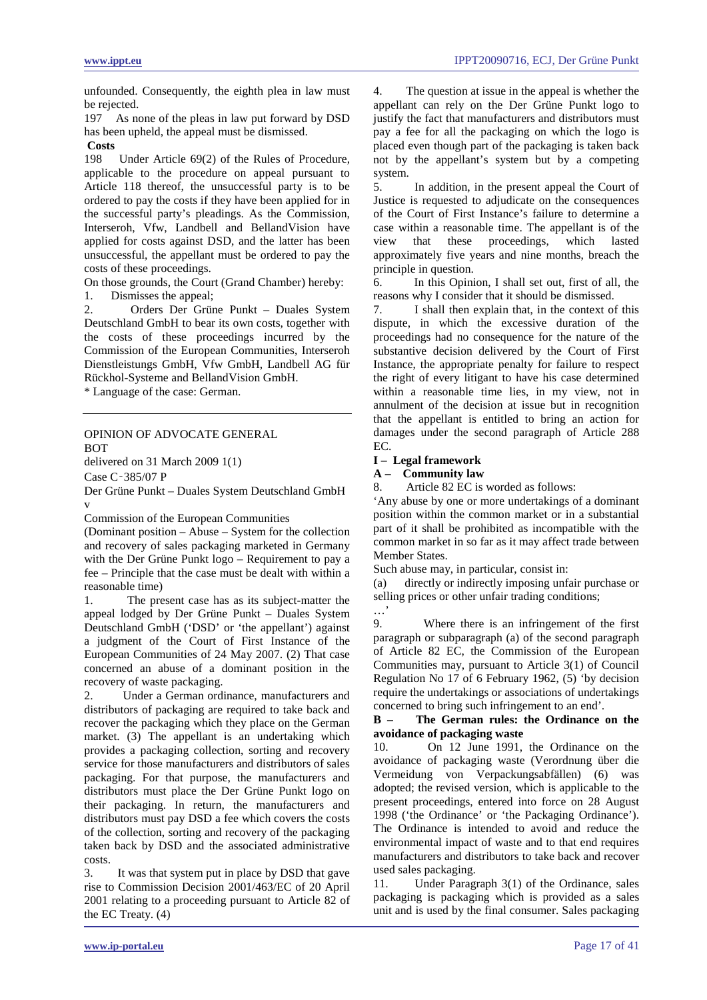unfounded. Consequently, the eighth plea in law must be rejected.

197 As none of the pleas in law put forward by DSD has been upheld, the appeal must be dismissed.

# **Costs**

198 Under Article 69(2) of the Rules of Procedure, applicable to the procedure on appeal pursuant to Article 118 thereof, the unsuccessful party is to be ordered to pay the costs if they have been applied for in the successful party's pleadings. As the Commission, Interseroh, Vfw, Landbell and BellandVision have applied for costs against DSD, and the latter has been unsuccessful, the appellant must be ordered to pay the costs of these proceedings.

On those grounds, the Court (Grand Chamber) hereby:

1. Dismisses the appeal;

2. Orders Der Grüne Punkt – Duales System Deutschland GmbH to bear its own costs, together with the costs of these proceedings incurred by the Commission of the European Communities, Interseroh Dienstleistungs GmbH, Vfw GmbH, Landbell AG für Rückhol-Systeme and BellandVision GmbH.

\* Language of the case: German.

### <span id="page-16-0"></span>OPINION OF ADVOCATE GENERAL BOT

delivered on 31 March 2009 1(1)

Case C‑385/07 P

Der Grüne Punkt – Duales System Deutschland GmbH v

Commission of the European Communities

(Dominant position – Abuse – System for the collection and recovery of sales packaging marketed in Germany with the Der Grüne Punkt logo – Requirement to pay a fee – Principle that the case must be dealt with within a reasonable time)

1. The present case has as its subject-matter the appeal lodged by Der Grüne Punkt – Duales System Deutschland GmbH ('DSD' or 'the appellant') against a judgment of the Court of First Instance of the European Communities of 24 May 2007. (2) That case concerned an abuse of a dominant position in the recovery of waste packaging.

2. Under a German ordinance, manufacturers and distributors of packaging are required to take back and recover the packaging which they place on the German market. (3) The appellant is an undertaking which provides a packaging collection, sorting and recovery service for those manufacturers and distributors of sales packaging. For that purpose, the manufacturers and distributors must place the Der Grüne Punkt logo on their packaging. In return, the manufacturers and distributors must pay DSD a fee which covers the costs of the collection, sorting and recovery of the packaging taken back by DSD and the associated administrative costs.

3. It was that system put in place by DSD that gave rise to Commission Decision 2001/463/EC of 20 April 2001 relating to a proceeding pursuant to Article 82 of the EC Treaty. (4)

4. The question at issue in the appeal is whether the appellant can rely on the Der Grüne Punkt logo to justify the fact that manufacturers and distributors must pay a fee for all the packaging on which the logo is placed even though part of the packaging is taken back not by the appellant's system but by a competing system.

5. In addition, in the present appeal the Court of Justice is requested to adjudicate on the consequences of the Court of First Instance's failure to determine a case within a reasonable time. The appellant is of the<br>view that these proceedings, which lasted view that these proceedings, which lasted approximately five years and nine months, breach the principle in question.

6. In this Opinion, I shall set out, first of all, the reasons why I consider that it should be dismissed.

7. I shall then explain that, in the context of this dispute, in which the excessive duration of the proceedings had no consequence for the nature of the substantive decision delivered by the Court of First Instance, the appropriate penalty for failure to respect the right of every litigant to have his case determined within a reasonable time lies, in my view, not in annulment of the decision at issue but in recognition that the appellant is entitled to bring an action for damages under the second paragraph of Article 288 EC.

### **I – Legal framework**

**A – Community law** 

8. Article 82 EC is worded as follows:

'Any abuse by one or more undertakings of a dominant position within the common market or in a substantial part of it shall be prohibited as incompatible with the common market in so far as it may affect trade between Member States.

Such abuse may, in particular, consist in:

(a) directly or indirectly imposing unfair purchase or selling prices or other unfair trading conditions; …'

9. Where there is an infringement of the first paragraph or subparagraph (a) of the second paragraph of Article 82 EC, the Commission of the European Communities may, pursuant to Article 3(1) of Council Regulation No 17 of 6 February 1962, (5) 'by decision require the undertakings or associations of undertakings concerned to bring such infringement to an end'.

**B – The German rules: the Ordinance on the avoidance of packaging waste** 

10. On 12 June 1991, the Ordinance on the avoidance of packaging waste (Verordnung über die Vermeidung von Verpackungsabfällen) (6) was adopted; the revised version, which is applicable to the present proceedings, entered into force on 28 August 1998 ('the Ordinance' or 'the Packaging Ordinance'). The Ordinance is intended to avoid and reduce the environmental impact of waste and to that end requires manufacturers and distributors to take back and recover used sales packaging.

11. Under Paragraph 3(1) of the Ordinance, sales packaging is packaging which is provided as a sales unit and is used by the final consumer. Sales packaging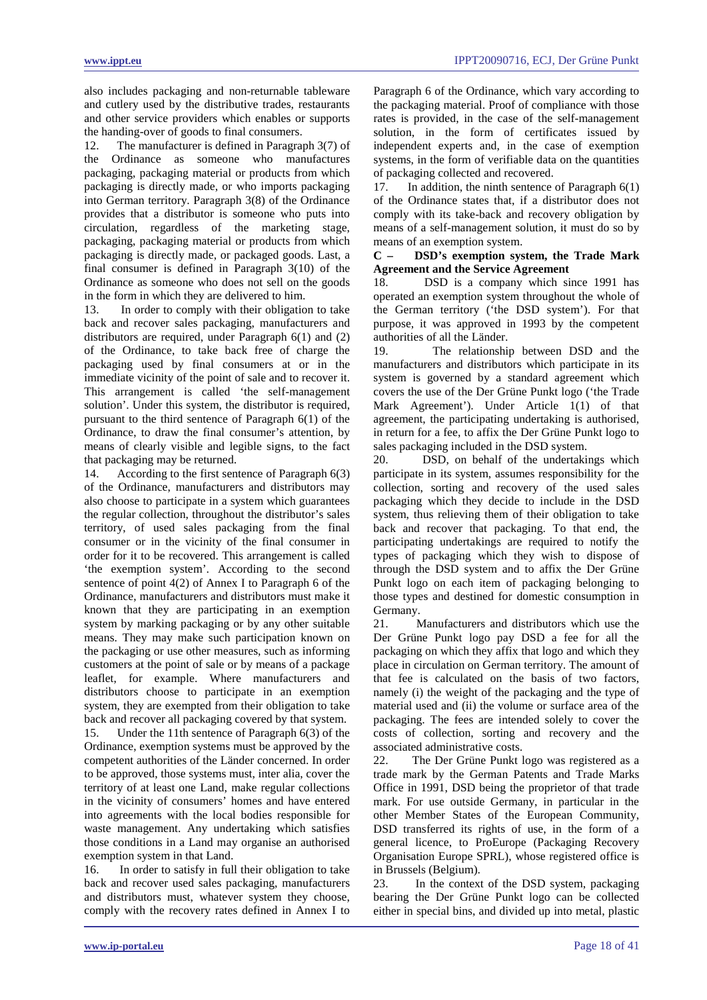also includes packaging and non-returnable tableware and cutlery used by the distributive trades, restaurants and other service providers which enables or supports the handing-over of goods to final consumers.

12. The manufacturer is defined in Paragraph 3(7) of the Ordinance as someone who manufactures packaging, packaging material or products from which packaging is directly made, or who imports packaging into German territory. Paragraph 3(8) of the Ordinance provides that a distributor is someone who puts into circulation, regardless of the marketing stage, packaging, packaging material or products from which packaging is directly made, or packaged goods. Last, a final consumer is defined in Paragraph 3(10) of the Ordinance as someone who does not sell on the goods in the form in which they are delivered to him.

13. In order to comply with their obligation to take back and recover sales packaging, manufacturers and distributors are required, under Paragraph 6(1) and (2) of the Ordinance, to take back free of charge the packaging used by final consumers at or in the immediate vicinity of the point of sale and to recover it. This arrangement is called 'the self-management solution'. Under this system, the distributor is required, pursuant to the third sentence of Paragraph 6(1) of the Ordinance, to draw the final consumer's attention, by means of clearly visible and legible signs, to the fact that packaging may be returned.

14. According to the first sentence of Paragraph 6(3) of the Ordinance, manufacturers and distributors may also choose to participate in a system which guarantees the regular collection, throughout the distributor's sales territory, of used sales packaging from the final consumer or in the vicinity of the final consumer in order for it to be recovered. This arrangement is called 'the exemption system'. According to the second sentence of point 4(2) of Annex I to Paragraph 6 of the Ordinance, manufacturers and distributors must make it known that they are participating in an exemption system by marking packaging or by any other suitable means. They may make such participation known on the packaging or use other measures, such as informing customers at the point of sale or by means of a package leaflet, for example. Where manufacturers and distributors choose to participate in an exemption system, they are exempted from their obligation to take back and recover all packaging covered by that system.

15. Under the 11th sentence of Paragraph 6(3) of the Ordinance, exemption systems must be approved by the competent authorities of the Länder concerned. In order to be approved, those systems must, inter alia, cover the territory of at least one Land, make regular collections in the vicinity of consumers' homes and have entered into agreements with the local bodies responsible for waste management. Any undertaking which satisfies those conditions in a Land may organise an authorised exemption system in that Land.

16. In order to satisfy in full their obligation to take back and recover used sales packaging, manufacturers and distributors must, whatever system they choose, comply with the recovery rates defined in Annex I to Paragraph 6 of the Ordinance, which vary according to the packaging material. Proof of compliance with those rates is provided, in the case of the self-management solution, in the form of certificates issued by independent experts and, in the case of exemption systems, in the form of verifiable data on the quantities of packaging collected and recovered.<br>17 In addition the ninth sentence

In addition, the ninth sentence of Paragraph  $6(1)$ of the Ordinance states that, if a distributor does not comply with its take-back and recovery obligation by means of a self-management solution, it must do so by means of an exemption system.

# **C – DSD's exemption system, the Trade Mark Agreement and the Service Agreement**

18. DSD is a company which since 1991 has operated an exemption system throughout the whole of the German territory ('the DSD system'). For that purpose, it was approved in 1993 by the competent authorities of all the Länder.

19. The relationship between DSD and the manufacturers and distributors which participate in its system is governed by a standard agreement which covers the use of the Der Grüne Punkt logo ('the Trade Mark Agreement'). Under Article 1(1) of that agreement, the participating undertaking is authorised, in return for a fee, to affix the Der Grüne Punkt logo to sales packaging included in the DSD system.

20. DSD, on behalf of the undertakings which participate in its system, assumes responsibility for the collection, sorting and recovery of the used sales packaging which they decide to include in the DSD system, thus relieving them of their obligation to take back and recover that packaging. To that end, the participating undertakings are required to notify the types of packaging which they wish to dispose of through the DSD system and to affix the Der Grüne Punkt logo on each item of packaging belonging to those types and destined for domestic consumption in Germany.

21. Manufacturers and distributors which use the Der Grüne Punkt logo pay DSD a fee for all the packaging on which they affix that logo and which they place in circulation on German territory. The amount of that fee is calculated on the basis of two factors, namely (i) the weight of the packaging and the type of material used and (ii) the volume or surface area of the packaging. The fees are intended solely to cover the costs of collection, sorting and recovery and the associated administrative costs.

22. The Der Grüne Punkt logo was registered as a trade mark by the German Patents and Trade Marks Office in 1991, DSD being the proprietor of that trade mark. For use outside Germany, in particular in the other Member States of the European Community, DSD transferred its rights of use, in the form of a general licence, to ProEurope (Packaging Recovery Organisation Europe SPRL), whose registered office is in Brussels (Belgium).

23. In the context of the DSD system, packaging bearing the Der Grüne Punkt logo can be collected either in special bins, and divided up into metal, plastic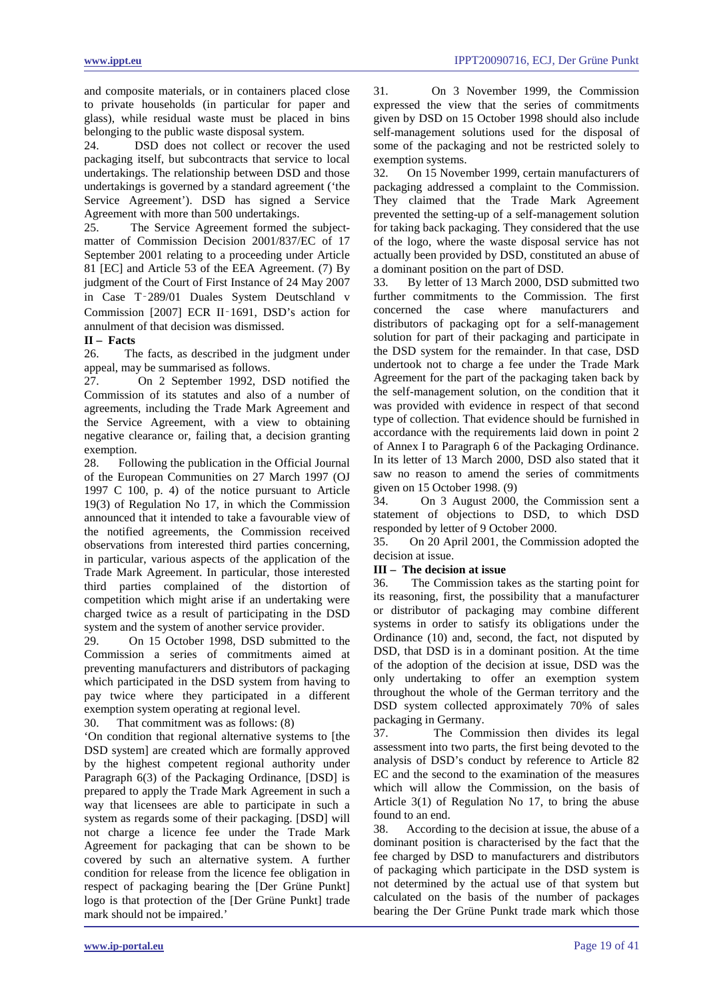and composite materials, or in containers placed close to private households (in particular for paper and glass), while residual waste must be placed in bins belonging to the public waste disposal system.

24. DSD does not collect or recover the used packaging itself, but subcontracts that service to local undertakings. The relationship between DSD and those undertakings is governed by a standard agreement ('the Service Agreement'). DSD has signed a Service Agreement with more than 500 undertakings.

25. The Service Agreement formed the subjectmatter of Commission Decision 2001/837/EC of 17 September 2001 relating to a proceeding under Article 81 [EC] and Article 53 of the EEA Agreement. (7) By judgment of the Court of First Instance of 24 May 2007 in Case T‑289/01 Duales System Deutschland v Commission [2007] ECR II‑1691, DSD's action for annulment of that decision was dismissed.

### **II – Facts**

26. The facts, as described in the judgment under appeal, may be summarised as follows.

27. On 2 September 1992, DSD notified the Commission of its statutes and also of a number of agreements, including the Trade Mark Agreement and the Service Agreement, with a view to obtaining negative clearance or, failing that, a decision granting exemption.

28. Following the publication in the Official Journal of the European Communities on 27 March 1997 (OJ 1997 C 100, p. 4) of the notice pursuant to Article 19(3) of Regulation No 17, in which the Commission announced that it intended to take a favourable view of the notified agreements, the Commission received observations from interested third parties concerning, in particular, various aspects of the application of the Trade Mark Agreement. In particular, those interested third parties complained of the distortion of competition which might arise if an undertaking were charged twice as a result of participating in the DSD system and the system of another service provider.

29. On 15 October 1998, DSD submitted to the Commission a series of commitments aimed at preventing manufacturers and distributors of packaging which participated in the DSD system from having to pay twice where they participated in a different exemption system operating at regional level.

30. That commitment was as follows: (8)

'On condition that regional alternative systems to [the DSD system] are created which are formally approved by the highest competent regional authority under Paragraph 6(3) of the Packaging Ordinance, [DSD] is prepared to apply the Trade Mark Agreement in such a way that licensees are able to participate in such a system as regards some of their packaging. [DSD] will not charge a licence fee under the Trade Mark Agreement for packaging that can be shown to be covered by such an alternative system. A further condition for release from the licence fee obligation in respect of packaging bearing the [Der Grüne Punkt] logo is that protection of the [Der Grüne Punkt] trade mark should not be impaired.'

31. On 3 November 1999, the Commission expressed the view that the series of commitments given by DSD on 15 October 1998 should also include self-management solutions used for the disposal of some of the packaging and not be restricted solely to exemption systems.

32. On 15 November 1999, certain manufacturers of packaging addressed a complaint to the Commission. They claimed that the Trade Mark Agreement prevented the setting-up of a self-management solution for taking back packaging. They considered that the use of the logo, where the waste disposal service has not actually been provided by DSD, constituted an abuse of a dominant position on the part of DSD.

33. By letter of 13 March 2000, DSD submitted two further commitments to the Commission. The first concerned the case where manufacturers and distributors of packaging opt for a self-management solution for part of their packaging and participate in the DSD system for the remainder. In that case, DSD undertook not to charge a fee under the Trade Mark Agreement for the part of the packaging taken back by the self-management solution, on the condition that it was provided with evidence in respect of that second type of collection. That evidence should be furnished in accordance with the requirements laid down in point 2 of Annex I to Paragraph 6 of the Packaging Ordinance. In its letter of 13 March 2000, DSD also stated that it saw no reason to amend the series of commitments given on 15 October 1998. (9)

34. On 3 August 2000, the Commission sent a statement of objections to DSD, to which DSD responded by letter of 9 October 2000.

35. On 20 April 2001, the Commission adopted the decision at issue.

### **III – The decision at issue**

36. The Commission takes as the starting point for its reasoning, first, the possibility that a manufacturer or distributor of packaging may combine different systems in order to satisfy its obligations under the Ordinance (10) and, second, the fact, not disputed by DSD, that DSD is in a dominant position. At the time of the adoption of the decision at issue, DSD was the only undertaking to offer an exemption system throughout the whole of the German territory and the DSD system collected approximately 70% of sales packaging in Germany.

37. The Commission then divides its legal assessment into two parts, the first being devoted to the analysis of DSD's conduct by reference to Article 82 EC and the second to the examination of the measures which will allow the Commission, on the basis of Article 3(1) of Regulation No 17, to bring the abuse found to an end.

38. According to the decision at issue, the abuse of a dominant position is characterised by the fact that the fee charged by DSD to manufacturers and distributors of packaging which participate in the DSD system is not determined by the actual use of that system but calculated on the basis of the number of packages bearing the Der Grüne Punkt trade mark which those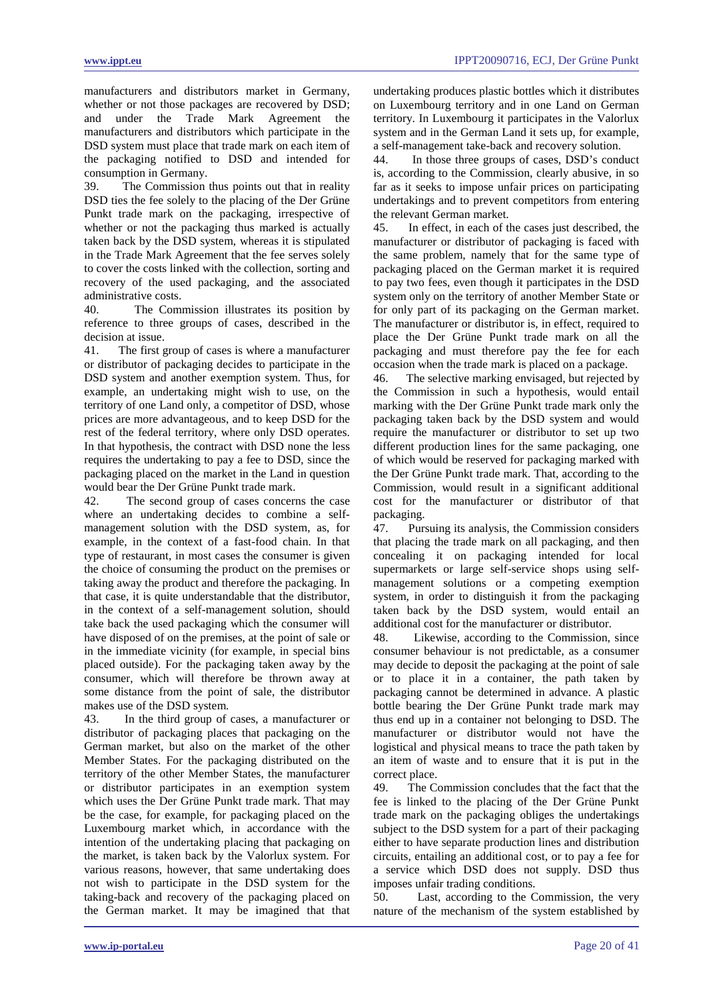manufacturers and distributors market in Germany, whether or not those packages are recovered by DSD; and under the Trade Mark Agreement the manufacturers and distributors which participate in the DSD system must place that trade mark on each item of the packaging notified to DSD and intended for consumption in Germany.

39. The Commission thus points out that in reality DSD ties the fee solely to the placing of the Der Grüne Punkt trade mark on the packaging, irrespective of whether or not the packaging thus marked is actually taken back by the DSD system, whereas it is stipulated in the Trade Mark Agreement that the fee serves solely to cover the costs linked with the collection, sorting and recovery of the used packaging, and the associated administrative costs.

40. The Commission illustrates its position by reference to three groups of cases, described in the decision at issue.

41. The first group of cases is where a manufacturer or distributor of packaging decides to participate in the DSD system and another exemption system. Thus, for example, an undertaking might wish to use, on the territory of one Land only, a competitor of DSD, whose prices are more advantageous, and to keep DSD for the rest of the federal territory, where only DSD operates. In that hypothesis, the contract with DSD none the less requires the undertaking to pay a fee to DSD, since the packaging placed on the market in the Land in question would bear the Der Grüne Punkt trade mark.<br>42. The second group of cases concerned

The second group of cases concerns the case where an undertaking decides to combine a selfmanagement solution with the DSD system, as, for example, in the context of a fast-food chain. In that type of restaurant, in most cases the consumer is given the choice of consuming the product on the premises or taking away the product and therefore the packaging. In that case, it is quite understandable that the distributor, in the context of a self-management solution, should take back the used packaging which the consumer will have disposed of on the premises, at the point of sale or in the immediate vicinity (for example, in special bins placed outside). For the packaging taken away by the consumer, which will therefore be thrown away at some distance from the point of sale, the distributor makes use of the DSD system.

43. In the third group of cases, a manufacturer or distributor of packaging places that packaging on the German market, but also on the market of the other Member States. For the packaging distributed on the territory of the other Member States, the manufacturer or distributor participates in an exemption system which uses the Der Grüne Punkt trade mark. That may be the case, for example, for packaging placed on the Luxembourg market which, in accordance with the intention of the undertaking placing that packaging on the market, is taken back by the Valorlux system. For various reasons, however, that same undertaking does not wish to participate in the DSD system for the taking-back and recovery of the packaging placed on the German market. It may be imagined that that undertaking produces plastic bottles which it distributes on Luxembourg territory and in one Land on German territory. In Luxembourg it participates in the Valorlux system and in the German Land it sets up, for example, a self-management take-back and recovery solution.

44. In those three groups of cases, DSD's conduct is, according to the Commission, clearly abusive, in so far as it seeks to impose unfair prices on participating undertakings and to prevent competitors from entering the relevant German market.

45. In effect, in each of the cases just described, the manufacturer or distributor of packaging is faced with the same problem, namely that for the same type of packaging placed on the German market it is required to pay two fees, even though it participates in the DSD system only on the territory of another Member State or for only part of its packaging on the German market. The manufacturer or distributor is, in effect, required to place the Der Grüne Punkt trade mark on all the packaging and must therefore pay the fee for each occasion when the trade mark is placed on a package.

46. The selective marking envisaged, but rejected by the Commission in such a hypothesis, would entail marking with the Der Grüne Punkt trade mark only the packaging taken back by the DSD system and would require the manufacturer or distributor to set up two different production lines for the same packaging, one of which would be reserved for packaging marked with the Der Grüne Punkt trade mark. That, according to the Commission, would result in a significant additional cost for the manufacturer or distributor of that packaging.

47. Pursuing its analysis, the Commission considers that placing the trade mark on all packaging, and then concealing it on packaging intended for local supermarkets or large self-service shops using selfmanagement solutions or a competing exemption system, in order to distinguish it from the packaging taken back by the DSD system, would entail an additional cost for the manufacturer or distributor.

48. Likewise, according to the Commission, since consumer behaviour is not predictable, as a consumer may decide to deposit the packaging at the point of sale or to place it in a container, the path taken by packaging cannot be determined in advance. A plastic bottle bearing the Der Grüne Punkt trade mark may thus end up in a container not belonging to DSD. The manufacturer or distributor would not have the logistical and physical means to trace the path taken by an item of waste and to ensure that it is put in the correct place.

49. The Commission concludes that the fact that the fee is linked to the placing of the Der Grüne Punkt trade mark on the packaging obliges the undertakings subject to the DSD system for a part of their packaging either to have separate production lines and distribution circuits, entailing an additional cost, or to pay a fee for a service which DSD does not supply. DSD thus imposes unfair trading conditions.

50. Last, according to the Commission, the very nature of the mechanism of the system established by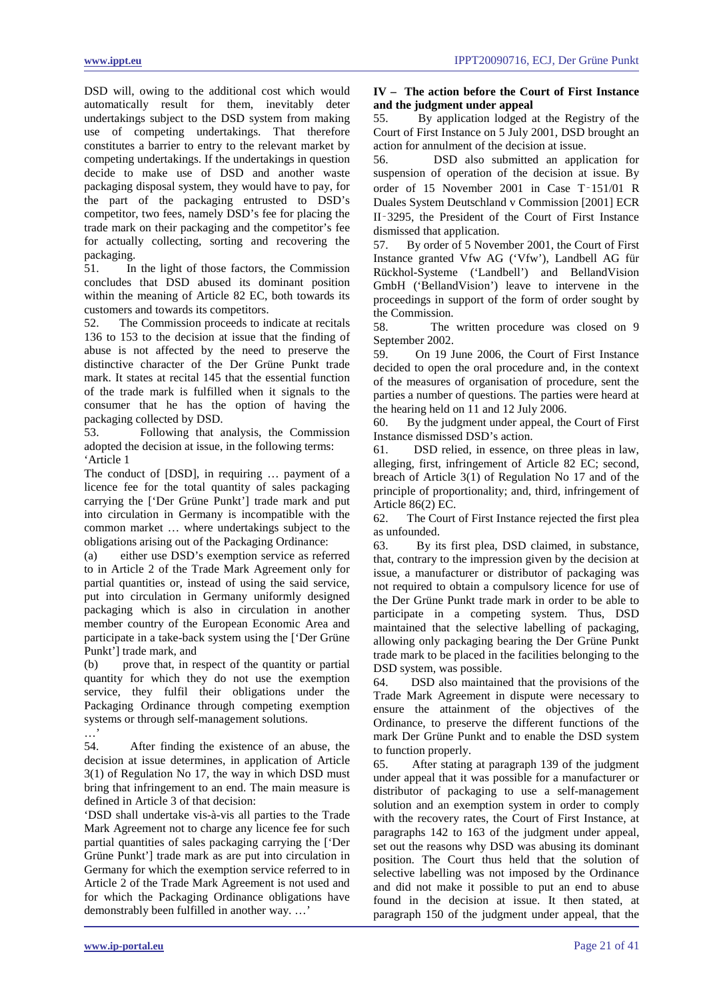DSD will, owing to the additional cost which would automatically result for them, inevitably deter undertakings subject to the DSD system from making use of competing undertakings. That therefore constitutes a barrier to entry to the relevant market by competing undertakings. If the undertakings in question decide to make use of DSD and another waste packaging disposal system, they would have to pay, for the part of the packaging entrusted to DSD's competitor, two fees, namely DSD's fee for placing the trade mark on their packaging and the competitor's fee for actually collecting, sorting and recovering the packaging.<br>51. In

51. In the light of those factors, the Commission concludes that DSD abused its dominant position within the meaning of Article 82 EC, both towards its customers and towards its competitors.

52. The Commission proceeds to indicate at recitals 136 to 153 to the decision at issue that the finding of abuse is not affected by the need to preserve the distinctive character of the Der Grüne Punkt trade mark. It states at recital 145 that the essential function of the trade mark is fulfilled when it signals to the consumer that he has the option of having the packaging collected by DSD.

53. Following that analysis, the Commission adopted the decision at issue, in the following terms: 'Article 1

The conduct of [DSD], in requiring … payment of a licence fee for the total quantity of sales packaging carrying the ['Der Grüne Punkt'] trade mark and put into circulation in Germany is incompatible with the common market … where undertakings subject to the obligations arising out of the Packaging Ordinance:

(a) either use DSD's exemption service as referred to in Article 2 of the Trade Mark Agreement only for partial quantities or, instead of using the said service, put into circulation in Germany uniformly designed packaging which is also in circulation in another member country of the European Economic Area and participate in a take-back system using the ['Der Grüne Punkt'] trade mark, and

(b) prove that, in respect of the quantity or partial quantity for which they do not use the exemption service, they fulfil their obligations under the Packaging Ordinance through competing exemption systems or through self-management solutions. …'

54. After finding the existence of an abuse, the decision at issue determines, in application of Article 3(1) of Regulation No 17, the way in which DSD must bring that infringement to an end. The main measure is defined in Article 3 of that decision:

'DSD shall undertake vis-à-vis all parties to the Trade Mark Agreement not to charge any licence fee for such partial quantities of sales packaging carrying the ['Der Grüne Punkt'] trade mark as are put into circulation in Germany for which the exemption service referred to in Article 2 of the Trade Mark Agreement is not used and for which the Packaging Ordinance obligations have demonstrably been fulfilled in another way. …'

# **IV – The action before the Court of First Instance and the judgment under appeal**

55. By application lodged at the Registry of the Court of First Instance on 5 July 2001, DSD brought an action for annulment of the decision at issue.

56. DSD also submitted an application for suspension of operation of the decision at issue. By order of 15 November 2001 in Case T‑151/01 R Duales System Deutschland v Commission [2001] ECR II‑3295, the President of the Court of First Instance dismissed that application.

57. By order of 5 November 2001, the Court of First Instance granted Vfw AG ('Vfw'), Landbell AG für Rückhol-Systeme ('Landbell') and BellandVision GmbH ('BellandVision') leave to intervene in the proceedings in support of the form of order sought by the Commission.

58. The written procedure was closed on 9 September 2002.

59. On 19 June 2006, the Court of First Instance decided to open the oral procedure and, in the context of the measures of organisation of procedure, sent the parties a number of questions. The parties were heard at the hearing held on 11 and 12 July 2006.

By the judgment under appeal, the Court of First Instance dismissed DSD's action.

61. DSD relied, in essence, on three pleas in law, alleging, first, infringement of Article 82 EC; second, breach of Article 3(1) of Regulation No 17 and of the principle of proportionality; and, third, infringement of Article 86(2) EC.

62. The Court of First Instance rejected the first plea as unfounded.

63. By its first plea, DSD claimed, in substance, that, contrary to the impression given by the decision at issue, a manufacturer or distributor of packaging was not required to obtain a compulsory licence for use of the Der Grüne Punkt trade mark in order to be able to participate in a competing system. Thus, DSD maintained that the selective labelling of packaging, allowing only packaging bearing the Der Grüne Punkt trade mark to be placed in the facilities belonging to the DSD system, was possible.

64. DSD also maintained that the provisions of the Trade Mark Agreement in dispute were necessary to ensure the attainment of the objectives of the Ordinance, to preserve the different functions of the mark Der Grüne Punkt and to enable the DSD system to function properly.

65. After stating at paragraph 139 of the judgment under appeal that it was possible for a manufacturer or distributor of packaging to use a self-management solution and an exemption system in order to comply with the recovery rates, the Court of First Instance, at paragraphs 142 to 163 of the judgment under appeal, set out the reasons why DSD was abusing its dominant position. The Court thus held that the solution of selective labelling was not imposed by the Ordinance and did not make it possible to put an end to abuse found in the decision at issue. It then stated, at paragraph 150 of the judgment under appeal, that the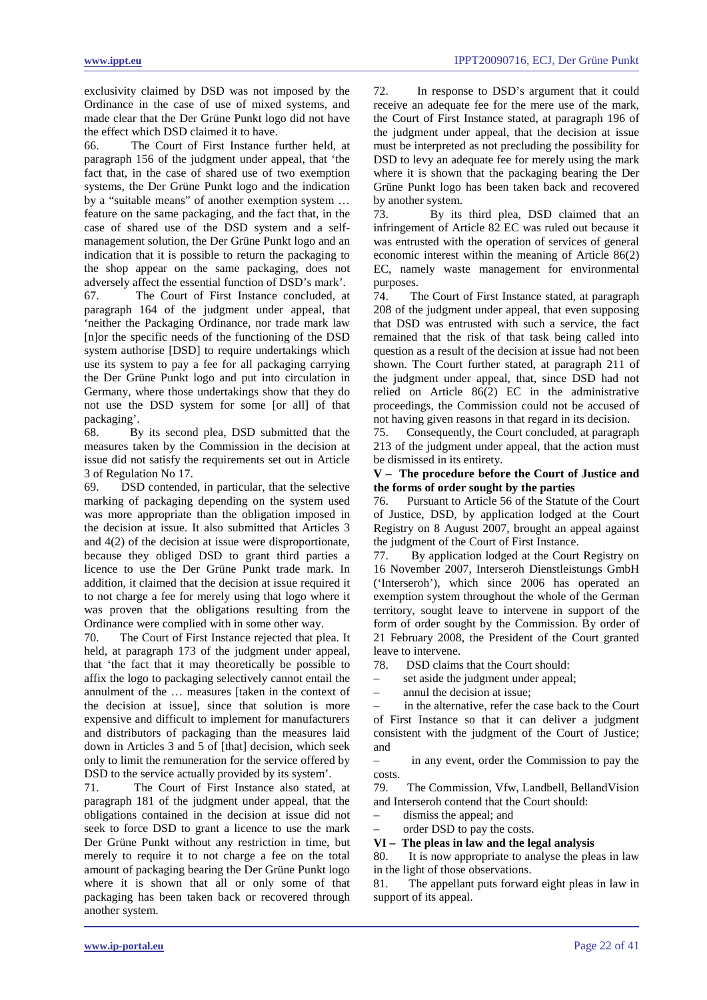exclusivity claimed by DSD was not imposed by the Ordinance in the case of use of mixed systems, and made clear that the Der Grüne Punkt logo did not have the effect which DSD claimed it to have.

66. The Court of First Instance further held, at paragraph 156 of the judgment under appeal, that 'the fact that, in the case of shared use of two exemption systems, the Der Grüne Punkt logo and the indication by a "suitable means" of another exemption system … feature on the same packaging, and the fact that, in the case of shared use of the DSD system and a selfmanagement solution, the Der Grüne Punkt logo and an indication that it is possible to return the packaging to the shop appear on the same packaging, does not adversely affect the essential function of DSD's mark'.

67. The Court of First Instance concluded, at paragraph 164 of the judgment under appeal, that 'neither the Packaging Ordinance, nor trade mark law [n]or the specific needs of the functioning of the DSD system authorise [DSD] to require undertakings which use its system to pay a fee for all packaging carrying the Der Grüne Punkt logo and put into circulation in Germany, where those undertakings show that they do not use the DSD system for some [or all] of that packaging'.

68. By its second plea, DSD submitted that the measures taken by the Commission in the decision at issue did not satisfy the requirements set out in Article 3 of Regulation No 17.

69. DSD contended, in particular, that the selective marking of packaging depending on the system used was more appropriate than the obligation imposed in the decision at issue. It also submitted that Articles 3 and 4(2) of the decision at issue were disproportionate, because they obliged DSD to grant third parties a licence to use the Der Grüne Punkt trade mark. In addition, it claimed that the decision at issue required it to not charge a fee for merely using that logo where it was proven that the obligations resulting from the Ordinance were complied with in some other way.

70. The Court of First Instance rejected that plea. It held, at paragraph 173 of the judgment under appeal, that 'the fact that it may theoretically be possible to affix the logo to packaging selectively cannot entail the annulment of the … measures [taken in the context of the decision at issue], since that solution is more expensive and difficult to implement for manufacturers and distributors of packaging than the measures laid down in Articles 3 and 5 of [that] decision, which seek only to limit the remuneration for the service offered by DSD to the service actually provided by its system'.

71. The Court of First Instance also stated, at paragraph 181 of the judgment under appeal, that the obligations contained in the decision at issue did not seek to force DSD to grant a licence to use the mark Der Grüne Punkt without any restriction in time, but merely to require it to not charge a fee on the total amount of packaging bearing the Der Grüne Punkt logo where it is shown that all or only some of that packaging has been taken back or recovered through another system.

72. In response to DSD's argument that it could receive an adequate fee for the mere use of the mark, the Court of First Instance stated, at paragraph 196 of the judgment under appeal, that the decision at issue must be interpreted as not precluding the possibility for DSD to levy an adequate fee for merely using the mark where it is shown that the packaging bearing the Der Grüne Punkt logo has been taken back and recovered by another system.

73. By its third plea, DSD claimed that an infringement of Article 82 EC was ruled out because it was entrusted with the operation of services of general economic interest within the meaning of Article 86(2) EC, namely waste management for environmental purposes.

74. The Court of First Instance stated, at paragraph 208 of the judgment under appeal, that even supposing that DSD was entrusted with such a service, the fact remained that the risk of that task being called into question as a result of the decision at issue had not been shown. The Court further stated, at paragraph 211 of the judgment under appeal, that, since DSD had not relied on Article 86(2) EC in the administrative proceedings, the Commission could not be accused of not having given reasons in that regard in its decision.

75. Consequently, the Court concluded, at paragraph 213 of the judgment under appeal, that the action must be dismissed in its entirety.

# **V – The procedure before the Court of Justice and the forms of order sought by the parties**

76. Pursuant to Article 56 of the Statute of the Court of Justice, DSD, by application lodged at the Court Registry on 8 August 2007, brought an appeal against the judgment of the Court of First Instance.

77. By application lodged at the Court Registry on 16 November 2007, Interseroh Dienstleistungs GmbH ('Interseroh'), which since 2006 has operated an exemption system throughout the whole of the German territory, sought leave to intervene in support of the form of order sought by the Commission. By order of 21 February 2008, the President of the Court granted leave to intervene.

78. DSD claims that the Court should:

set aside the judgment under appeal;

– annul the decision at issue;

in the alternative, refer the case back to the Court of First Instance so that it can deliver a judgment consistent with the judgment of the Court of Justice; and

– in any event, order the Commission to pay the costs.

79. The Commission, Vfw, Landbell, BellandVision and Interseroh contend that the Court should:

dismiss the appeal; and

– order DSD to pay the costs.

**VI – The pleas in law and the legal analysis** 

80. It is now appropriate to analyse the pleas in law in the light of those observations.

81. The appellant puts forward eight pleas in law in support of its appeal.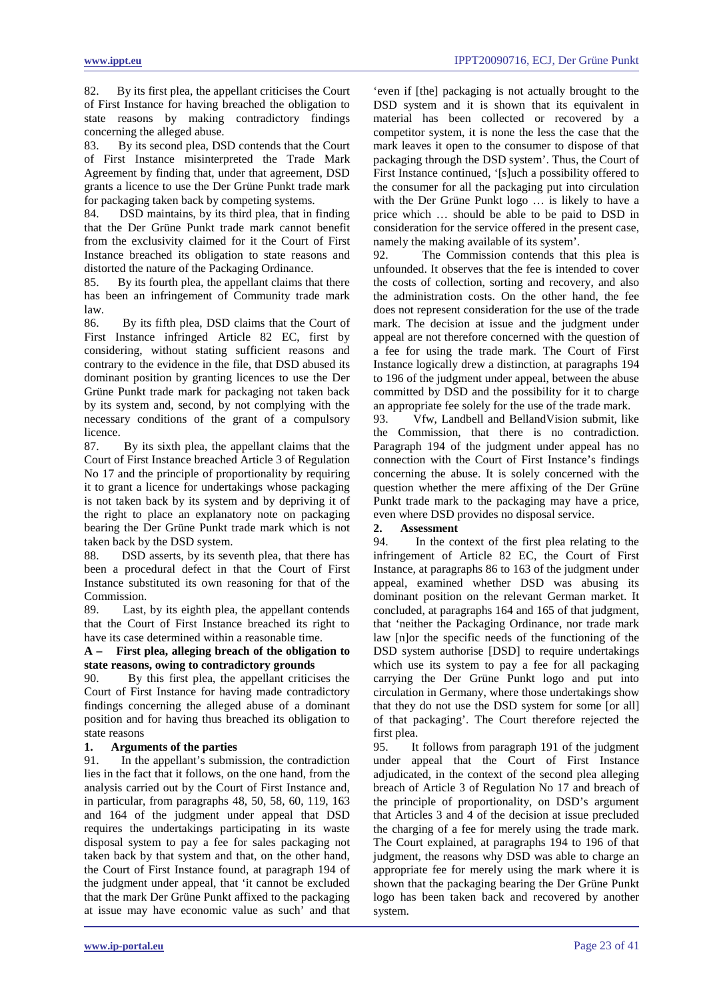82. By its first plea, the appellant criticises the Court of First Instance for having breached the obligation to state reasons by making contradictory findings concerning the alleged abuse.

83. By its second plea, DSD contends that the Court of First Instance misinterpreted the Trade Mark Agreement by finding that, under that agreement, DSD grants a licence to use the Der Grüne Punkt trade mark for packaging taken back by competing systems.<br>84. DSD maintains, by its third plea, that in

DSD maintains, by its third plea, that in finding that the Der Grüne Punkt trade mark cannot benefit from the exclusivity claimed for it the Court of First Instance breached its obligation to state reasons and distorted the nature of the Packaging Ordinance.

85. By its fourth plea, the appellant claims that there has been an infringement of Community trade mark law.

86. By its fifth plea, DSD claims that the Court of First Instance infringed Article 82 EC, first by considering, without stating sufficient reasons and contrary to the evidence in the file, that DSD abused its dominant position by granting licences to use the Der Grüne Punkt trade mark for packaging not taken back by its system and, second, by not complying with the necessary conditions of the grant of a compulsory licence.

87. By its sixth plea, the appellant claims that the Court of First Instance breached Article 3 of Regulation No 17 and the principle of proportionality by requiring it to grant a licence for undertakings whose packaging is not taken back by its system and by depriving it of the right to place an explanatory note on packaging bearing the Der Grüne Punkt trade mark which is not taken back by the DSD system.

88. DSD asserts, by its seventh plea, that there has been a procedural defect in that the Court of First Instance substituted its own reasoning for that of the Commission.

89. Last, by its eighth plea, the appellant contends that the Court of First Instance breached its right to have its case determined within a reasonable time.

### **A – First plea, alleging breach of the obligation to state reasons, owing to contradictory grounds**

90. By this first plea, the appellant criticises the Court of First Instance for having made contradictory findings concerning the alleged abuse of a dominant position and for having thus breached its obligation to state reasons

# **1. Arguments of the parties**

91. In the appellant's submission, the contradiction lies in the fact that it follows, on the one hand, from the analysis carried out by the Court of First Instance and, in particular, from paragraphs 48, 50, 58, 60, 119, 163 and 164 of the judgment under appeal that DSD requires the undertakings participating in its waste disposal system to pay a fee for sales packaging not taken back by that system and that, on the other hand, the Court of First Instance found, at paragraph 194 of the judgment under appeal, that 'it cannot be excluded that the mark Der Grüne Punkt affixed to the packaging at issue may have economic value as such' and that

'even if [the] packaging is not actually brought to the DSD system and it is shown that its equivalent in material has been collected or recovered by a competitor system, it is none the less the case that the mark leaves it open to the consumer to dispose of that packaging through the DSD system'. Thus, the Court of First Instance continued, '[s]uch a possibility offered to the consumer for all the packaging put into circulation with the Der Grüne Punkt logo … is likely to have a price which … should be able to be paid to DSD in consideration for the service offered in the present case, namely the making available of its system'.

92. The Commission contends that this plea is unfounded. It observes that the fee is intended to cover the costs of collection, sorting and recovery, and also the administration costs. On the other hand, the fee does not represent consideration for the use of the trade mark. The decision at issue and the judgment under appeal are not therefore concerned with the question of a fee for using the trade mark. The Court of First Instance logically drew a distinction, at paragraphs 194 to 196 of the judgment under appeal, between the abuse committed by DSD and the possibility for it to charge an appropriate fee solely for the use of the trade mark.

93. Vfw, Landbell and BellandVision submit, like the Commission, that there is no contradiction. Paragraph 194 of the judgment under appeal has no connection with the Court of First Instance's findings concerning the abuse. It is solely concerned with the question whether the mere affixing of the Der Grüne Punkt trade mark to the packaging may have a price, even where DSD provides no disposal service.

### **2. Assessment**

94. In the context of the first plea relating to the infringement of Article 82 EC, the Court of First Instance, at paragraphs 86 to 163 of the judgment under appeal, examined whether DSD was abusing its dominant position on the relevant German market. It concluded, at paragraphs 164 and 165 of that judgment, that 'neither the Packaging Ordinance, nor trade mark law [n]or the specific needs of the functioning of the DSD system authorise [DSD] to require undertakings which use its system to pay a fee for all packaging carrying the Der Grüne Punkt logo and put into circulation in Germany, where those undertakings show that they do not use the DSD system for some [or all] of that packaging'. The Court therefore rejected the first plea.

95. It follows from paragraph 191 of the judgment under appeal that the Court of First Instance adjudicated, in the context of the second plea alleging breach of Article 3 of Regulation No 17 and breach of the principle of proportionality, on DSD's argument that Articles 3 and 4 of the decision at issue precluded the charging of a fee for merely using the trade mark. The Court explained, at paragraphs 194 to 196 of that judgment, the reasons why DSD was able to charge an appropriate fee for merely using the mark where it is shown that the packaging bearing the Der Grüne Punkt logo has been taken back and recovered by another system.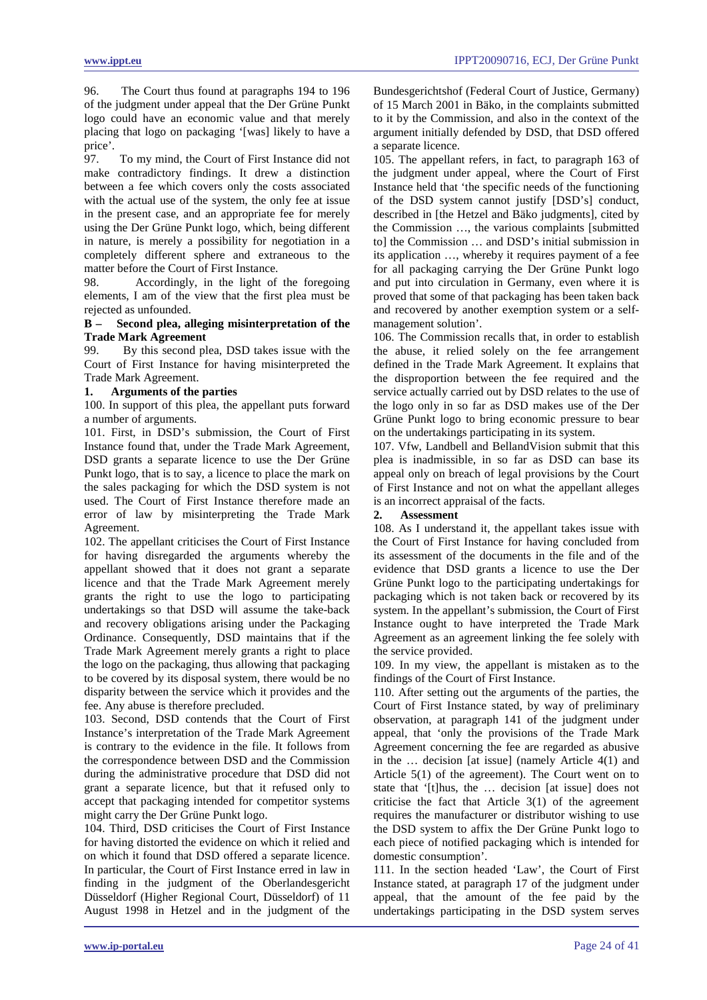96. The Court thus found at paragraphs 194 to 196 of the judgment under appeal that the Der Grüne Punkt logo could have an economic value and that merely placing that logo on packaging '[was] likely to have a price'.

97. To my mind, the Court of First Instance did not make contradictory findings. It drew a distinction between a fee which covers only the costs associated with the actual use of the system, the only fee at issue in the present case, and an appropriate fee for merely using the Der Grüne Punkt logo, which, being different in nature, is merely a possibility for negotiation in a completely different sphere and extraneous to the matter before the Court of First Instance.

98. Accordingly, in the light of the foregoing elements, I am of the view that the first plea must be rejected as unfounded.

# **B – Second plea, alleging misinterpretation of the Trade Mark Agreement**

99. By this second plea, DSD takes issue with the Court of First Instance for having misinterpreted the Trade Mark Agreement.

# **1. Arguments of the parties**

100. In support of this plea, the appellant puts forward a number of arguments.

101. First, in DSD's submission, the Court of First Instance found that, under the Trade Mark Agreement, DSD grants a separate licence to use the Der Grüne Punkt logo, that is to say, a licence to place the mark on the sales packaging for which the DSD system is not used. The Court of First Instance therefore made an error of law by misinterpreting the Trade Mark Agreement.

102. The appellant criticises the Court of First Instance for having disregarded the arguments whereby the appellant showed that it does not grant a separate licence and that the Trade Mark Agreement merely grants the right to use the logo to participating undertakings so that DSD will assume the take-back and recovery obligations arising under the Packaging Ordinance. Consequently, DSD maintains that if the Trade Mark Agreement merely grants a right to place the logo on the packaging, thus allowing that packaging to be covered by its disposal system, there would be no disparity between the service which it provides and the fee. Any abuse is therefore precluded.

103. Second, DSD contends that the Court of First Instance's interpretation of the Trade Mark Agreement is contrary to the evidence in the file. It follows from the correspondence between DSD and the Commission during the administrative procedure that DSD did not grant a separate licence, but that it refused only to accept that packaging intended for competitor systems might carry the Der Grüne Punkt logo.

104. Third, DSD criticises the Court of First Instance for having distorted the evidence on which it relied and on which it found that DSD offered a separate licence. In particular, the Court of First Instance erred in law in finding in the judgment of the Oberlandesgericht Düsseldorf (Higher Regional Court, Düsseldorf) of 11 August 1998 in Hetzel and in the judgment of the Bundesgerichtshof (Federal Court of Justice, Germany) of 15 March 2001 in Bäko, in the complaints submitted to it by the Commission, and also in the context of the argument initially defended by DSD, that DSD offered a separate licence.

105. The appellant refers, in fact, to paragraph 163 of the judgment under appeal, where the Court of First Instance held that 'the specific needs of the functioning of the DSD system cannot justify [DSD's] conduct, described in [the Hetzel and Bäko judgments], cited by the Commission …, the various complaints [submitted to] the Commission … and DSD's initial submission in its application …, whereby it requires payment of a fee for all packaging carrying the Der Grüne Punkt logo and put into circulation in Germany, even where it is proved that some of that packaging has been taken back and recovered by another exemption system or a selfmanagement solution'.

106. The Commission recalls that, in order to establish the abuse, it relied solely on the fee arrangement defined in the Trade Mark Agreement. It explains that the disproportion between the fee required and the service actually carried out by DSD relates to the use of the logo only in so far as DSD makes use of the Der Grüne Punkt logo to bring economic pressure to bear on the undertakings participating in its system.

107. Vfw, Landbell and BellandVision submit that this plea is inadmissible, in so far as DSD can base its appeal only on breach of legal provisions by the Court of First Instance and not on what the appellant alleges is an incorrect appraisal of the facts.

# **2. Assessment**

108. As I understand it, the appellant takes issue with the Court of First Instance for having concluded from its assessment of the documents in the file and of the evidence that DSD grants a licence to use the Der Grüne Punkt logo to the participating undertakings for packaging which is not taken back or recovered by its system. In the appellant's submission, the Court of First Instance ought to have interpreted the Trade Mark Agreement as an agreement linking the fee solely with the service provided.

109. In my view, the appellant is mistaken as to the findings of the Court of First Instance.

110. After setting out the arguments of the parties, the Court of First Instance stated, by way of preliminary observation, at paragraph 141 of the judgment under appeal, that 'only the provisions of the Trade Mark Agreement concerning the fee are regarded as abusive in the … decision [at issue] (namely Article 4(1) and Article 5(1) of the agreement). The Court went on to state that '[t]hus, the … decision [at issue] does not criticise the fact that Article 3(1) of the agreement requires the manufacturer or distributor wishing to use the DSD system to affix the Der Grüne Punkt logo to each piece of notified packaging which is intended for domestic consumption'.

111. In the section headed 'Law', the Court of First Instance stated, at paragraph 17 of the judgment under appeal, that the amount of the fee paid by the undertakings participating in the DSD system serves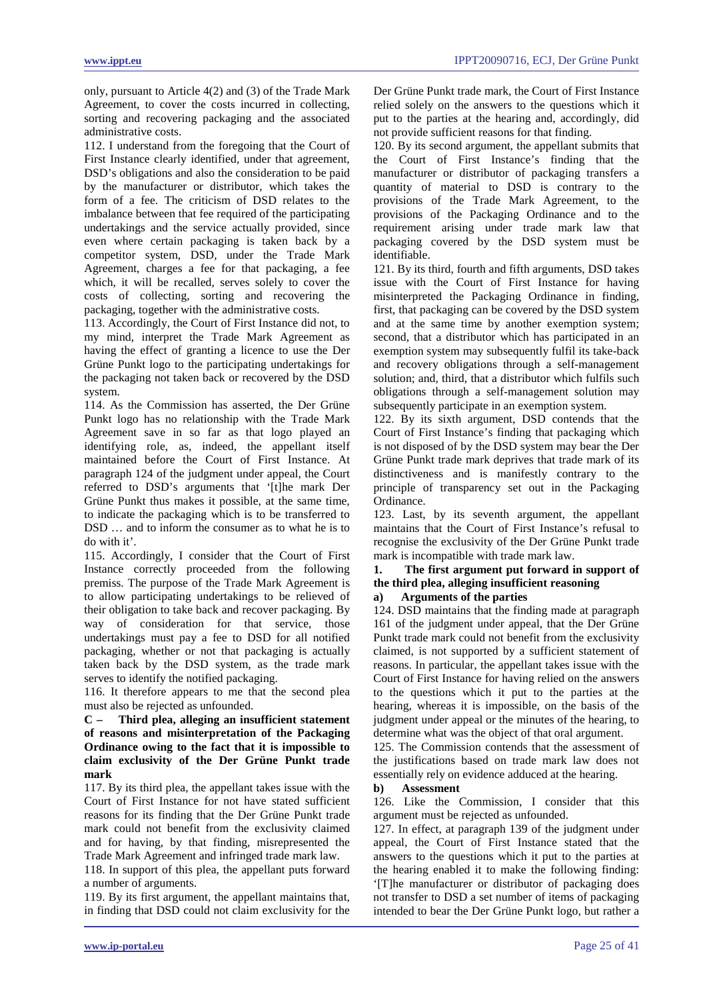only, pursuant to Article 4(2) and (3) of the Trade Mark Agreement, to cover the costs incurred in collecting, sorting and recovering packaging and the associated administrative costs.

112. I understand from the foregoing that the Court of First Instance clearly identified, under that agreement, DSD's obligations and also the consideration to be paid by the manufacturer or distributor, which takes the form of a fee. The criticism of DSD relates to the imbalance between that fee required of the participating undertakings and the service actually provided, since even where certain packaging is taken back by a competitor system, DSD, under the Trade Mark Agreement, charges a fee for that packaging, a fee which, it will be recalled, serves solely to cover the costs of collecting, sorting and recovering the packaging, together with the administrative costs.

113. Accordingly, the Court of First Instance did not, to my mind, interpret the Trade Mark Agreement as having the effect of granting a licence to use the Der Grüne Punkt logo to the participating undertakings for the packaging not taken back or recovered by the DSD system.

114. As the Commission has asserted, the Der Grüne Punkt logo has no relationship with the Trade Mark Agreement save in so far as that logo played an identifying role, as, indeed, the appellant itself maintained before the Court of First Instance. At paragraph 124 of the judgment under appeal, the Court referred to DSD's arguments that '[t]he mark Der Grüne Punkt thus makes it possible, at the same time, to indicate the packaging which is to be transferred to DSD  $\ldots$  and to inform the consumer as to what he is to do with it'.

115. Accordingly, I consider that the Court of First Instance correctly proceeded from the following premiss. The purpose of the Trade Mark Agreement is to allow participating undertakings to be relieved of their obligation to take back and recover packaging. By way of consideration for that service, those undertakings must pay a fee to DSD for all notified packaging, whether or not that packaging is actually taken back by the DSD system, as the trade mark serves to identify the notified packaging.

116. It therefore appears to me that the second plea must also be rejected as unfounded.

**C – Third plea, alleging an insufficient statement of reasons and misinterpretation of the Packaging Ordinance owing to the fact that it is impossible to claim exclusivity of the Der Grüne Punkt trade mark** 

117. By its third plea, the appellant takes issue with the Court of First Instance for not have stated sufficient reasons for its finding that the Der Grüne Punkt trade mark could not benefit from the exclusivity claimed and for having, by that finding, misrepresented the Trade Mark Agreement and infringed trade mark law.

118. In support of this plea, the appellant puts forward a number of arguments.

119. By its first argument, the appellant maintains that, in finding that DSD could not claim exclusivity for the Der Grüne Punkt trade mark, the Court of First Instance relied solely on the answers to the questions which it put to the parties at the hearing and, accordingly, did not provide sufficient reasons for that finding.

120. By its second argument, the appellant submits that the Court of First Instance's finding that the manufacturer or distributor of packaging transfers a quantity of material to DSD is contrary to the provisions of the Trade Mark Agreement, to the provisions of the Packaging Ordinance and to the requirement arising under trade mark law that packaging covered by the DSD system must be identifiable.

121. By its third, fourth and fifth arguments, DSD takes issue with the Court of First Instance for having misinterpreted the Packaging Ordinance in finding, first, that packaging can be covered by the DSD system and at the same time by another exemption system; second, that a distributor which has participated in an exemption system may subsequently fulfil its take-back and recovery obligations through a self-management solution; and, third, that a distributor which fulfils such obligations through a self-management solution may subsequently participate in an exemption system.

122. By its sixth argument, DSD contends that the Court of First Instance's finding that packaging which is not disposed of by the DSD system may bear the Der Grüne Punkt trade mark deprives that trade mark of its distinctiveness and is manifestly contrary to the principle of transparency set out in the Packaging Ordinance.

123. Last, by its seventh argument, the appellant maintains that the Court of First Instance's refusal to recognise the exclusivity of the Der Grüne Punkt trade mark is incompatible with trade mark law.

# **1. The first argument put forward in support of the third plea, alleging insufficient reasoning**

# **a) Arguments of the parties**

124. DSD maintains that the finding made at paragraph 161 of the judgment under appeal, that the Der Grüne Punkt trade mark could not benefit from the exclusivity claimed, is not supported by a sufficient statement of reasons. In particular, the appellant takes issue with the Court of First Instance for having relied on the answers to the questions which it put to the parties at the hearing, whereas it is impossible, on the basis of the judgment under appeal or the minutes of the hearing, to determine what was the object of that oral argument.

125. The Commission contends that the assessment of the justifications based on trade mark law does not essentially rely on evidence adduced at the hearing.

### **b) Assessment**

126. Like the Commission, I consider that this argument must be rejected as unfounded.

127. In effect, at paragraph 139 of the judgment under appeal, the Court of First Instance stated that the answers to the questions which it put to the parties at the hearing enabled it to make the following finding: '[T]he manufacturer or distributor of packaging does not transfer to DSD a set number of items of packaging intended to bear the Der Grüne Punkt logo, but rather a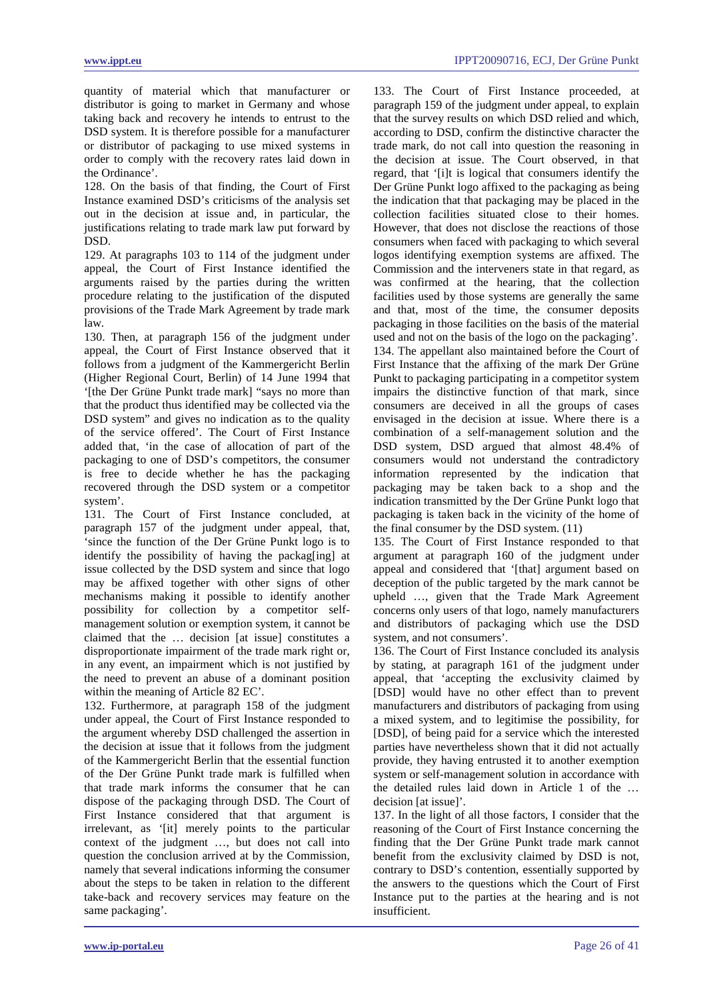quantity of material which that manufacturer or distributor is going to market in Germany and whose taking back and recovery he intends to entrust to the DSD system. It is therefore possible for a manufacturer or distributor of packaging to use mixed systems in order to comply with the recovery rates laid down in the Ordinance'.

128. On the basis of that finding, the Court of First Instance examined DSD's criticisms of the analysis set out in the decision at issue and, in particular, the justifications relating to trade mark law put forward by DSD.

129. At paragraphs 103 to 114 of the judgment under appeal, the Court of First Instance identified the arguments raised by the parties during the written procedure relating to the justification of the disputed provisions of the Trade Mark Agreement by trade mark law.

130. Then, at paragraph 156 of the judgment under appeal, the Court of First Instance observed that it follows from a judgment of the Kammergericht Berlin (Higher Regional Court, Berlin) of 14 June 1994 that '[the Der Grüne Punkt trade mark] "says no more than that the product thus identified may be collected via the DSD system" and gives no indication as to the quality of the service offered'. The Court of First Instance added that, 'in the case of allocation of part of the packaging to one of DSD's competitors, the consumer is free to decide whether he has the packaging recovered through the DSD system or a competitor system'.

131. The Court of First Instance concluded, at paragraph 157 of the judgment under appeal, that, 'since the function of the Der Grüne Punkt logo is to identify the possibility of having the package at issue collected by the DSD system and since that logo may be affixed together with other signs of other mechanisms making it possible to identify another possibility for collection by a competitor selfmanagement solution or exemption system, it cannot be claimed that the … decision [at issue] constitutes a disproportionate impairment of the trade mark right or, in any event, an impairment which is not justified by the need to prevent an abuse of a dominant position within the meaning of Article 82 EC'.

132. Furthermore, at paragraph 158 of the judgment under appeal, the Court of First Instance responded to the argument whereby DSD challenged the assertion in the decision at issue that it follows from the judgment of the Kammergericht Berlin that the essential function of the Der Grüne Punkt trade mark is fulfilled when that trade mark informs the consumer that he can dispose of the packaging through DSD. The Court of First Instance considered that that argument is irrelevant, as '[it] merely points to the particular context of the judgment …, but does not call into question the conclusion arrived at by the Commission, namely that several indications informing the consumer about the steps to be taken in relation to the different take-back and recovery services may feature on the same packaging'.

133. The Court of First Instance proceeded, at paragraph 159 of the judgment under appeal, to explain that the survey results on which DSD relied and which, according to DSD, confirm the distinctive character the trade mark, do not call into question the reasoning in the decision at issue. The Court observed, in that regard, that '[i]t is logical that consumers identify the Der Grüne Punkt logo affixed to the packaging as being the indication that that packaging may be placed in the collection facilities situated close to their homes. However, that does not disclose the reactions of those consumers when faced with packaging to which several logos identifying exemption systems are affixed. The Commission and the interveners state in that regard, as was confirmed at the hearing, that the collection facilities used by those systems are generally the same and that, most of the time, the consumer deposits packaging in those facilities on the basis of the material used and not on the basis of the logo on the packaging'. 134. The appellant also maintained before the Court of First Instance that the affixing of the mark Der Grüne Punkt to packaging participating in a competitor system impairs the distinctive function of that mark, since consumers are deceived in all the groups of cases envisaged in the decision at issue. Where there is a combination of a self-management solution and the DSD system, DSD argued that almost 48.4% of consumers would not understand the contradictory information represented by the indication that packaging may be taken back to a shop and the indication transmitted by the Der Grüne Punkt logo that packaging is taken back in the vicinity of the home of the final consumer by the DSD system. (11)

135. The Court of First Instance responded to that argument at paragraph 160 of the judgment under appeal and considered that '[that] argument based on deception of the public targeted by the mark cannot be upheld …, given that the Trade Mark Agreement concerns only users of that logo, namely manufacturers and distributors of packaging which use the DSD system, and not consumers'.

136. The Court of First Instance concluded its analysis by stating, at paragraph 161 of the judgment under appeal, that 'accepting the exclusivity claimed by [DSD] would have no other effect than to prevent manufacturers and distributors of packaging from using a mixed system, and to legitimise the possibility, for [DSD], of being paid for a service which the interested parties have nevertheless shown that it did not actually provide, they having entrusted it to another exemption system or self-management solution in accordance with the detailed rules laid down in Article 1 of the … decision [at issue]'.

137. In the light of all those factors, I consider that the reasoning of the Court of First Instance concerning the finding that the Der Grüne Punkt trade mark cannot benefit from the exclusivity claimed by DSD is not, contrary to DSD's contention, essentially supported by the answers to the questions which the Court of First Instance put to the parties at the hearing and is not insufficient.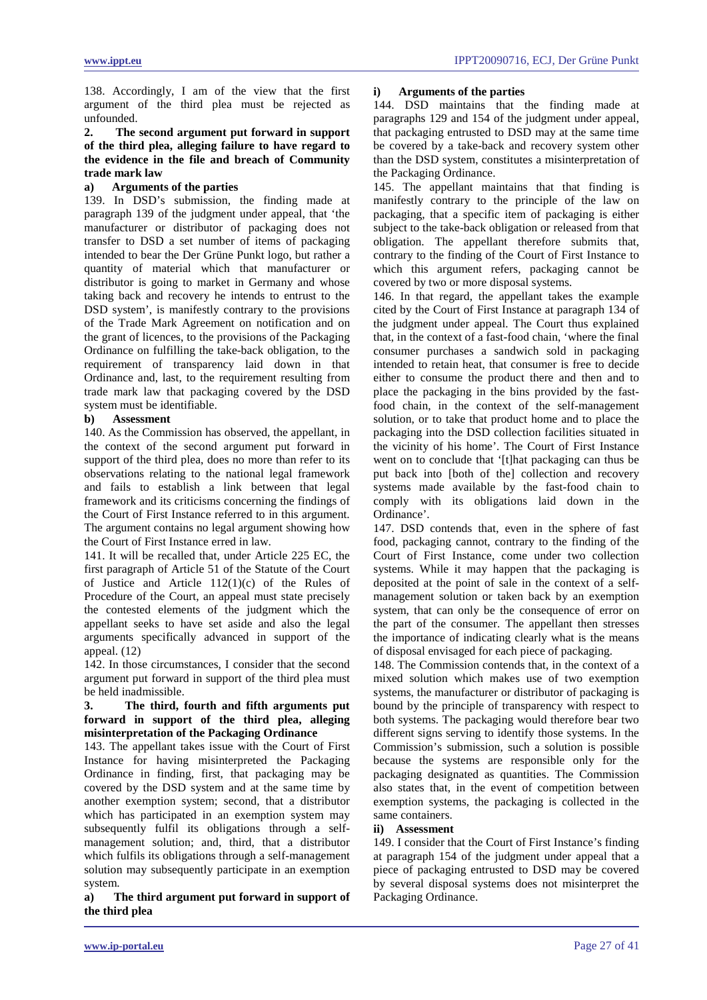138. Accordingly, I am of the view that the first argument of the third plea must be rejected as unfounded.

# **2. The second argument put forward in support of the third plea, alleging failure to have regard to the evidence in the file and breach of Community trade mark law**

# **a) Arguments of the parties**

139. In DSD's submission, the finding made at paragraph 139 of the judgment under appeal, that 'the manufacturer or distributor of packaging does not transfer to DSD a set number of items of packaging intended to bear the Der Grüne Punkt logo, but rather a quantity of material which that manufacturer or distributor is going to market in Germany and whose taking back and recovery he intends to entrust to the DSD system', is manifestly contrary to the provisions of the Trade Mark Agreement on notification and on the grant of licences, to the provisions of the Packaging Ordinance on fulfilling the take-back obligation, to the requirement of transparency laid down in that Ordinance and, last, to the requirement resulting from trade mark law that packaging covered by the DSD system must be identifiable.

# **b) Assessment**

140. As the Commission has observed, the appellant, in the context of the second argument put forward in support of the third plea, does no more than refer to its observations relating to the national legal framework and fails to establish a link between that legal framework and its criticisms concerning the findings of the Court of First Instance referred to in this argument. The argument contains no legal argument showing how the Court of First Instance erred in law.

141. It will be recalled that, under Article 225 EC, the first paragraph of Article 51 of the Statute of the Court of Justice and Article 112(1)(c) of the Rules of Procedure of the Court, an appeal must state precisely the contested elements of the judgment which the appellant seeks to have set aside and also the legal arguments specifically advanced in support of the appeal. (12)

142. In those circumstances, I consider that the second argument put forward in support of the third plea must be held inadmissible.

# **3. The third, fourth and fifth arguments put forward in support of the third plea, alleging misinterpretation of the Packaging Ordinance**

143. The appellant takes issue with the Court of First Instance for having misinterpreted the Packaging Ordinance in finding, first, that packaging may be covered by the DSD system and at the same time by another exemption system; second, that a distributor which has participated in an exemption system may subsequently fulfil its obligations through a selfmanagement solution; and, third, that a distributor which fulfils its obligations through a self-management solution may subsequently participate in an exemption system.

# **a) The third argument put forward in support of the third plea**

# **i) Arguments of the parties**

144. DSD maintains that the finding made at paragraphs 129 and 154 of the judgment under appeal, that packaging entrusted to DSD may at the same time be covered by a take-back and recovery system other than the DSD system, constitutes a misinterpretation of the Packaging Ordinance.

145. The appellant maintains that that finding is manifestly contrary to the principle of the law on packaging, that a specific item of packaging is either subject to the take-back obligation or released from that obligation. The appellant therefore submits that, contrary to the finding of the Court of First Instance to which this argument refers, packaging cannot be covered by two or more disposal systems.

146. In that regard, the appellant takes the example cited by the Court of First Instance at paragraph 134 of the judgment under appeal. The Court thus explained that, in the context of a fast-food chain, 'where the final consumer purchases a sandwich sold in packaging intended to retain heat, that consumer is free to decide either to consume the product there and then and to place the packaging in the bins provided by the fastfood chain, in the context of the self-management solution, or to take that product home and to place the packaging into the DSD collection facilities situated in the vicinity of his home'. The Court of First Instance went on to conclude that '[t]hat packaging can thus be put back into [both of the] collection and recovery systems made available by the fast-food chain to comply with its obligations laid down in the Ordinance'.

147. DSD contends that, even in the sphere of fast food, packaging cannot, contrary to the finding of the Court of First Instance, come under two collection systems. While it may happen that the packaging is deposited at the point of sale in the context of a selfmanagement solution or taken back by an exemption system, that can only be the consequence of error on the part of the consumer. The appellant then stresses the importance of indicating clearly what is the means of disposal envisaged for each piece of packaging.

148. The Commission contends that, in the context of a mixed solution which makes use of two exemption systems, the manufacturer or distributor of packaging is bound by the principle of transparency with respect to both systems. The packaging would therefore bear two different signs serving to identify those systems. In the Commission's submission, such a solution is possible because the systems are responsible only for the packaging designated as quantities. The Commission also states that, in the event of competition between exemption systems, the packaging is collected in the same containers.

### **ii) Assessment**

149. I consider that the Court of First Instance's finding at paragraph 154 of the judgment under appeal that a piece of packaging entrusted to DSD may be covered by several disposal systems does not misinterpret the Packaging Ordinance.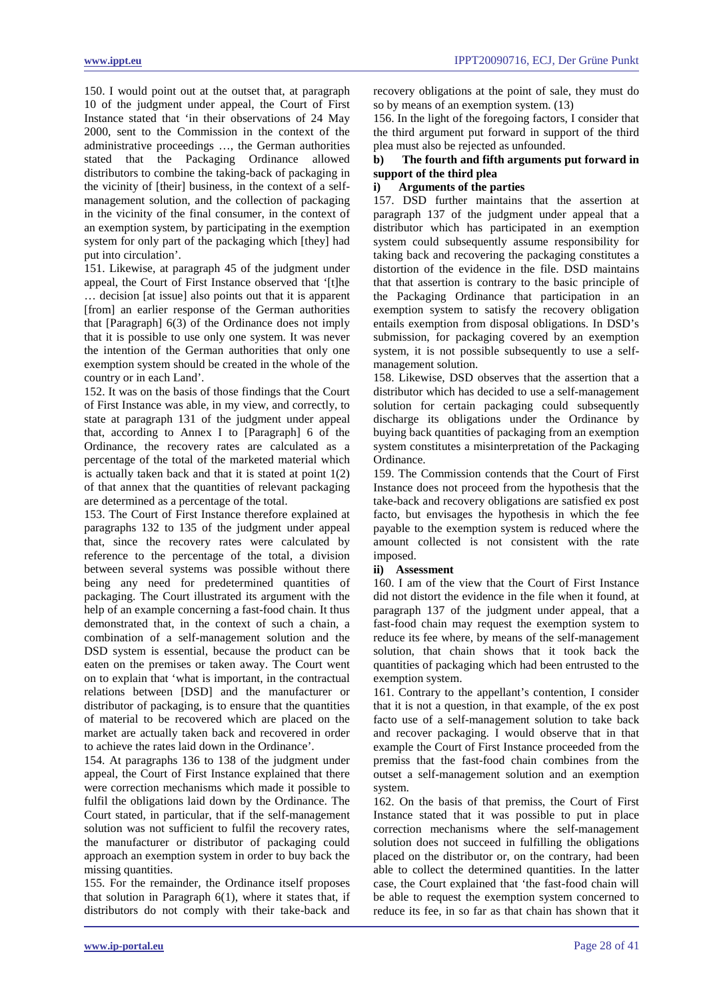150. I would point out at the outset that, at paragraph 10 of the judgment under appeal, the Court of First Instance stated that 'in their observations of 24 May 2000, sent to the Commission in the context of the administrative proceedings …, the German authorities stated that the Packaging Ordinance allowed distributors to combine the taking-back of packaging in the vicinity of [their] business, in the context of a selfmanagement solution, and the collection of packaging in the vicinity of the final consumer, in the context of an exemption system, by participating in the exemption system for only part of the packaging which [they] had put into circulation'.

151. Likewise, at paragraph 45 of the judgment under appeal, the Court of First Instance observed that '[t]he … decision [at issue] also points out that it is apparent [from] an earlier response of the German authorities that [Paragraph] 6(3) of the Ordinance does not imply that it is possible to use only one system. It was never the intention of the German authorities that only one exemption system should be created in the whole of the country or in each Land'.

152. It was on the basis of those findings that the Court of First Instance was able, in my view, and correctly, to state at paragraph 131 of the judgment under appeal that, according to Annex I to [Paragraph] 6 of the Ordinance, the recovery rates are calculated as a percentage of the total of the marketed material which is actually taken back and that it is stated at point  $1(2)$ of that annex that the quantities of relevant packaging are determined as a percentage of the total.

153. The Court of First Instance therefore explained at paragraphs 132 to 135 of the judgment under appeal that, since the recovery rates were calculated by reference to the percentage of the total, a division between several systems was possible without there being any need for predetermined quantities of packaging. The Court illustrated its argument with the help of an example concerning a fast-food chain. It thus demonstrated that, in the context of such a chain, a combination of a self-management solution and the DSD system is essential, because the product can be eaten on the premises or taken away. The Court went on to explain that 'what is important, in the contractual relations between [DSD] and the manufacturer or distributor of packaging, is to ensure that the quantities of material to be recovered which are placed on the market are actually taken back and recovered in order to achieve the rates laid down in the Ordinance'.

154. At paragraphs 136 to 138 of the judgment under appeal, the Court of First Instance explained that there were correction mechanisms which made it possible to fulfil the obligations laid down by the Ordinance. The Court stated, in particular, that if the self-management solution was not sufficient to fulfil the recovery rates, the manufacturer or distributor of packaging could approach an exemption system in order to buy back the missing quantities.

155. For the remainder, the Ordinance itself proposes that solution in Paragraph  $6(1)$ , where it states that, if distributors do not comply with their take-back and recovery obligations at the point of sale, they must do so by means of an exemption system. (13)

156. In the light of the foregoing factors, I consider that the third argument put forward in support of the third plea must also be rejected as unfounded.

# **b) The fourth and fifth arguments put forward in support of the third plea**

# **i) Arguments of the parties**

157. DSD further maintains that the assertion at paragraph 137 of the judgment under appeal that a distributor which has participated in an exemption system could subsequently assume responsibility for taking back and recovering the packaging constitutes a distortion of the evidence in the file. DSD maintains that that assertion is contrary to the basic principle of the Packaging Ordinance that participation in an exemption system to satisfy the recovery obligation entails exemption from disposal obligations. In DSD's submission, for packaging covered by an exemption system, it is not possible subsequently to use a selfmanagement solution.

158. Likewise, DSD observes that the assertion that a distributor which has decided to use a self-management solution for certain packaging could subsequently discharge its obligations under the Ordinance by buying back quantities of packaging from an exemption system constitutes a misinterpretation of the Packaging Ordinance.

159. The Commission contends that the Court of First Instance does not proceed from the hypothesis that the take-back and recovery obligations are satisfied ex post facto, but envisages the hypothesis in which the fee payable to the exemption system is reduced where the amount collected is not consistent with the rate imposed.

# **ii) Assessment**

160. I am of the view that the Court of First Instance did not distort the evidence in the file when it found, at paragraph 137 of the judgment under appeal, that a fast-food chain may request the exemption system to reduce its fee where, by means of the self-management solution, that chain shows that it took back the quantities of packaging which had been entrusted to the exemption system.

161. Contrary to the appellant's contention, I consider that it is not a question, in that example, of the ex post facto use of a self-management solution to take back and recover packaging. I would observe that in that example the Court of First Instance proceeded from the premiss that the fast-food chain combines from the outset a self-management solution and an exemption system.

162. On the basis of that premiss, the Court of First Instance stated that it was possible to put in place correction mechanisms where the self-management solution does not succeed in fulfilling the obligations placed on the distributor or, on the contrary, had been able to collect the determined quantities. In the latter case, the Court explained that 'the fast-food chain will be able to request the exemption system concerned to reduce its fee, in so far as that chain has shown that it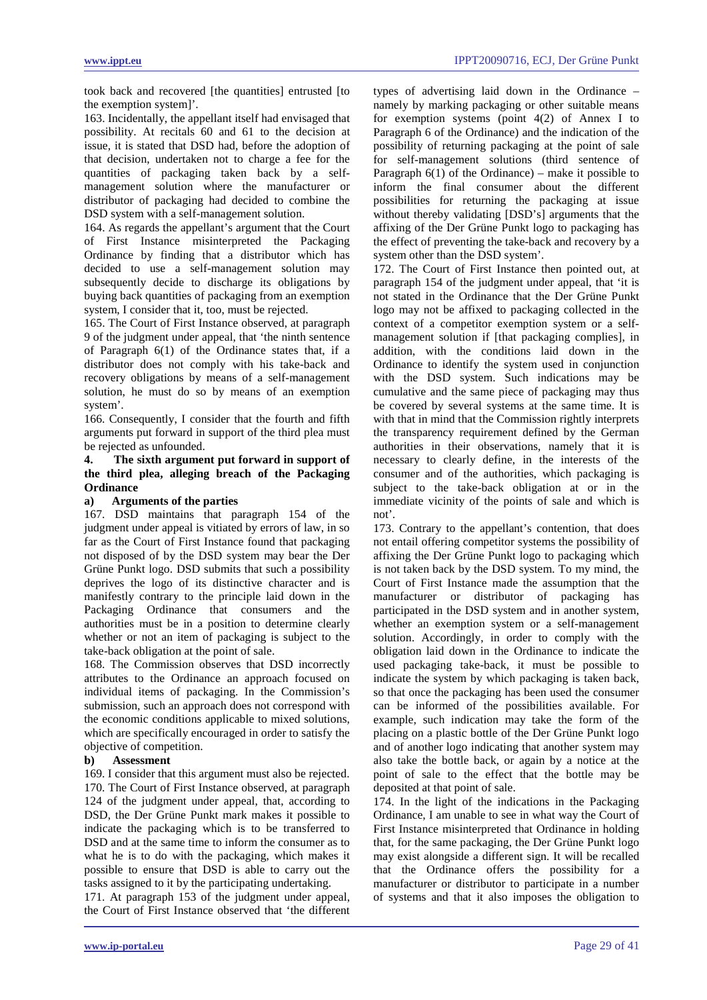took back and recovered [the quantities] entrusted [to the exemption system]'.

163. Incidentally, the appellant itself had envisaged that possibility. At recitals 60 and 61 to the decision at issue, it is stated that DSD had, before the adoption of that decision, undertaken not to charge a fee for the quantities of packaging taken back by a selfmanagement solution where the manufacturer or distributor of packaging had decided to combine the DSD system with a self-management solution.

164. As regards the appellant's argument that the Court of First Instance misinterpreted the Packaging Ordinance by finding that a distributor which has decided to use a self-management solution may subsequently decide to discharge its obligations by buying back quantities of packaging from an exemption system, I consider that it, too, must be rejected.

165. The Court of First Instance observed, at paragraph 9 of the judgment under appeal, that 'the ninth sentence of Paragraph 6(1) of the Ordinance states that, if a distributor does not comply with his take-back and recovery obligations by means of a self-management solution, he must do so by means of an exemption system'.

166. Consequently, I consider that the fourth and fifth arguments put forward in support of the third plea must be rejected as unfounded.

# **4. The sixth argument put forward in support of the third plea, alleging breach of the Packaging Ordinance**

### **a) Arguments of the parties**

167. DSD maintains that paragraph 154 of the judgment under appeal is vitiated by errors of law, in so far as the Court of First Instance found that packaging not disposed of by the DSD system may bear the Der Grüne Punkt logo. DSD submits that such a possibility deprives the logo of its distinctive character and is manifestly contrary to the principle laid down in the Packaging Ordinance that consumers and the authorities must be in a position to determine clearly whether or not an item of packaging is subject to the take-back obligation at the point of sale.

168. The Commission observes that DSD incorrectly attributes to the Ordinance an approach focused on individual items of packaging. In the Commission's submission, such an approach does not correspond with the economic conditions applicable to mixed solutions, which are specifically encouraged in order to satisfy the objective of competition.

### **b) Assessment**

169. I consider that this argument must also be rejected. 170. The Court of First Instance observed, at paragraph 124 of the judgment under appeal, that, according to DSD, the Der Grüne Punkt mark makes it possible to indicate the packaging which is to be transferred to DSD and at the same time to inform the consumer as to what he is to do with the packaging, which makes it possible to ensure that DSD is able to carry out the tasks assigned to it by the participating undertaking.

171. At paragraph 153 of the judgment under appeal, the Court of First Instance observed that 'the different types of advertising laid down in the Ordinance – namely by marking packaging or other suitable means for exemption systems (point 4(2) of Annex I to Paragraph 6 of the Ordinance) and the indication of the possibility of returning packaging at the point of sale for self-management solutions (third sentence of Paragraph  $6(1)$  of the Ordinance) – make it possible to inform the final consumer about the different possibilities for returning the packaging at issue without thereby validating [DSD's] arguments that the affixing of the Der Grüne Punkt logo to packaging has the effect of preventing the take-back and recovery by a system other than the DSD system'.

172. The Court of First Instance then pointed out, at paragraph 154 of the judgment under appeal, that 'it is not stated in the Ordinance that the Der Grüne Punkt logo may not be affixed to packaging collected in the context of a competitor exemption system or a selfmanagement solution if [that packaging complies], in addition, with the conditions laid down in the Ordinance to identify the system used in conjunction with the DSD system. Such indications may be cumulative and the same piece of packaging may thus be covered by several systems at the same time. It is with that in mind that the Commission rightly interprets the transparency requirement defined by the German authorities in their observations, namely that it is necessary to clearly define, in the interests of the consumer and of the authorities, which packaging is subject to the take-back obligation at or in the immediate vicinity of the points of sale and which is not'.

173. Contrary to the appellant's contention, that does not entail offering competitor systems the possibility of affixing the Der Grüne Punkt logo to packaging which is not taken back by the DSD system. To my mind, the Court of First Instance made the assumption that the manufacturer or distributor of packaging has participated in the DSD system and in another system, whether an exemption system or a self-management solution. Accordingly, in order to comply with the obligation laid down in the Ordinance to indicate the used packaging take-back, it must be possible to indicate the system by which packaging is taken back, so that once the packaging has been used the consumer can be informed of the possibilities available. For example, such indication may take the form of the placing on a plastic bottle of the Der Grüne Punkt logo and of another logo indicating that another system may also take the bottle back, or again by a notice at the point of sale to the effect that the bottle may be deposited at that point of sale.

174. In the light of the indications in the Packaging Ordinance, I am unable to see in what way the Court of First Instance misinterpreted that Ordinance in holding that, for the same packaging, the Der Grüne Punkt logo may exist alongside a different sign. It will be recalled that the Ordinance offers the possibility for a manufacturer or distributor to participate in a number of systems and that it also imposes the obligation to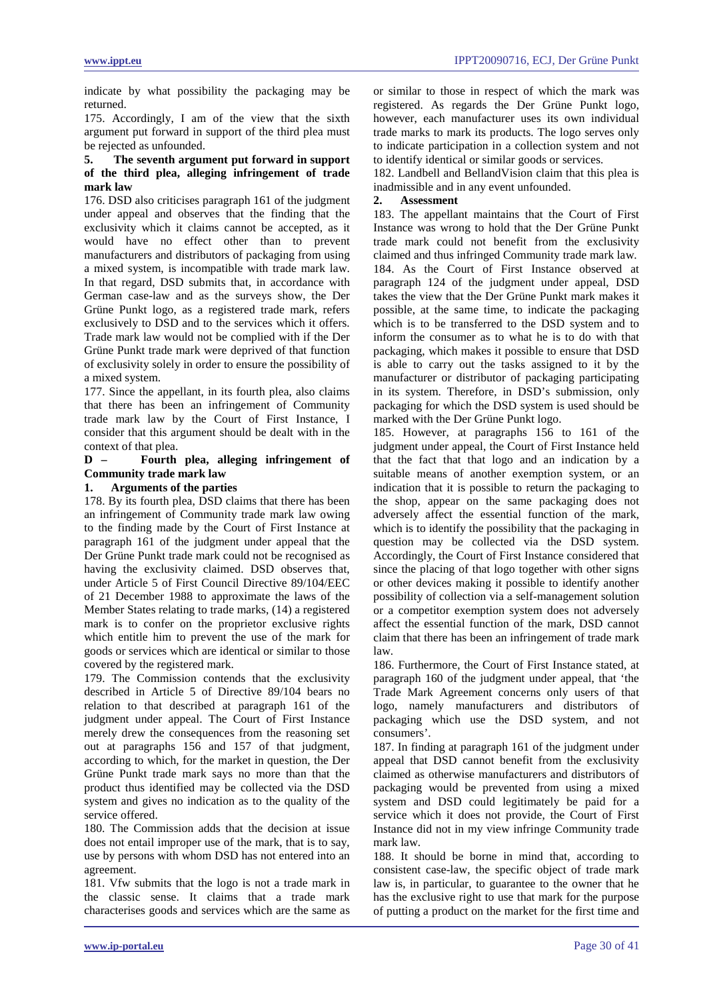indicate by what possibility the packaging may be returned.

175. Accordingly, I am of the view that the sixth argument put forward in support of the third plea must be rejected as unfounded.

# **5. The seventh argument put forward in support of the third plea, alleging infringement of trade mark law**

176. DSD also criticises paragraph 161 of the judgment under appeal and observes that the finding that the exclusivity which it claims cannot be accepted, as it would have no effect other than to prevent manufacturers and distributors of packaging from using a mixed system, is incompatible with trade mark law. In that regard, DSD submits that, in accordance with German case-law and as the surveys show, the Der Grüne Punkt logo, as a registered trade mark, refers exclusively to DSD and to the services which it offers. Trade mark law would not be complied with if the Der Grüne Punkt trade mark were deprived of that function of exclusivity solely in order to ensure the possibility of a mixed system.

177. Since the appellant, in its fourth plea, also claims that there has been an infringement of Community trade mark law by the Court of First Instance, I consider that this argument should be dealt with in the context of that plea.

# **D – Fourth plea, alleging infringement of Community trade mark law**

# **1. Arguments of the parties**

178. By its fourth plea, DSD claims that there has been an infringement of Community trade mark law owing to the finding made by the Court of First Instance at paragraph 161 of the judgment under appeal that the Der Grüne Punkt trade mark could not be recognised as having the exclusivity claimed. DSD observes that, under Article 5 of First Council Directive 89/104/EEC of 21 December 1988 to approximate the laws of the Member States relating to trade marks, (14) a registered mark is to confer on the proprietor exclusive rights which entitle him to prevent the use of the mark for goods or services which are identical or similar to those covered by the registered mark.

179. The Commission contends that the exclusivity described in Article 5 of Directive 89/104 bears no relation to that described at paragraph 161 of the judgment under appeal. The Court of First Instance merely drew the consequences from the reasoning set out at paragraphs 156 and 157 of that judgment, according to which, for the market in question, the Der Grüne Punkt trade mark says no more than that the product thus identified may be collected via the DSD system and gives no indication as to the quality of the service offered.

180. The Commission adds that the decision at issue does not entail improper use of the mark, that is to say, use by persons with whom DSD has not entered into an agreement.

181. Vfw submits that the logo is not a trade mark in the classic sense. It claims that a trade mark characterises goods and services which are the same as or similar to those in respect of which the mark was registered. As regards the Der Grüne Punkt logo, however, each manufacturer uses its own individual trade marks to mark its products. The logo serves only to indicate participation in a collection system and not to identify identical or similar goods or services.

182. Landbell and BellandVision claim that this plea is inadmissible and in any event unfounded.

# **2. Assessment**

183. The appellant maintains that the Court of First Instance was wrong to hold that the Der Grüne Punkt trade mark could not benefit from the exclusivity claimed and thus infringed Community trade mark law. 184. As the Court of First Instance observed at paragraph 124 of the judgment under appeal, DSD takes the view that the Der Grüne Punkt mark makes it possible, at the same time, to indicate the packaging which is to be transferred to the DSD system and to inform the consumer as to what he is to do with that packaging, which makes it possible to ensure that DSD is able to carry out the tasks assigned to it by the manufacturer or distributor of packaging participating in its system. Therefore, in DSD's submission, only packaging for which the DSD system is used should be marked with the Der Grüne Punkt logo.

185. However, at paragraphs 156 to 161 of the judgment under appeal, the Court of First Instance held that the fact that that logo and an indication by a suitable means of another exemption system, or an indication that it is possible to return the packaging to the shop, appear on the same packaging does not adversely affect the essential function of the mark, which is to identify the possibility that the packaging in question may be collected via the DSD system. Accordingly, the Court of First Instance considered that since the placing of that logo together with other signs or other devices making it possible to identify another possibility of collection via a self-management solution or a competitor exemption system does not adversely affect the essential function of the mark, DSD cannot claim that there has been an infringement of trade mark law.

186. Furthermore, the Court of First Instance stated, at paragraph 160 of the judgment under appeal, that 'the Trade Mark Agreement concerns only users of that logo, namely manufacturers and distributors of packaging which use the DSD system, and not consumers'.

187. In finding at paragraph 161 of the judgment under appeal that DSD cannot benefit from the exclusivity claimed as otherwise manufacturers and distributors of packaging would be prevented from using a mixed system and DSD could legitimately be paid for a service which it does not provide, the Court of First Instance did not in my view infringe Community trade mark law.

188. It should be borne in mind that, according to consistent case-law, the specific object of trade mark law is, in particular, to guarantee to the owner that he has the exclusive right to use that mark for the purpose of putting a product on the market for the first time and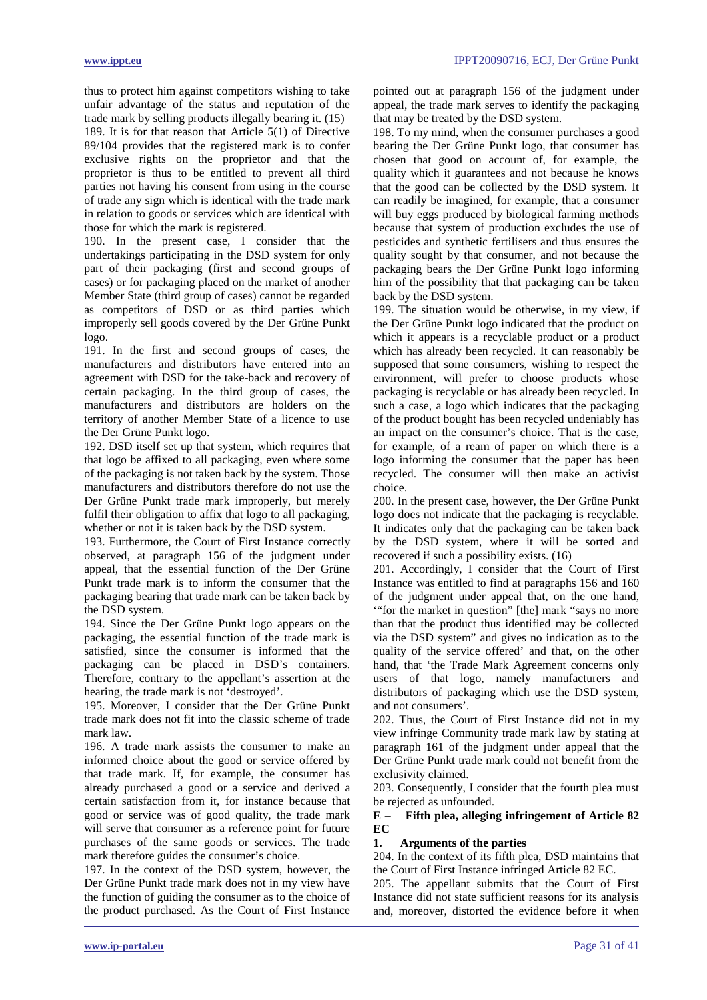thus to protect him against competitors wishing to take unfair advantage of the status and reputation of the trade mark by selling products illegally bearing it. (15) 189. It is for that reason that Article 5(1) of Directive 89/104 provides that the registered mark is to confer exclusive rights on the proprietor and that the proprietor is thus to be entitled to prevent all third parties not having his consent from using in the course of trade any sign which is identical with the trade mark in relation to goods or services which are identical with those for which the mark is registered.

190. In the present case, I consider that the undertakings participating in the DSD system for only part of their packaging (first and second groups of cases) or for packaging placed on the market of another Member State (third group of cases) cannot be regarded as competitors of DSD or as third parties which improperly sell goods covered by the Der Grüne Punkt logo.

191. In the first and second groups of cases, the manufacturers and distributors have entered into an agreement with DSD for the take-back and recovery of certain packaging. In the third group of cases, the manufacturers and distributors are holders on the territory of another Member State of a licence to use the Der Grüne Punkt logo.

192. DSD itself set up that system, which requires that that logo be affixed to all packaging, even where some of the packaging is not taken back by the system. Those manufacturers and distributors therefore do not use the Der Grüne Punkt trade mark improperly, but merely fulfil their obligation to affix that logo to all packaging, whether or not it is taken back by the DSD system.

193. Furthermore, the Court of First Instance correctly observed, at paragraph 156 of the judgment under appeal, that the essential function of the Der Grüne Punkt trade mark is to inform the consumer that the packaging bearing that trade mark can be taken back by the DSD system.

194. Since the Der Grüne Punkt logo appears on the packaging, the essential function of the trade mark is satisfied, since the consumer is informed that the packaging can be placed in DSD's containers. Therefore, contrary to the appellant's assertion at the hearing, the trade mark is not 'destroyed'.

195. Moreover, I consider that the Der Grüne Punkt trade mark does not fit into the classic scheme of trade mark law.

196. A trade mark assists the consumer to make an informed choice about the good or service offered by that trade mark. If, for example, the consumer has already purchased a good or a service and derived a certain satisfaction from it, for instance because that good or service was of good quality, the trade mark will serve that consumer as a reference point for future purchases of the same goods or services. The trade mark therefore guides the consumer's choice.

197. In the context of the DSD system, however, the Der Grüne Punkt trade mark does not in my view have the function of guiding the consumer as to the choice of the product purchased. As the Court of First Instance pointed out at paragraph 156 of the judgment under appeal, the trade mark serves to identify the packaging that may be treated by the DSD system.

198. To my mind, when the consumer purchases a good bearing the Der Grüne Punkt logo, that consumer has chosen that good on account of, for example, the quality which it guarantees and not because he knows that the good can be collected by the DSD system. It can readily be imagined, for example, that a consumer will buy eggs produced by biological farming methods because that system of production excludes the use of pesticides and synthetic fertilisers and thus ensures the quality sought by that consumer, and not because the packaging bears the Der Grüne Punkt logo informing him of the possibility that that packaging can be taken back by the DSD system.

199. The situation would be otherwise, in my view, if the Der Grüne Punkt logo indicated that the product on which it appears is a recyclable product or a product which has already been recycled. It can reasonably be supposed that some consumers, wishing to respect the environment, will prefer to choose products whose packaging is recyclable or has already been recycled. In such a case, a logo which indicates that the packaging of the product bought has been recycled undeniably has an impact on the consumer's choice. That is the case, for example, of a ream of paper on which there is a logo informing the consumer that the paper has been recycled. The consumer will then make an activist choice.

200. In the present case, however, the Der Grüne Punkt logo does not indicate that the packaging is recyclable. It indicates only that the packaging can be taken back by the DSD system, where it will be sorted and recovered if such a possibility exists. (16)

201. Accordingly, I consider that the Court of First Instance was entitled to find at paragraphs 156 and 160 of the judgment under appeal that, on the one hand, '"for the market in question" [the] mark "says no more than that the product thus identified may be collected via the DSD system" and gives no indication as to the quality of the service offered' and that, on the other hand, that 'the Trade Mark Agreement concerns only users of that logo, namely manufacturers and distributors of packaging which use the DSD system, and not consumers'.

202. Thus, the Court of First Instance did not in my view infringe Community trade mark law by stating at paragraph 161 of the judgment under appeal that the Der Grüne Punkt trade mark could not benefit from the exclusivity claimed.

203. Consequently, I consider that the fourth plea must be rejected as unfounded.

# **E – Fifth plea, alleging infringement of Article 82 EC**

### **1. Arguments of the parties**

204. In the context of its fifth plea, DSD maintains that the Court of First Instance infringed Article 82 EC.

205. The appellant submits that the Court of First Instance did not state sufficient reasons for its analysis and, moreover, distorted the evidence before it when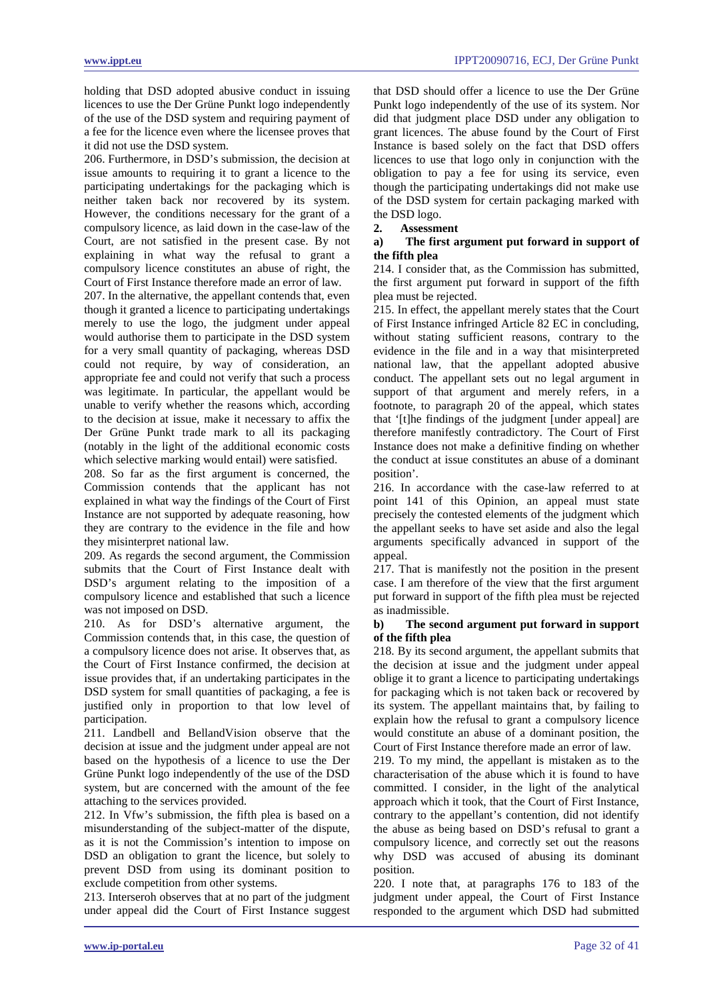holding that DSD adopted abusive conduct in issuing licences to use the Der Grüne Punkt logo independently of the use of the DSD system and requiring payment of a fee for the licence even where the licensee proves that it did not use the DSD system.

206. Furthermore, in DSD's submission, the decision at issue amounts to requiring it to grant a licence to the participating undertakings for the packaging which is neither taken back nor recovered by its system. However, the conditions necessary for the grant of a compulsory licence, as laid down in the case-law of the Court, are not satisfied in the present case. By not explaining in what way the refusal to grant a compulsory licence constitutes an abuse of right, the Court of First Instance therefore made an error of law.

207. In the alternative, the appellant contends that, even though it granted a licence to participating undertakings merely to use the logo, the judgment under appeal would authorise them to participate in the DSD system for a very small quantity of packaging, whereas DSD could not require, by way of consideration, an appropriate fee and could not verify that such a process was legitimate. In particular, the appellant would be unable to verify whether the reasons which, according to the decision at issue, make it necessary to affix the Der Grüne Punkt trade mark to all its packaging (notably in the light of the additional economic costs which selective marking would entail) were satisfied.

208. So far as the first argument is concerned, the Commission contends that the applicant has not explained in what way the findings of the Court of First Instance are not supported by adequate reasoning, how they are contrary to the evidence in the file and how they misinterpret national law.

209. As regards the second argument, the Commission submits that the Court of First Instance dealt with DSD's argument relating to the imposition of a compulsory licence and established that such a licence was not imposed on DSD.

210. As for DSD's alternative argument, the Commission contends that, in this case, the question of a compulsory licence does not arise. It observes that, as the Court of First Instance confirmed, the decision at issue provides that, if an undertaking participates in the DSD system for small quantities of packaging, a fee is justified only in proportion to that low level of participation.

211. Landbell and BellandVision observe that the decision at issue and the judgment under appeal are not based on the hypothesis of a licence to use the Der Grüne Punkt logo independently of the use of the DSD system, but are concerned with the amount of the fee attaching to the services provided.

212. In Vfw's submission, the fifth plea is based on a misunderstanding of the subject-matter of the dispute, as it is not the Commission's intention to impose on DSD an obligation to grant the licence, but solely to prevent DSD from using its dominant position to exclude competition from other systems.

213. Interseroh observes that at no part of the judgment under appeal did the Court of First Instance suggest that DSD should offer a licence to use the Der Grüne Punkt logo independently of the use of its system. Nor did that judgment place DSD under any obligation to grant licences. The abuse found by the Court of First Instance is based solely on the fact that DSD offers licences to use that logo only in conjunction with the obligation to pay a fee for using its service, even though the participating undertakings did not make use of the DSD system for certain packaging marked with the DSD logo.

# **2. Assessment**

### **a) The first argument put forward in support of the fifth plea**

214. I consider that, as the Commission has submitted, the first argument put forward in support of the fifth plea must be rejected.

215. In effect, the appellant merely states that the Court of First Instance infringed Article 82 EC in concluding, without stating sufficient reasons, contrary to the evidence in the file and in a way that misinterpreted national law, that the appellant adopted abusive conduct. The appellant sets out no legal argument in support of that argument and merely refers, in a footnote, to paragraph 20 of the appeal, which states that '[t]he findings of the judgment [under appeal] are therefore manifestly contradictory. The Court of First Instance does not make a definitive finding on whether the conduct at issue constitutes an abuse of a dominant position'.

216. In accordance with the case-law referred to at point 141 of this Opinion, an appeal must state precisely the contested elements of the judgment which the appellant seeks to have set aside and also the legal arguments specifically advanced in support of the appeal.

217. That is manifestly not the position in the present case. I am therefore of the view that the first argument put forward in support of the fifth plea must be rejected as inadmissible.

# **b) The second argument put forward in support of the fifth plea**

218. By its second argument, the appellant submits that the decision at issue and the judgment under appeal oblige it to grant a licence to participating undertakings for packaging which is not taken back or recovered by its system. The appellant maintains that, by failing to explain how the refusal to grant a compulsory licence would constitute an abuse of a dominant position, the Court of First Instance therefore made an error of law.

219. To my mind, the appellant is mistaken as to the characterisation of the abuse which it is found to have committed. I consider, in the light of the analytical approach which it took, that the Court of First Instance, contrary to the appellant's contention, did not identify the abuse as being based on DSD's refusal to grant a compulsory licence, and correctly set out the reasons why DSD was accused of abusing its dominant position.

220. I note that, at paragraphs 176 to 183 of the judgment under appeal, the Court of First Instance responded to the argument which DSD had submitted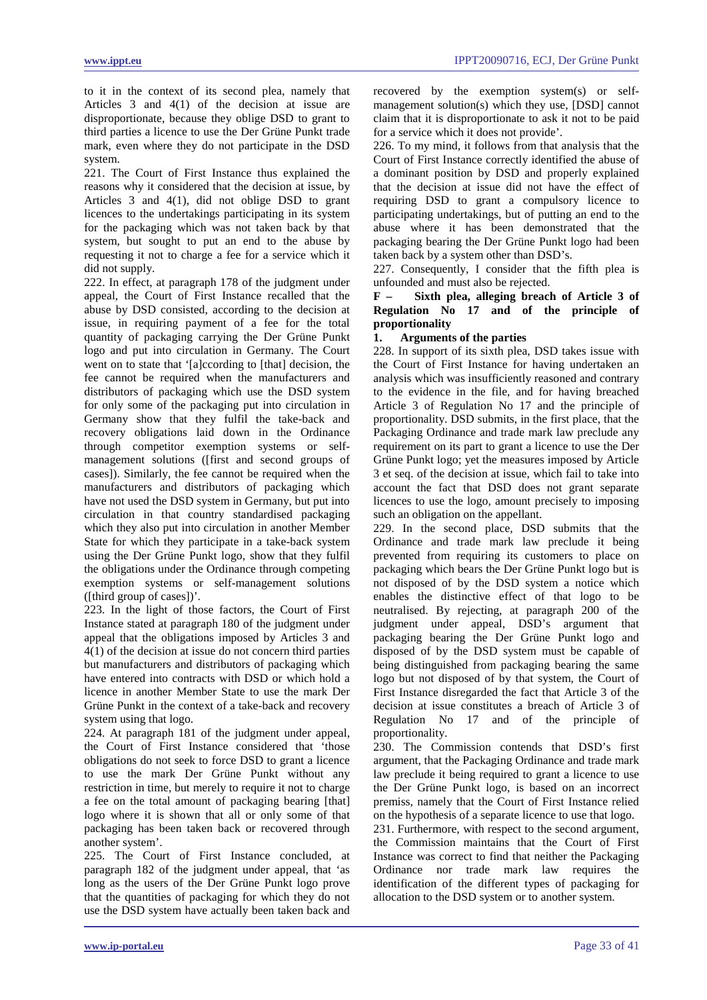to it in the context of its second plea, namely that Articles 3 and 4(1) of the decision at issue are disproportionate, because they oblige DSD to grant to third parties a licence to use the Der Grüne Punkt trade mark, even where they do not participate in the DSD system.

221. The Court of First Instance thus explained the reasons why it considered that the decision at issue, by Articles 3 and 4(1), did not oblige DSD to grant licences to the undertakings participating in its system for the packaging which was not taken back by that system, but sought to put an end to the abuse by requesting it not to charge a fee for a service which it did not supply.

222. In effect, at paragraph 178 of the judgment under appeal, the Court of First Instance recalled that the abuse by DSD consisted, according to the decision at issue, in requiring payment of a fee for the total quantity of packaging carrying the Der Grüne Punkt logo and put into circulation in Germany. The Court went on to state that '[a]ccording to [that] decision, the fee cannot be required when the manufacturers and distributors of packaging which use the DSD system for only some of the packaging put into circulation in Germany show that they fulfil the take-back and recovery obligations laid down in the Ordinance through competitor exemption systems or selfmanagement solutions ([first and second groups of cases]). Similarly, the fee cannot be required when the manufacturers and distributors of packaging which have not used the DSD system in Germany, but put into circulation in that country standardised packaging which they also put into circulation in another Member State for which they participate in a take-back system using the Der Grüne Punkt logo, show that they fulfil the obligations under the Ordinance through competing exemption systems or self-management solutions ([third group of cases])'.

223. In the light of those factors, the Court of First Instance stated at paragraph 180 of the judgment under appeal that the obligations imposed by Articles 3 and 4(1) of the decision at issue do not concern third parties but manufacturers and distributors of packaging which have entered into contracts with DSD or which hold a licence in another Member State to use the mark Der Grüne Punkt in the context of a take-back and recovery system using that logo.

224. At paragraph 181 of the judgment under appeal, the Court of First Instance considered that 'those obligations do not seek to force DSD to grant a licence to use the mark Der Grüne Punkt without any restriction in time, but merely to require it not to charge a fee on the total amount of packaging bearing [that] logo where it is shown that all or only some of that packaging has been taken back or recovered through another system'.

225. The Court of First Instance concluded, at paragraph 182 of the judgment under appeal, that 'as long as the users of the Der Grüne Punkt logo prove that the quantities of packaging for which they do not use the DSD system have actually been taken back and recovered by the exemption system(s) or selfmanagement solution(s) which they use, [DSD] cannot claim that it is disproportionate to ask it not to be paid for a service which it does not provide'.

226. To my mind, it follows from that analysis that the Court of First Instance correctly identified the abuse of a dominant position by DSD and properly explained that the decision at issue did not have the effect of requiring DSD to grant a compulsory licence to participating undertakings, but of putting an end to the abuse where it has been demonstrated that the packaging bearing the Der Grüne Punkt logo had been taken back by a system other than DSD's.

227. Consequently, I consider that the fifth plea is unfounded and must also be rejected.

**F – Sixth plea, alleging breach of Article 3 of Regulation No 17 and of the principle of proportionality** 

# **1. Arguments of the parties**

228. In support of its sixth plea, DSD takes issue with the Court of First Instance for having undertaken an analysis which was insufficiently reasoned and contrary to the evidence in the file, and for having breached Article 3 of Regulation No 17 and the principle of proportionality. DSD submits, in the first place, that the Packaging Ordinance and trade mark law preclude any requirement on its part to grant a licence to use the Der Grüne Punkt logo; yet the measures imposed by Article 3 et seq. of the decision at issue, which fail to take into account the fact that DSD does not grant separate licences to use the logo, amount precisely to imposing such an obligation on the appellant.

229. In the second place, DSD submits that the Ordinance and trade mark law preclude it being prevented from requiring its customers to place on packaging which bears the Der Grüne Punkt logo but is not disposed of by the DSD system a notice which enables the distinctive effect of that logo to be neutralised. By rejecting, at paragraph 200 of the judgment under appeal, DSD's argument that packaging bearing the Der Grüne Punkt logo and disposed of by the DSD system must be capable of being distinguished from packaging bearing the same logo but not disposed of by that system, the Court of First Instance disregarded the fact that Article 3 of the decision at issue constitutes a breach of Article 3 of Regulation No 17 and of the principle of proportionality.

230. The Commission contends that DSD's first argument, that the Packaging Ordinance and trade mark law preclude it being required to grant a licence to use the Der Grüne Punkt logo, is based on an incorrect premiss, namely that the Court of First Instance relied on the hypothesis of a separate licence to use that logo.

231. Furthermore, with respect to the second argument, the Commission maintains that the Court of First Instance was correct to find that neither the Packaging Ordinance nor trade mark law requires the identification of the different types of packaging for allocation to the DSD system or to another system.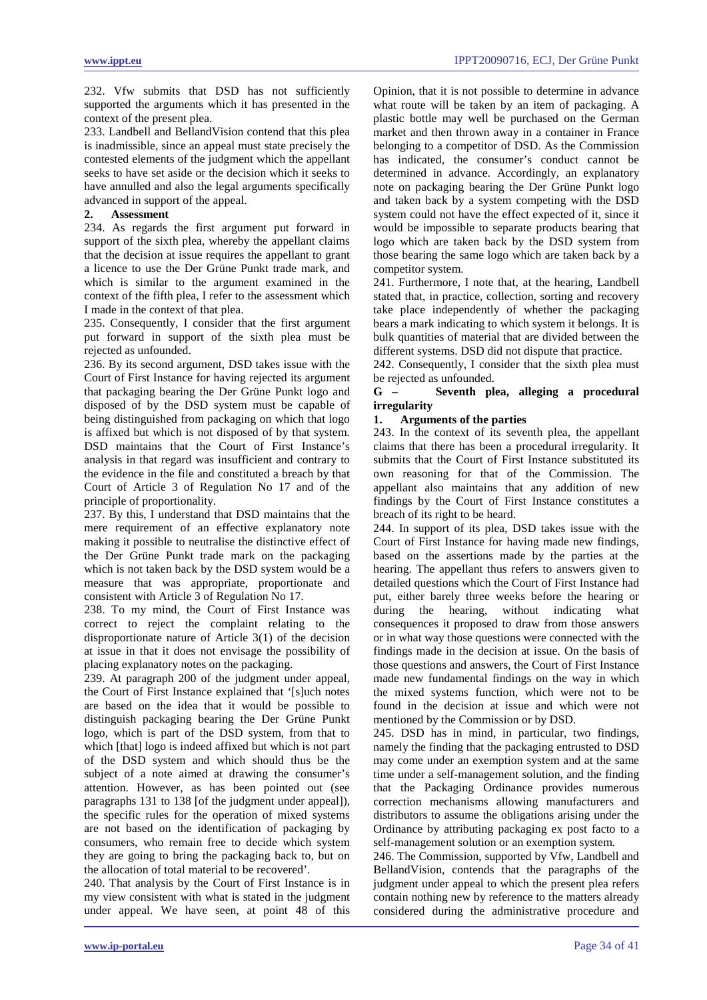232. Vfw submits that DSD has not sufficiently supported the arguments which it has presented in the context of the present plea.

233. Landbell and BellandVision contend that this plea is inadmissible, since an appeal must state precisely the contested elements of the judgment which the appellant seeks to have set aside or the decision which it seeks to have annulled and also the legal arguments specifically advanced in support of the appeal.

# **2. Assessment**

234. As regards the first argument put forward in support of the sixth plea, whereby the appellant claims that the decision at issue requires the appellant to grant a licence to use the Der Grüne Punkt trade mark, and which is similar to the argument examined in the context of the fifth plea, I refer to the assessment which I made in the context of that plea.

235. Consequently, I consider that the first argument put forward in support of the sixth plea must be rejected as unfounded.

236. By its second argument, DSD takes issue with the Court of First Instance for having rejected its argument that packaging bearing the Der Grüne Punkt logo and disposed of by the DSD system must be capable of being distinguished from packaging on which that logo is affixed but which is not disposed of by that system. DSD maintains that the Court of First Instance's analysis in that regard was insufficient and contrary to the evidence in the file and constituted a breach by that Court of Article 3 of Regulation No 17 and of the principle of proportionality.

237. By this, I understand that DSD maintains that the mere requirement of an effective explanatory note making it possible to neutralise the distinctive effect of the Der Grüne Punkt trade mark on the packaging which is not taken back by the DSD system would be a measure that was appropriate, proportionate and consistent with Article 3 of Regulation No 17.

238. To my mind, the Court of First Instance was correct to reject the complaint relating to the disproportionate nature of Article 3(1) of the decision at issue in that it does not envisage the possibility of placing explanatory notes on the packaging.

239. At paragraph 200 of the judgment under appeal, the Court of First Instance explained that '[s]uch notes are based on the idea that it would be possible to distinguish packaging bearing the Der Grüne Punkt logo, which is part of the DSD system, from that to which [that] logo is indeed affixed but which is not part of the DSD system and which should thus be the subject of a note aimed at drawing the consumer's attention. However, as has been pointed out (see paragraphs 131 to 138 [of the judgment under appeal]), the specific rules for the operation of mixed systems are not based on the identification of packaging by consumers, who remain free to decide which system they are going to bring the packaging back to, but on the allocation of total material to be recovered'.

240. That analysis by the Court of First Instance is in my view consistent with what is stated in the judgment under appeal. We have seen, at point 48 of this Opinion, that it is not possible to determine in advance what route will be taken by an item of packaging. A plastic bottle may well be purchased on the German market and then thrown away in a container in France belonging to a competitor of DSD. As the Commission has indicated, the consumer's conduct cannot be determined in advance. Accordingly, an explanatory note on packaging bearing the Der Grüne Punkt logo and taken back by a system competing with the DSD system could not have the effect expected of it, since it would be impossible to separate products bearing that logo which are taken back by the DSD system from those bearing the same logo which are taken back by a competitor system.

241. Furthermore, I note that, at the hearing, Landbell stated that, in practice, collection, sorting and recovery take place independently of whether the packaging bears a mark indicating to which system it belongs. It is bulk quantities of material that are divided between the different systems. DSD did not dispute that practice.

242. Consequently, I consider that the sixth plea must be rejected as unfounded.

# **G – Seventh plea, alleging a procedural irregularity**

### **1. Arguments of the parties**

243. In the context of its seventh plea, the appellant claims that there has been a procedural irregularity. It submits that the Court of First Instance substituted its own reasoning for that of the Commission. The appellant also maintains that any addition of new findings by the Court of First Instance constitutes a breach of its right to be heard.

244. In support of its plea, DSD takes issue with the Court of First Instance for having made new findings, based on the assertions made by the parties at the hearing. The appellant thus refers to answers given to detailed questions which the Court of First Instance had put, either barely three weeks before the hearing or during the hearing, without indicating what consequences it proposed to draw from those answers or in what way those questions were connected with the findings made in the decision at issue. On the basis of those questions and answers, the Court of First Instance made new fundamental findings on the way in which the mixed systems function, which were not to be found in the decision at issue and which were not mentioned by the Commission or by DSD.

245. DSD has in mind, in particular, two findings, namely the finding that the packaging entrusted to DSD may come under an exemption system and at the same time under a self-management solution, and the finding that the Packaging Ordinance provides numerous correction mechanisms allowing manufacturers and distributors to assume the obligations arising under the Ordinance by attributing packaging ex post facto to a self-management solution or an exemption system.

246. The Commission, supported by Vfw, Landbell and BellandVision, contends that the paragraphs of the judgment under appeal to which the present plea refers contain nothing new by reference to the matters already considered during the administrative procedure and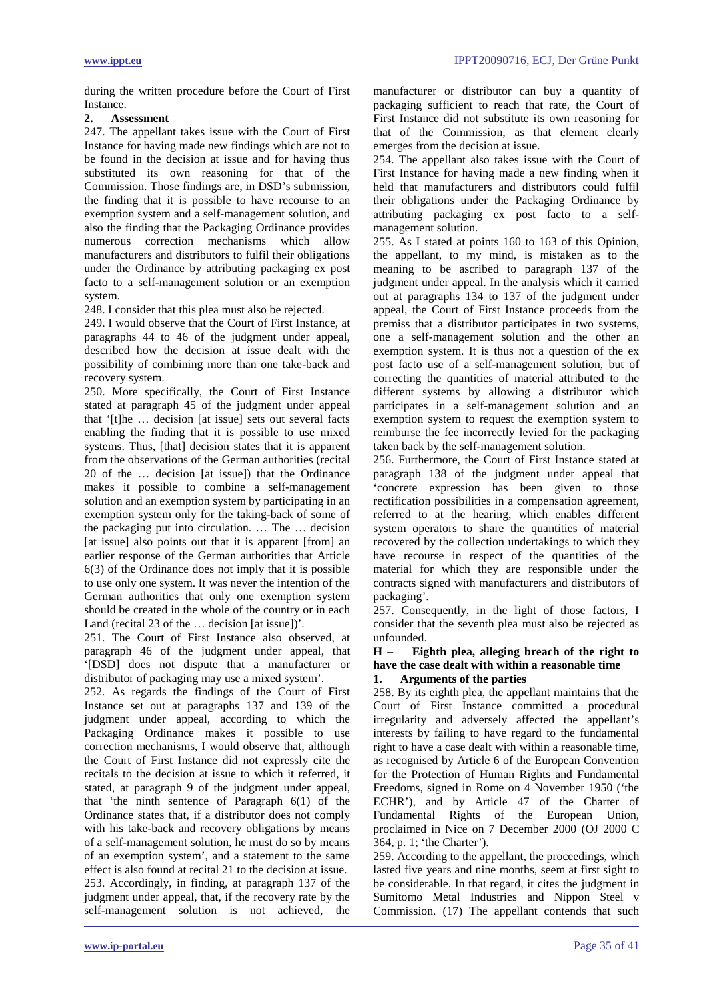during the written procedure before the Court of First Instance.<br> $2 \Delta$ se

# **2. Assessment**

247. The appellant takes issue with the Court of First Instance for having made new findings which are not to be found in the decision at issue and for having thus substituted its own reasoning for that of the Commission. Those findings are, in DSD's submission, the finding that it is possible to have recourse to an exemption system and a self-management solution, and also the finding that the Packaging Ordinance provides numerous correction mechanisms which allow manufacturers and distributors to fulfil their obligations under the Ordinance by attributing packaging ex post facto to a self-management solution or an exemption system.

248. I consider that this plea must also be rejected.

249. I would observe that the Court of First Instance, at paragraphs 44 to 46 of the judgment under appeal, described how the decision at issue dealt with the possibility of combining more than one take-back and recovery system.

250. More specifically, the Court of First Instance stated at paragraph 45 of the judgment under appeal that '[t]he … decision [at issue] sets out several facts enabling the finding that it is possible to use mixed systems. Thus, [that] decision states that it is apparent from the observations of the German authorities (recital 20 of the … decision [at issue]) that the Ordinance makes it possible to combine a self-management solution and an exemption system by participating in an exemption system only for the taking-back of some of the packaging put into circulation. … The … decision [at issue] also points out that it is apparent [from] an earlier response of the German authorities that Article 6(3) of the Ordinance does not imply that it is possible to use only one system. It was never the intention of the German authorities that only one exemption system should be created in the whole of the country or in each Land (recital 23 of the ... decision [at issue])'.

251. The Court of First Instance also observed, at paragraph 46 of the judgment under appeal, that '[DSD] does not dispute that a manufacturer or distributor of packaging may use a mixed system'.

252. As regards the findings of the Court of First Instance set out at paragraphs 137 and 139 of the judgment under appeal, according to which the Packaging Ordinance makes it possible to use correction mechanisms, I would observe that, although the Court of First Instance did not expressly cite the recitals to the decision at issue to which it referred, it stated, at paragraph 9 of the judgment under appeal, that 'the ninth sentence of Paragraph 6(1) of the Ordinance states that, if a distributor does not comply with his take-back and recovery obligations by means of a self-management solution, he must do so by means of an exemption system', and a statement to the same effect is also found at recital 21 to the decision at issue. 253. Accordingly, in finding, at paragraph 137 of the judgment under appeal, that, if the recovery rate by the self-management solution is not achieved, the manufacturer or distributor can buy a quantity of packaging sufficient to reach that rate, the Court of First Instance did not substitute its own reasoning for that of the Commission, as that element clearly emerges from the decision at issue.

254. The appellant also takes issue with the Court of First Instance for having made a new finding when it held that manufacturers and distributors could fulfil their obligations under the Packaging Ordinance by attributing packaging ex post facto to a selfmanagement solution.

255. As I stated at points 160 to 163 of this Opinion, the appellant, to my mind, is mistaken as to the meaning to be ascribed to paragraph 137 of the judgment under appeal. In the analysis which it carried out at paragraphs 134 to 137 of the judgment under appeal, the Court of First Instance proceeds from the premiss that a distributor participates in two systems, one a self-management solution and the other an exemption system. It is thus not a question of the ex post facto use of a self-management solution, but of correcting the quantities of material attributed to the different systems by allowing a distributor which participates in a self-management solution and an exemption system to request the exemption system to reimburse the fee incorrectly levied for the packaging taken back by the self-management solution.

256. Furthermore, the Court of First Instance stated at paragraph 138 of the judgment under appeal that 'concrete expression has been given to those rectification possibilities in a compensation agreement, referred to at the hearing, which enables different system operators to share the quantities of material recovered by the collection undertakings to which they have recourse in respect of the quantities of the material for which they are responsible under the contracts signed with manufacturers and distributors of packaging'.

257. Consequently, in the light of those factors, I consider that the seventh plea must also be rejected as unfounded.

### **H – Eighth plea, alleging breach of the right to have the case dealt with within a reasonable time 1. Arguments of the parties**

258. By its eighth plea, the appellant maintains that the Court of First Instance committed a procedural irregularity and adversely affected the appellant's interests by failing to have regard to the fundamental right to have a case dealt with within a reasonable time, as recognised by Article 6 of the European Convention for the Protection of Human Rights and Fundamental Freedoms, signed in Rome on 4 November 1950 ('the ECHR'), and by Article 47 of the Charter of Fundamental Rights of the European Union, proclaimed in Nice on 7 December 2000 (OJ 2000 C 364, p. 1; 'the Charter').

259. According to the appellant, the proceedings, which lasted five years and nine months, seem at first sight to be considerable. In that regard, it cites the judgment in Sumitomo Metal Industries and Nippon Steel v Commission. (17) The appellant contends that such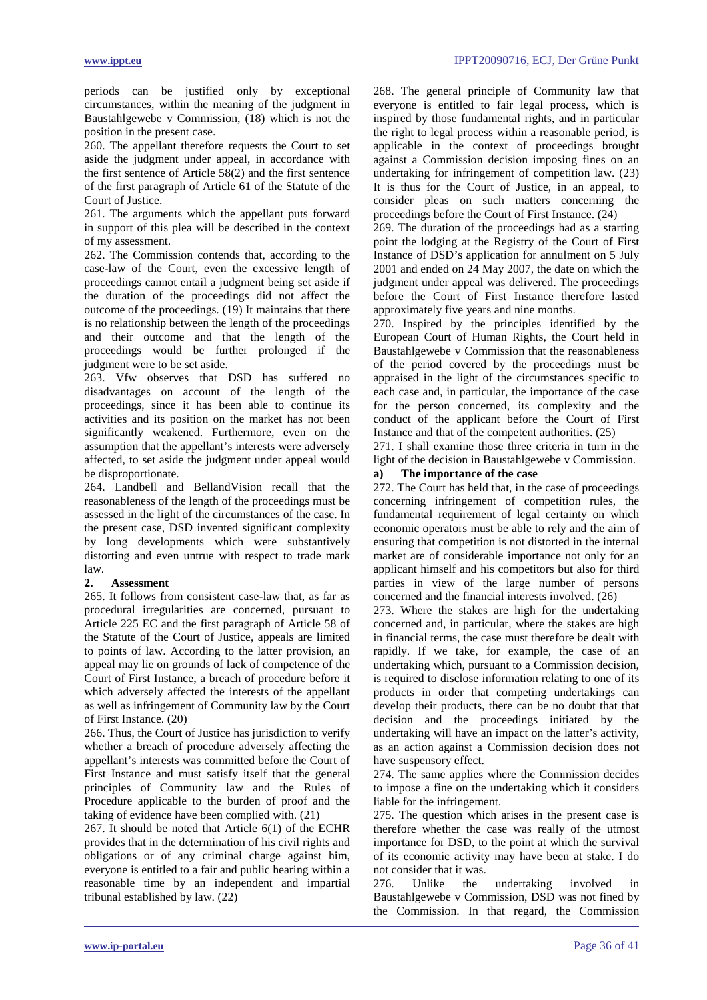periods can be justified only by exceptional circumstances, within the meaning of the judgment in Baustahlgewebe v Commission, (18) which is not the position in the present case.

260. The appellant therefore requests the Court to set aside the judgment under appeal, in accordance with the first sentence of Article 58(2) and the first sentence of the first paragraph of Article 61 of the Statute of the Court of Justice.

261. The arguments which the appellant puts forward in support of this plea will be described in the context of my assessment.

262. The Commission contends that, according to the case-law of the Court, even the excessive length of proceedings cannot entail a judgment being set aside if the duration of the proceedings did not affect the outcome of the proceedings. (19) It maintains that there is no relationship between the length of the proceedings and their outcome and that the length of the proceedings would be further prolonged if the judgment were to be set aside.

263. Vfw observes that DSD has suffered no disadvantages on account of the length of the proceedings, since it has been able to continue its activities and its position on the market has not been significantly weakened. Furthermore, even on the assumption that the appellant's interests were adversely affected, to set aside the judgment under appeal would be disproportionate.

264. Landbell and BellandVision recall that the reasonableness of the length of the proceedings must be assessed in the light of the circumstances of the case. In the present case, DSD invented significant complexity by long developments which were substantively distorting and even untrue with respect to trade mark law.

#### **2. Assessment**

265. It follows from consistent case-law that, as far as procedural irregularities are concerned, pursuant to Article 225 EC and the first paragraph of Article 58 of the Statute of the Court of Justice, appeals are limited to points of law. According to the latter provision, an appeal may lie on grounds of lack of competence of the Court of First Instance, a breach of procedure before it which adversely affected the interests of the appellant as well as infringement of Community law by the Court of First Instance. (20)

266. Thus, the Court of Justice has jurisdiction to verify whether a breach of procedure adversely affecting the appellant's interests was committed before the Court of First Instance and must satisfy itself that the general principles of Community law and the Rules of Procedure applicable to the burden of proof and the taking of evidence have been complied with. (21)

267. It should be noted that Article 6(1) of the ECHR provides that in the determination of his civil rights and obligations or of any criminal charge against him, everyone is entitled to a fair and public hearing within a reasonable time by an independent and impartial tribunal established by law. (22)

268. The general principle of Community law that everyone is entitled to fair legal process, which is inspired by those fundamental rights, and in particular the right to legal process within a reasonable period, is applicable in the context of proceedings brought against a Commission decision imposing fines on an undertaking for infringement of competition law. (23) It is thus for the Court of Justice, in an appeal, to consider pleas on such matters concerning the proceedings before the Court of First Instance. (24)

269. The duration of the proceedings had as a starting point the lodging at the Registry of the Court of First Instance of DSD's application for annulment on 5 July 2001 and ended on 24 May 2007, the date on which the judgment under appeal was delivered. The proceedings before the Court of First Instance therefore lasted approximately five years and nine months.

270. Inspired by the principles identified by the European Court of Human Rights, the Court held in Baustahlgewebe v Commission that the reasonableness of the period covered by the proceedings must be appraised in the light of the circumstances specific to each case and, in particular, the importance of the case for the person concerned, its complexity and the conduct of the applicant before the Court of First Instance and that of the competent authorities. (25)

271. I shall examine those three criteria in turn in the light of the decision in Baustahlgewebe v Commission.

# **a) The importance of the case**

272. The Court has held that, in the case of proceedings concerning infringement of competition rules, the fundamental requirement of legal certainty on which economic operators must be able to rely and the aim of ensuring that competition is not distorted in the internal market are of considerable importance not only for an applicant himself and his competitors but also for third parties in view of the large number of persons concerned and the financial interests involved. (26)

273. Where the stakes are high for the undertaking concerned and, in particular, where the stakes are high in financial terms, the case must therefore be dealt with rapidly. If we take, for example, the case of an undertaking which, pursuant to a Commission decision, is required to disclose information relating to one of its products in order that competing undertakings can develop their products, there can be no doubt that that decision and the proceedings initiated by the undertaking will have an impact on the latter's activity, as an action against a Commission decision does not have suspensory effect.

274. The same applies where the Commission decides to impose a fine on the undertaking which it considers liable for the infringement.

275. The question which arises in the present case is therefore whether the case was really of the utmost importance for DSD, to the point at which the survival of its economic activity may have been at stake. I do not consider that it was.

276. Unlike the undertaking involved in Baustahlgewebe v Commission, DSD was not fined by the Commission. In that regard, the Commission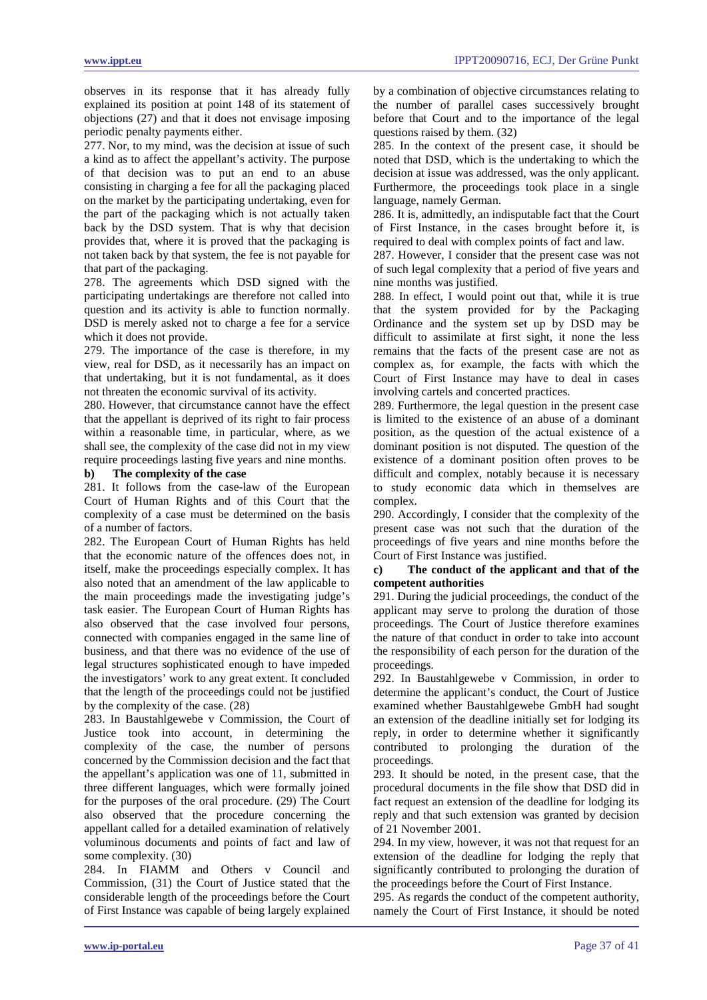observes in its response that it has already fully explained its position at point 148 of its statement of objections (27) and that it does not envisage imposing periodic penalty payments either.

277. Nor, to my mind, was the decision at issue of such a kind as to affect the appellant's activity. The purpose of that decision was to put an end to an abuse consisting in charging a fee for all the packaging placed on the market by the participating undertaking, even for the part of the packaging which is not actually taken back by the DSD system. That is why that decision provides that, where it is proved that the packaging is not taken back by that system, the fee is not payable for that part of the packaging.

278. The agreements which DSD signed with the participating undertakings are therefore not called into question and its activity is able to function normally. DSD is merely asked not to charge a fee for a service which it does not provide.

279. The importance of the case is therefore, in my view, real for DSD, as it necessarily has an impact on that undertaking, but it is not fundamental, as it does not threaten the economic survival of its activity.

280. However, that circumstance cannot have the effect that the appellant is deprived of its right to fair process within a reasonable time, in particular, where, as we shall see, the complexity of the case did not in my view require proceedings lasting five years and nine months.

# **b) The complexity of the case**

281. It follows from the case-law of the European Court of Human Rights and of this Court that the complexity of a case must be determined on the basis of a number of factors.

282. The European Court of Human Rights has held that the economic nature of the offences does not, in itself, make the proceedings especially complex. It has also noted that an amendment of the law applicable to the main proceedings made the investigating judge's task easier. The European Court of Human Rights has also observed that the case involved four persons, connected with companies engaged in the same line of business, and that there was no evidence of the use of legal structures sophisticated enough to have impeded the investigators' work to any great extent. It concluded that the length of the proceedings could not be justified by the complexity of the case. (28)

283. In Baustahlgewebe v Commission, the Court of Justice took into account, in determining the complexity of the case, the number of persons concerned by the Commission decision and the fact that the appellant's application was one of 11, submitted in three different languages, which were formally joined for the purposes of the oral procedure. (29) The Court also observed that the procedure concerning the appellant called for a detailed examination of relatively voluminous documents and points of fact and law of some complexity. (30)

284. In FIAMM and Others v Council and Commission, (31) the Court of Justice stated that the considerable length of the proceedings before the Court of First Instance was capable of being largely explained by a combination of objective circumstances relating to the number of parallel cases successively brought before that Court and to the importance of the legal questions raised by them. (32)

285. In the context of the present case, it should be noted that DSD, which is the undertaking to which the decision at issue was addressed, was the only applicant. Furthermore, the proceedings took place in a single language, namely German.

286. It is, admittedly, an indisputable fact that the Court of First Instance, in the cases brought before it, is required to deal with complex points of fact and law.

287. However, I consider that the present case was not of such legal complexity that a period of five years and nine months was justified.

288. In effect, I would point out that, while it is true that the system provided for by the Packaging Ordinance and the system set up by DSD may be difficult to assimilate at first sight, it none the less remains that the facts of the present case are not as complex as, for example, the facts with which the Court of First Instance may have to deal in cases involving cartels and concerted practices.

289. Furthermore, the legal question in the present case is limited to the existence of an abuse of a dominant position, as the question of the actual existence of a dominant position is not disputed. The question of the existence of a dominant position often proves to be difficult and complex, notably because it is necessary to study economic data which in themselves are complex.

290. Accordingly, I consider that the complexity of the present case was not such that the duration of the proceedings of five years and nine months before the Court of First Instance was justified.

### **c) The conduct of the applicant and that of the competent authorities**

291. During the judicial proceedings, the conduct of the applicant may serve to prolong the duration of those proceedings. The Court of Justice therefore examines the nature of that conduct in order to take into account the responsibility of each person for the duration of the proceedings.

292. In Baustahlgewebe v Commission, in order to determine the applicant's conduct, the Court of Justice examined whether Baustahlgewebe GmbH had sought an extension of the deadline initially set for lodging its reply, in order to determine whether it significantly contributed to prolonging the duration of the proceedings.

293. It should be noted, in the present case, that the procedural documents in the file show that DSD did in fact request an extension of the deadline for lodging its reply and that such extension was granted by decision of 21 November 2001.

294. In my view, however, it was not that request for an extension of the deadline for lodging the reply that significantly contributed to prolonging the duration of the proceedings before the Court of First Instance.

295. As regards the conduct of the competent authority, namely the Court of First Instance, it should be noted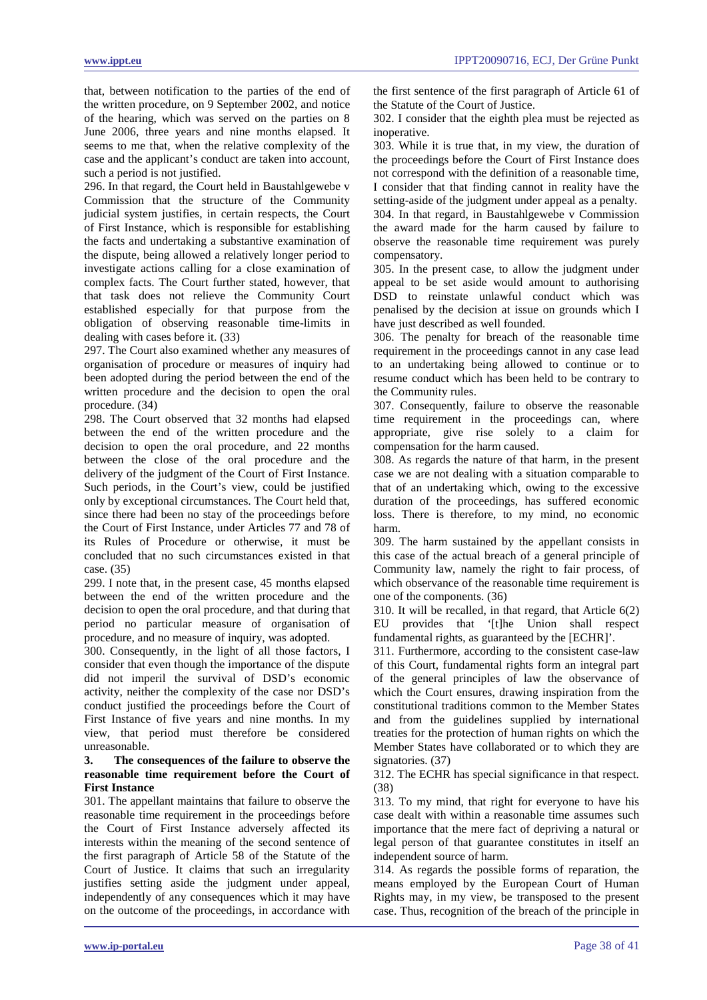that, between notification to the parties of the end of the written procedure, on 9 September 2002, and notice of the hearing, which was served on the parties on 8 June 2006, three years and nine months elapsed. It seems to me that, when the relative complexity of the case and the applicant's conduct are taken into account, such a period is not justified.

296. In that regard, the Court held in Baustahlgewebe v Commission that the structure of the Community judicial system justifies, in certain respects, the Court of First Instance, which is responsible for establishing the facts and undertaking a substantive examination of the dispute, being allowed a relatively longer period to investigate actions calling for a close examination of complex facts. The Court further stated, however, that that task does not relieve the Community Court established especially for that purpose from the obligation of observing reasonable time-limits in dealing with cases before it. (33)

297. The Court also examined whether any measures of organisation of procedure or measures of inquiry had been adopted during the period between the end of the written procedure and the decision to open the oral procedure. (34)

298. The Court observed that 32 months had elapsed between the end of the written procedure and the decision to open the oral procedure, and 22 months between the close of the oral procedure and the delivery of the judgment of the Court of First Instance. Such periods, in the Court's view, could be justified only by exceptional circumstances. The Court held that, since there had been no stay of the proceedings before the Court of First Instance, under Articles 77 and 78 of its Rules of Procedure or otherwise, it must be concluded that no such circumstances existed in that case. (35)

299. I note that, in the present case, 45 months elapsed between the end of the written procedure and the decision to open the oral procedure, and that during that period no particular measure of organisation of procedure, and no measure of inquiry, was adopted.

300. Consequently, in the light of all those factors, I consider that even though the importance of the dispute did not imperil the survival of DSD's economic activity, neither the complexity of the case nor DSD's conduct justified the proceedings before the Court of First Instance of five years and nine months. In my view, that period must therefore be considered unreasonable.

# **3. The consequences of the failure to observe the reasonable time requirement before the Court of First Instance**

301. The appellant maintains that failure to observe the reasonable time requirement in the proceedings before the Court of First Instance adversely affected its interests within the meaning of the second sentence of the first paragraph of Article 58 of the Statute of the Court of Justice. It claims that such an irregularity justifies setting aside the judgment under appeal, independently of any consequences which it may have on the outcome of the proceedings, in accordance with the first sentence of the first paragraph of Article 61 of the Statute of the Court of Justice.

302. I consider that the eighth plea must be rejected as inoperative.

303. While it is true that, in my view, the duration of the proceedings before the Court of First Instance does not correspond with the definition of a reasonable time, I consider that that finding cannot in reality have the setting-aside of the judgment under appeal as a penalty. 304. In that regard, in Baustahlgewebe v Commission the award made for the harm caused by failure to observe the reasonable time requirement was purely compensatory.

305. In the present case, to allow the judgment under appeal to be set aside would amount to authorising DSD to reinstate unlawful conduct which was penalised by the decision at issue on grounds which I have just described as well founded.

306. The penalty for breach of the reasonable time requirement in the proceedings cannot in any case lead to an undertaking being allowed to continue or to resume conduct which has been held to be contrary to the Community rules.

307. Consequently, failure to observe the reasonable time requirement in the proceedings can, where appropriate, give rise solely to a claim for compensation for the harm caused.

308. As regards the nature of that harm, in the present case we are not dealing with a situation comparable to that of an undertaking which, owing to the excessive duration of the proceedings, has suffered economic loss. There is therefore, to my mind, no economic harm.

309. The harm sustained by the appellant consists in this case of the actual breach of a general principle of Community law, namely the right to fair process, of which observance of the reasonable time requirement is one of the components. (36)

310. It will be recalled, in that regard, that Article 6(2) EU provides that '[t]he Union shall respect fundamental rights, as guaranteed by the [ECHR]'.

311. Furthermore, according to the consistent case-law of this Court, fundamental rights form an integral part of the general principles of law the observance of which the Court ensures, drawing inspiration from the constitutional traditions common to the Member States and from the guidelines supplied by international treaties for the protection of human rights on which the Member States have collaborated or to which they are signatories. (37)

312. The ECHR has special significance in that respect. (38)

313. To my mind, that right for everyone to have his case dealt with within a reasonable time assumes such importance that the mere fact of depriving a natural or legal person of that guarantee constitutes in itself an independent source of harm.

314. As regards the possible forms of reparation, the means employed by the European Court of Human Rights may, in my view, be transposed to the present case. Thus, recognition of the breach of the principle in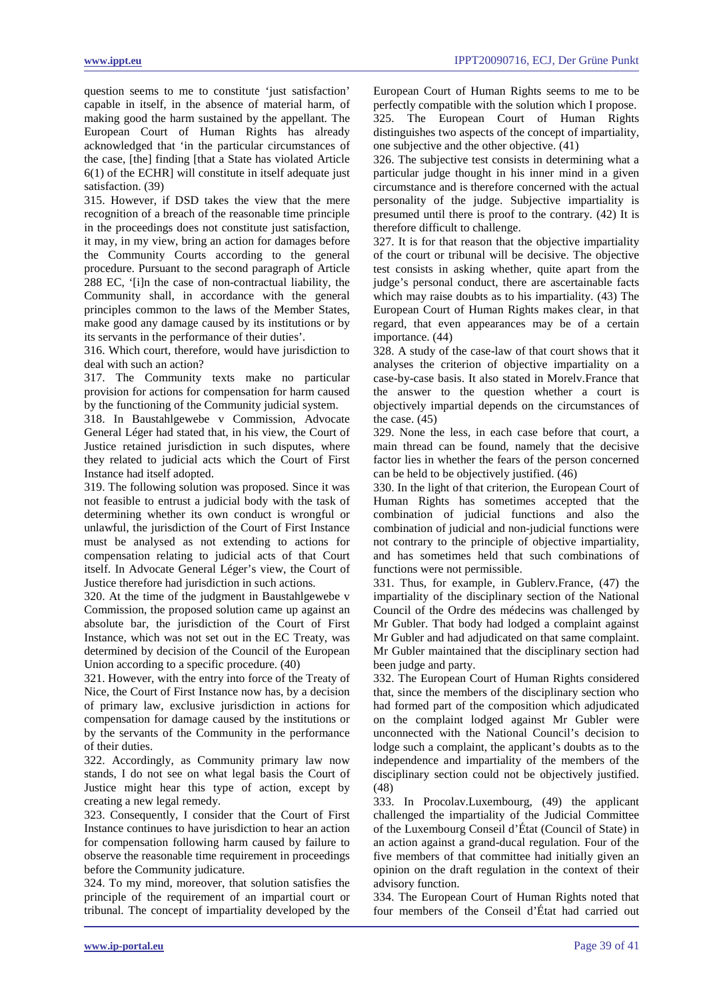question seems to me to constitute 'just satisfaction' capable in itself, in the absence of material harm, of making good the harm sustained by the appellant. The European Court of Human Rights has already acknowledged that 'in the particular circumstances of the case, [the] finding [that a State has violated Article 6(1) of the ECHR] will constitute in itself adequate just satisfaction. (39)

315. However, if DSD takes the view that the mere recognition of a breach of the reasonable time principle in the proceedings does not constitute just satisfaction, it may, in my view, bring an action for damages before the Community Courts according to the general procedure. Pursuant to the second paragraph of Article 288 EC, '[i]n the case of non-contractual liability, the Community shall, in accordance with the general principles common to the laws of the Member States, make good any damage caused by its institutions or by its servants in the performance of their duties'.

316. Which court, therefore, would have jurisdiction to deal with such an action?

317. The Community texts make no particular provision for actions for compensation for harm caused by the functioning of the Community judicial system.

318. In Baustahlgewebe v Commission, Advocate General Léger had stated that, in his view, the Court of Justice retained jurisdiction in such disputes, where they related to judicial acts which the Court of First Instance had itself adopted.

319. The following solution was proposed. Since it was not feasible to entrust a judicial body with the task of determining whether its own conduct is wrongful or unlawful, the jurisdiction of the Court of First Instance must be analysed as not extending to actions for compensation relating to judicial acts of that Court itself. In Advocate General Léger's view, the Court of Justice therefore had jurisdiction in such actions.

320. At the time of the judgment in Baustahlgewebe v Commission, the proposed solution came up against an absolute bar, the jurisdiction of the Court of First Instance, which was not set out in the EC Treaty, was determined by decision of the Council of the European Union according to a specific procedure. (40)

321. However, with the entry into force of the Treaty of Nice, the Court of First Instance now has, by a decision of primary law, exclusive jurisdiction in actions for compensation for damage caused by the institutions or by the servants of the Community in the performance of their duties.

322. Accordingly, as Community primary law now stands, I do not see on what legal basis the Court of Justice might hear this type of action, except by creating a new legal remedy.

323. Consequently, I consider that the Court of First Instance continues to have jurisdiction to hear an action for compensation following harm caused by failure to observe the reasonable time requirement in proceedings before the Community judicature.

324. To my mind, moreover, that solution satisfies the principle of the requirement of an impartial court or tribunal. The concept of impartiality developed by the European Court of Human Rights seems to me to be perfectly compatible with the solution which I propose. 325. The European Court of Human Rights distinguishes two aspects of the concept of impartiality, one subjective and the other objective. (41)

326. The subjective test consists in determining what a particular judge thought in his inner mind in a given circumstance and is therefore concerned with the actual personality of the judge. Subjective impartiality is presumed until there is proof to the contrary. (42) It is therefore difficult to challenge.

327. It is for that reason that the objective impartiality of the court or tribunal will be decisive. The objective test consists in asking whether, quite apart from the judge's personal conduct, there are ascertainable facts which may raise doubts as to his impartiality. (43) The European Court of Human Rights makes clear, in that regard, that even appearances may be of a certain importance. (44)

328. A study of the case-law of that court shows that it analyses the criterion of objective impartiality on a case-by-case basis. It also stated in Morelv.France that the answer to the question whether a court is objectively impartial depends on the circumstances of the case. (45)

329. None the less, in each case before that court, a main thread can be found, namely that the decisive factor lies in whether the fears of the person concerned can be held to be objectively justified. (46)

330. In the light of that criterion, the European Court of Human Rights has sometimes accepted that the combination of judicial functions and also the combination of judicial and non-judicial functions were not contrary to the principle of objective impartiality, and has sometimes held that such combinations of functions were not permissible.

331. Thus, for example, in Gublerv.France, (47) the impartiality of the disciplinary section of the National Council of the Ordre des médecins was challenged by Mr Gubler. That body had lodged a complaint against Mr Gubler and had adjudicated on that same complaint. Mr Gubler maintained that the disciplinary section had been judge and party.

332. The European Court of Human Rights considered that, since the members of the disciplinary section who had formed part of the composition which adjudicated on the complaint lodged against Mr Gubler were unconnected with the National Council's decision to lodge such a complaint, the applicant's doubts as to the independence and impartiality of the members of the disciplinary section could not be objectively justified. (48)

333. In Procolav.Luxembourg, (49) the applicant challenged the impartiality of the Judicial Committee of the Luxembourg Conseil d'État (Council of State) in an action against a grand-ducal regulation. Four of the five members of that committee had initially given an opinion on the draft regulation in the context of their advisory function.

334. The European Court of Human Rights noted that four members of the Conseil d'État had carried out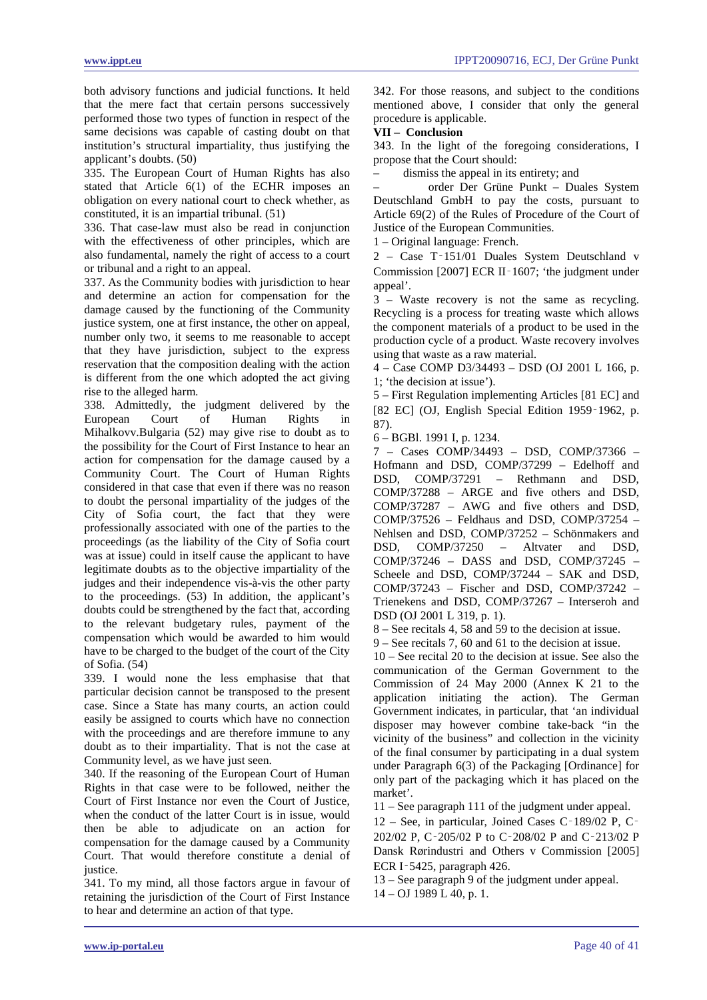both advisory functions and judicial functions. It held that the mere fact that certain persons successively performed those two types of function in respect of the same decisions was capable of casting doubt on that institution's structural impartiality, thus justifying the applicant's doubts. (50)

335. The European Court of Human Rights has also stated that Article 6(1) of the ECHR imposes an obligation on every national court to check whether, as constituted, it is an impartial tribunal. (51)

336. That case-law must also be read in conjunction with the effectiveness of other principles, which are also fundamental, namely the right of access to a court or tribunal and a right to an appeal.

337. As the Community bodies with jurisdiction to hear and determine an action for compensation for the damage caused by the functioning of the Community justice system, one at first instance, the other on appeal, number only two, it seems to me reasonable to accept that they have jurisdiction, subject to the express reservation that the composition dealing with the action is different from the one which adopted the act giving rise to the alleged harm.

338. Admittedly, the judgment delivered by the European Court of Human Rights in Mihalkovv.Bulgaria (52) may give rise to doubt as to the possibility for the Court of First Instance to hear an action for compensation for the damage caused by a Community Court. The Court of Human Rights considered in that case that even if there was no reason to doubt the personal impartiality of the judges of the City of Sofia court, the fact that they were professionally associated with one of the parties to the proceedings (as the liability of the City of Sofia court was at issue) could in itself cause the applicant to have legitimate doubts as to the objective impartiality of the judges and their independence vis-à-vis the other party to the proceedings. (53) In addition, the applicant's doubts could be strengthened by the fact that, according to the relevant budgetary rules, payment of the compensation which would be awarded to him would have to be charged to the budget of the court of the City of Sofia. (54)

339. I would none the less emphasise that that particular decision cannot be transposed to the present case. Since a State has many courts, an action could easily be assigned to courts which have no connection with the proceedings and are therefore immune to any doubt as to their impartiality. That is not the case at Community level, as we have just seen.

340. If the reasoning of the European Court of Human Rights in that case were to be followed, neither the Court of First Instance nor even the Court of Justice, when the conduct of the latter Court is in issue, would then be able to adjudicate on an action for compensation for the damage caused by a Community Court. That would therefore constitute a denial of justice.

341. To my mind, all those factors argue in favour of retaining the jurisdiction of the Court of First Instance to hear and determine an action of that type.

342. For those reasons, and subject to the conditions mentioned above, I consider that only the general procedure is applicable.

# **VII – Conclusion**

343. In the light of the foregoing considerations, I propose that the Court should:

– dismiss the appeal in its entirety; and

– order Der Grüne Punkt – Duales System Deutschland GmbH to pay the costs, pursuant to Article 69(2) of the Rules of Procedure of the Court of Justice of the European Communities.

1 – Original language: French.

2 – Case T‑151/01 Duales System Deutschland v Commission [2007] ECR II‑1607; 'the judgment under appeal'.

3 – Waste recovery is not the same as recycling. Recycling is a process for treating waste which allows the component materials of a product to be used in the production cycle of a product. Waste recovery involves using that waste as a raw material.

4 – Case COMP D3/34493 – DSD (OJ 2001 L 166, p. 1; 'the decision at issue').

5 – First Regulation implementing Articles [81 EC] and [82 EC] (OJ, English Special Edition 1959–1962, p. 87).

6 – BGBl. 1991 I, p. 1234.

7 – Cases COMP/34493 – DSD, COMP/37366 – Hofmann and DSD, COMP/37299 – Edelhoff and DSD, COMP/37291 – Rethmann and DSD, COMP/37288 – ARGE and five others and DSD, COMP/37287 – AWG and five others and DSD, COMP/37526 – Feldhaus and DSD, COMP/37254 – Nehlsen and DSD, COMP/37252 – Schönmakers and DSD, COMP/37250 – Altvater and DSD, COMP/37246 – DASS and DSD, COMP/37245 – Scheele and DSD, COMP/37244 – SAK and DSD, COMP/37243 – Fischer and DSD, COMP/37242 – Trienekens and DSD, COMP/37267 – Interseroh and DSD (OJ 2001 L 319, p. 1).

8 – See recitals 4, 58 and 59 to the decision at issue.

9 – See recitals 7, 60 and 61 to the decision at issue.

10 – See recital 20 to the decision at issue. See also the communication of the German Government to the Commission of 24 May 2000 (Annex K 21 to the application initiating the action). The German Government indicates, in particular, that 'an individual disposer may however combine take-back "in the vicinity of the business" and collection in the vicinity of the final consumer by participating in a dual system under Paragraph 6(3) of the Packaging [Ordinance] for only part of the packaging which it has placed on the market'.

11 – See paragraph 111 of the judgment under appeal.

12 – See, in particular, Joined Cases C‑189/02 P, C‑ 202/02 P, C‑205/02 P to C‑208/02 P and C‑213/02 P Dansk Rørindustri and Others v Commission [2005] ECR I‑5425, paragraph 426.

13 – See paragraph 9 of the judgment under appeal.

14 – OJ 1989 L 40, p. 1.